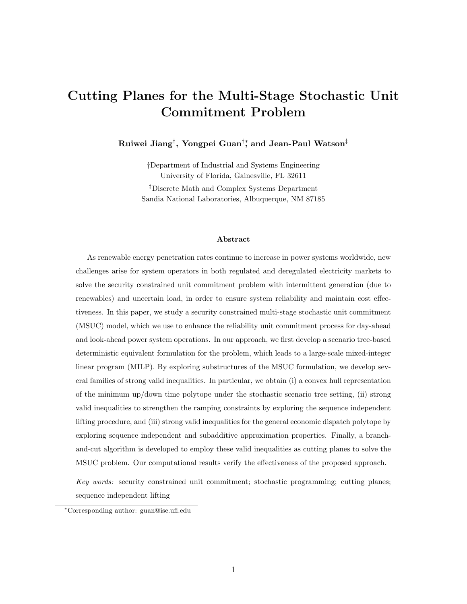# Cutting Planes for the Multi-Stage Stochastic Unit Commitment Problem

Ruiwei Jiang†, Yongpei Guan†‡ and Jean-Paul Watson‡

†Department of Industrial and Systems Engineering University of Florida, Gainesville, FL 32611 ‡Discrete Math and Complex Systems Department Sandia National Laboratories, Albuquerque, NM 87185

#### Abstract

As renewable energy penetration rates continue to increase in power systems worldwide, new challenges arise for system operators in both regulated and deregulated electricity markets to solve the security constrained unit commitment problem with intermittent generation (due to renewables) and uncertain load, in order to ensure system reliability and maintain cost effectiveness. In this paper, we study a security constrained multi-stage stochastic unit commitment (MSUC) model, which we use to enhance the reliability unit commitment process for day-ahead and look-ahead power system operations. In our approach, we first develop a scenario tree-based deterministic equivalent formulation for the problem, which leads to a large-scale mixed-integer linear program (MILP). By exploring substructures of the MSUC formulation, we develop several families of strong valid inequalities. In particular, we obtain (i) a convex hull representation of the minimum up/down time polytope under the stochastic scenario tree setting, (ii) strong valid inequalities to strengthen the ramping constraints by exploring the sequence independent lifting procedure, and (iii) strong valid inequalities for the general economic dispatch polytope by exploring sequence independent and subadditive approximation properties. Finally, a branchand-cut algorithm is developed to employ these valid inequalities as cutting planes to solve the MSUC problem. Our computational results verify the effectiveness of the proposed approach.

Key words: security constrained unit commitment; stochastic programming; cutting planes; sequence independent lifting

<sup>∗</sup>Corresponding author: guan@ise.ufl.edu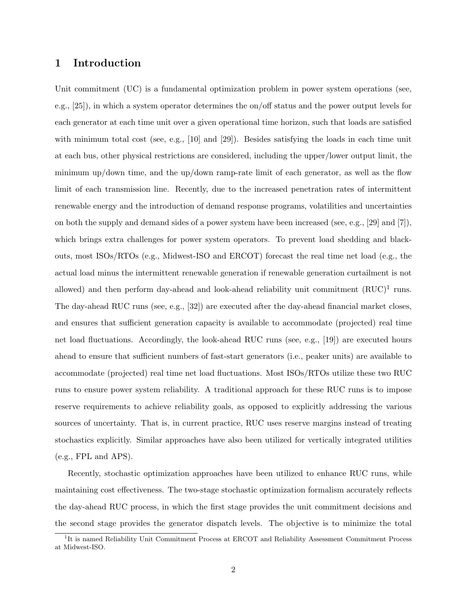### 1 Introduction

Unit commitment (UC) is a fundamental optimization problem in power system operations (see, e.g., [25]), in which a system operator determines the on/off status and the power output levels for each generator at each time unit over a given operational time horizon, such that loads are satisfied with minimum total cost (see, e.g., [10] and [29]). Besides satisfying the loads in each time unit at each bus, other physical restrictions are considered, including the upper/lower output limit, the minimum up/down time, and the up/down ramp-rate limit of each generator, as well as the flow limit of each transmission line. Recently, due to the increased penetration rates of intermittent renewable energy and the introduction of demand response programs, volatilities and uncertainties on both the supply and demand sides of a power system have been increased (see, e.g., [29] and [7]), which brings extra challenges for power system operators. To prevent load shedding and blackouts, most ISOs/RTOs (e.g., Midwest-ISO and ERCOT) forecast the real time net load (e.g., the actual load minus the intermittent renewable generation if renewable generation curtailment is not allowed) and then perform day-ahead and look-ahead reliability unit commitment  $(RUC)^1$  runs. The day-ahead RUC runs (see, e.g., [32]) are executed after the day-ahead financial market closes, and ensures that sufficient generation capacity is available to accommodate (projected) real time net load fluctuations. Accordingly, the look-ahead RUC runs (see, e.g., [19]) are executed hours ahead to ensure that sufficient numbers of fast-start generators (i.e., peaker units) are available to accommodate (projected) real time net load fluctuations. Most ISOs/RTOs utilize these two RUC runs to ensure power system reliability. A traditional approach for these RUC runs is to impose reserve requirements to achieve reliability goals, as opposed to explicitly addressing the various sources of uncertainty. That is, in current practice, RUC uses reserve margins instead of treating stochastics explicitly. Similar approaches have also been utilized for vertically integrated utilities (e.g., FPL and APS).

Recently, stochastic optimization approaches have been utilized to enhance RUC runs, while maintaining cost effectiveness. The two-stage stochastic optimization formalism accurately reflects the day-ahead RUC process, in which the first stage provides the unit commitment decisions and the second stage provides the generator dispatch levels. The objective is to minimize the total

<sup>&</sup>lt;sup>1</sup>It is named Reliability Unit Commitment Process at ERCOT and Reliability Assessment Commitment Process at Midwest-ISO.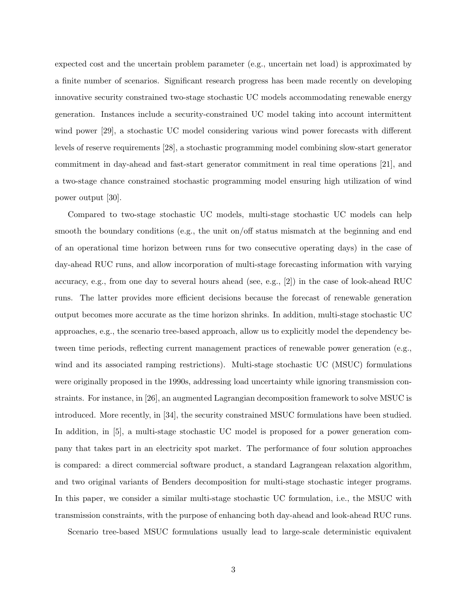expected cost and the uncertain problem parameter (e.g., uncertain net load) is approximated by a finite number of scenarios. Significant research progress has been made recently on developing innovative security constrained two-stage stochastic UC models accommodating renewable energy generation. Instances include a security-constrained UC model taking into account intermittent wind power [29], a stochastic UC model considering various wind power forecasts with different levels of reserve requirements [28], a stochastic programming model combining slow-start generator commitment in day-ahead and fast-start generator commitment in real time operations [21], and a two-stage chance constrained stochastic programming model ensuring high utilization of wind power output [30].

Compared to two-stage stochastic UC models, multi-stage stochastic UC models can help smooth the boundary conditions (e.g., the unit on/off status mismatch at the beginning and end of an operational time horizon between runs for two consecutive operating days) in the case of day-ahead RUC runs, and allow incorporation of multi-stage forecasting information with varying accuracy, e.g., from one day to several hours ahead (see, e.g., [2]) in the case of look-ahead RUC runs. The latter provides more efficient decisions because the forecast of renewable generation output becomes more accurate as the time horizon shrinks. In addition, multi-stage stochastic UC approaches, e.g., the scenario tree-based approach, allow us to explicitly model the dependency between time periods, reflecting current management practices of renewable power generation (e.g., wind and its associated ramping restrictions). Multi-stage stochastic UC (MSUC) formulations were originally proposed in the 1990s, addressing load uncertainty while ignoring transmission constraints. For instance, in [26], an augmented Lagrangian decomposition framework to solve MSUC is introduced. More recently, in [34], the security constrained MSUC formulations have been studied. In addition, in [5], a multi-stage stochastic UC model is proposed for a power generation company that takes part in an electricity spot market. The performance of four solution approaches is compared: a direct commercial software product, a standard Lagrangean relaxation algorithm, and two original variants of Benders decomposition for multi-stage stochastic integer programs. In this paper, we consider a similar multi-stage stochastic UC formulation, i.e., the MSUC with transmission constraints, with the purpose of enhancing both day-ahead and look-ahead RUC runs.

Scenario tree-based MSUC formulations usually lead to large-scale deterministic equivalent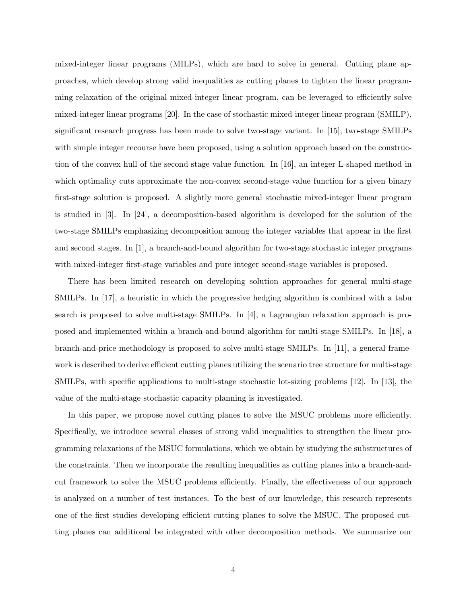mixed-integer linear programs (MILPs), which are hard to solve in general. Cutting plane approaches, which develop strong valid inequalities as cutting planes to tighten the linear programming relaxation of the original mixed-integer linear program, can be leveraged to efficiently solve mixed-integer linear programs [20]. In the case of stochastic mixed-integer linear program (SMILP), significant research progress has been made to solve two-stage variant. In [15], two-stage SMILPs with simple integer recourse have been proposed, using a solution approach based on the construction of the convex hull of the second-stage value function. In [16], an integer L-shaped method in which optimality cuts approximate the non-convex second-stage value function for a given binary first-stage solution is proposed. A slightly more general stochastic mixed-integer linear program is studied in [3]. In [24], a decomposition-based algorithm is developed for the solution of the two-stage SMILPs emphasizing decomposition among the integer variables that appear in the first and second stages. In [1], a branch-and-bound algorithm for two-stage stochastic integer programs with mixed-integer first-stage variables and pure integer second-stage variables is proposed.

There has been limited research on developing solution approaches for general multi-stage SMILPs. In [17], a heuristic in which the progressive hedging algorithm is combined with a tabu search is proposed to solve multi-stage SMILPs. In [4], a Lagrangian relaxation approach is proposed and implemented within a branch-and-bound algorithm for multi-stage SMILPs. In [18], a branch-and-price methodology is proposed to solve multi-stage SMILPs. In [11], a general framework is described to derive efficient cutting planes utilizing the scenario tree structure for multi-stage SMILPs, with specific applications to multi-stage stochastic lot-sizing problems [12]. In [13], the value of the multi-stage stochastic capacity planning is investigated.

In this paper, we propose novel cutting planes to solve the MSUC problems more efficiently. Specifically, we introduce several classes of strong valid inequalities to strengthen the linear programming relaxations of the MSUC formulations, which we obtain by studying the substructures of the constraints. Then we incorporate the resulting inequalities as cutting planes into a branch-andcut framework to solve the MSUC problems efficiently. Finally, the effectiveness of our approach is analyzed on a number of test instances. To the best of our knowledge, this research represents one of the first studies developing efficient cutting planes to solve the MSUC. The proposed cutting planes can additional be integrated with other decomposition methods. We summarize our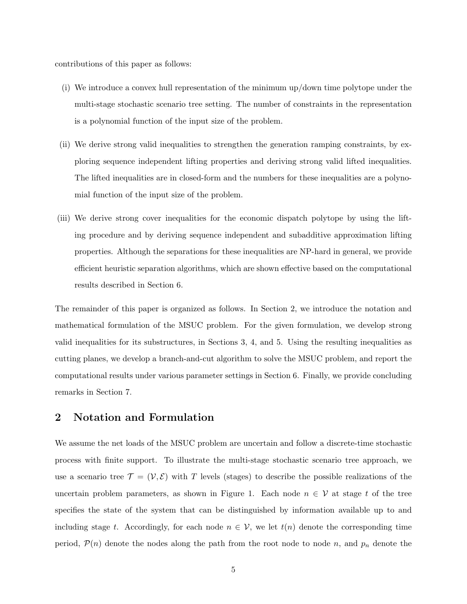contributions of this paper as follows:

- (i) We introduce a convex hull representation of the minimum up/down time polytope under the multi-stage stochastic scenario tree setting. The number of constraints in the representation is a polynomial function of the input size of the problem.
- (ii) We derive strong valid inequalities to strengthen the generation ramping constraints, by exploring sequence independent lifting properties and deriving strong valid lifted inequalities. The lifted inequalities are in closed-form and the numbers for these inequalities are a polynomial function of the input size of the problem.
- (iii) We derive strong cover inequalities for the economic dispatch polytope by using the lifting procedure and by deriving sequence independent and subadditive approximation lifting properties. Although the separations for these inequalities are NP-hard in general, we provide efficient heuristic separation algorithms, which are shown effective based on the computational results described in Section 6.

The remainder of this paper is organized as follows. In Section 2, we introduce the notation and mathematical formulation of the MSUC problem. For the given formulation, we develop strong valid inequalities for its substructures, in Sections 3, 4, and 5. Using the resulting inequalities as cutting planes, we develop a branch-and-cut algorithm to solve the MSUC problem, and report the computational results under various parameter settings in Section 6. Finally, we provide concluding remarks in Section 7.

### 2 Notation and Formulation

We assume the net loads of the MSUC problem are uncertain and follow a discrete-time stochastic process with finite support. To illustrate the multi-stage stochastic scenario tree approach, we use a scenario tree  $\mathcal{T} = (\mathcal{V}, \mathcal{E})$  with T levels (stages) to describe the possible realizations of the uncertain problem parameters, as shown in Figure 1. Each node  $n \in V$  at stage t of the tree specifies the state of the system that can be distinguished by information available up to and including stage t. Accordingly, for each node  $n \in V$ , we let  $t(n)$  denote the corresponding time period,  $P(n)$  denote the nodes along the path from the root node to node n, and  $p_n$  denote the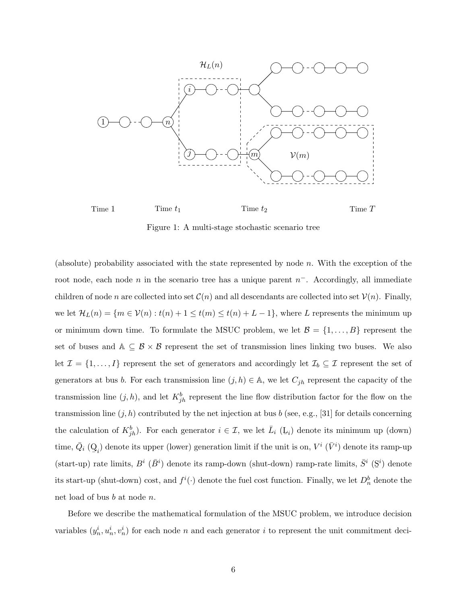

Time 1 Time  $t_1$  Time  $t_2$  Time T

Figure 1: A multi-stage stochastic scenario tree

(absolute) probability associated with the state represented by node  $n$ . With the exception of the root node, each node n in the scenario tree has a unique parent  $n^-$ . Accordingly, all immediate children of node n are collected into set  $\mathcal{C}(n)$  and all descendants are collected into set  $\mathcal{V}(n)$ . Finally, we let  $\mathcal{H}_L(n) = \{m \in \mathcal{V}(n) : t(n) + 1 \leq t(m) \leq t(n) + L - 1\}$ , where L represents the minimum up or minimum down time. To formulate the MSUC problem, we let  $\mathcal{B} = \{1, \ldots, B\}$  represent the set of buses and  $A \subseteq B \times B$  represent the set of transmission lines linking two buses. We also let  $\mathcal{I} = \{1, ..., I\}$  represent the set of generators and accordingly let  $\mathcal{I}_b \subseteq \mathcal{I}$  represent the set of generators at bus b. For each transmission line  $(j, h) \in A$ , we let  $C_{jh}$  represent the capacity of the transmission line  $(j, h)$ , and let  $K_{jh}^b$  represent the line flow distribution factor for the flow on the transmission line  $(j, h)$  contributed by the net injection at bus b (see, e.g., [31] for details concerning the calculation of  $K_{jh}^b$ ). For each generator  $i \in \mathcal{I}$ , we let  $\overline{L}_i$  ( $\underline{L}_i$ ) denote its minimum up (down) time,  $\bar{Q}_i$  (Q  $Q_i$ ) denote its upper (lower) generation limit if the unit is on,  $V^i$  ( $\bar{V}^i$ ) denote its ramp-up (start-up) rate limits,  $B^i$  ( $\bar{B}^i$ ) denote its ramp-down (shut-down) ramp-rate limits,  $\bar{S}^i$  (S  $i)$  denote its start-up (shut-down) cost, and  $f^i(\cdot)$  denote the fuel cost function. Finally, we let  $D_n^b$  denote the net load of bus b at node n.

Before we describe the mathematical formulation of the MSUC problem, we introduce decision variables  $(y_n^i, u_n^i, v_n^i)$  for each node n and each generator i to represent the unit commitment deci-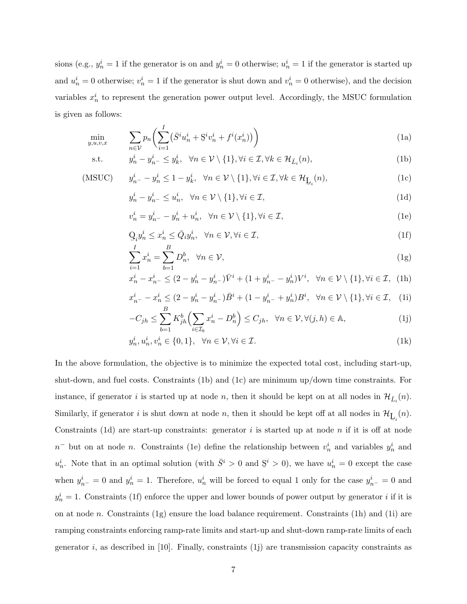sions (e.g.,  $y_n^i = 1$  if the generator is on and  $y_n^i = 0$  otherwise;  $u_n^i = 1$  if the generator is started up and  $u_n^i = 0$  otherwise;  $v_n^i = 1$  if the generator is shut down and  $v_n^i = 0$  otherwise), and the decision variables  $x_n^i$  to represent the generation power output level. Accordingly, the MSUC formulation is given as follows:

$$
\min_{y,u,v,x} \qquad \sum_{n \in \mathcal{V}} p_n \bigg( \sum_{i=1}^I (\bar{S}^i u_n^i + \underline{S}^i v_n^i + f^i(x_n^i)) \bigg) \tag{1a}
$$

s.t. 
$$
y_n^i - y_{n-}^i \le y_k^i, \quad \forall n \in \mathcal{V} \setminus \{1\}, \forall i \in \mathcal{I}, \forall k \in \mathcal{H}_{\bar{L}_i}(n),
$$
 (1b)

(MSUC) 
$$
y_{n-}^i - y_n^i \le 1 - y_k^i, \quad \forall n \in \mathcal{V} \setminus \{1\}, \forall i \in \mathcal{I}, \forall k \in \mathcal{H}_{\underline{\mathbf{L}}_i}(n),
$$
 (1c)

$$
y_n^i - y_{n-}^i \le u_n^i, \quad \forall n \in \mathcal{V} \setminus \{1\}, \forall i \in \mathcal{I}, \tag{1d}
$$

$$
v_n^i = y_{n^-}^i - y_n^i + u_n^i, \quad \forall n \in \mathcal{V} \setminus \{1\}, \forall i \in \mathcal{I},
$$
\n<sup>(1e)</sup>

$$
\mathcal{Q}_i y_n^i \le x_n^i \le \bar{Q}_i y_n^i, \quad \forall n \in \mathcal{V}, \forall i \in \mathcal{I}, \tag{1f}
$$

$$
\sum_{i=1}^{I} x_n^i = \sum_{b=1}^{B} D_n^b, \quad \forall n \in \mathcal{V}, \tag{1g}
$$

$$
x_n^i - x_{n-}^i \le (2 - y_n^i - y_{n-}^i)\bar{V}^i + (1 + y_{n-}^i - y_n^i)V^i, \ \forall n \in \mathcal{V} \setminus \{1\}, \forall i \in \mathcal{I}, \text{ (1h)}
$$

$$
x_{n-}^i - x_n^i \le (2 - y_n^i - y_{n-}^i)\bar{B}^i + (1 - y_{n-}^i + y_n^i)B^i, \quad \forall n \in \mathcal{V} \setminus \{1\}, \forall i \in \mathcal{I}, \quad (1)
$$

$$
-C_{jh} \le \sum_{b=1}^{D} K_{jh}^{b} \Big( \sum_{i \in \mathcal{I}_b} x_n^i - D_n^b \Big) \le C_{jh}, \quad \forall n \in \mathcal{V}, \forall (j, h) \in \mathbb{A}, \tag{1j}
$$

$$
y_n^i, u_n^i, v_n^i \in \{0, 1\}, \quad \forall n \in \mathcal{V}, \forall i \in \mathcal{I}.\tag{1k}
$$

In the above formulation, the objective is to minimize the expected total cost, including start-up, shut-down, and fuel costs. Constraints (1b) and (1c) are minimum up/down time constraints. For instance, if generator *i* is started up at node *n*, then it should be kept on at all nodes in  $\mathcal{H}_{\bar{L}_i}(n)$ . Similarly, if generator *i* is shut down at node *n*, then it should be kept off at all nodes in  $\mathcal{H}_{\mathbf{L}_i}(n)$ . Constraints (1d) are start-up constraints: generator i is started up at node n if it is off at node  $n^{-}$  but on at node n. Constraints (1e) define the relationship between  $v_n^i$  and variables  $y_n^i$  and  $u_n^i$ . Note that in an optimal solution (with  $\bar{S}^i > 0$  and  $S^i > 0$ ), we have  $u_n^i = 0$  except the case when  $y_{n^-}^i = 0$  and  $y_n^i = 1$ . Therefore,  $u_n^i$  will be forced to equal 1 only for the case  $y_{n^-}^i = 0$  and  $y_n^i = 1$ . Constraints (1f) enforce the upper and lower bounds of power output by generator i if it is on at node n. Constraints  $(1g)$  ensure the load balance requirement. Constraints  $(1h)$  and  $(1i)$  are ramping constraints enforcing ramp-rate limits and start-up and shut-down ramp-rate limits of each generator  $i$ , as described in [10]. Finally, constraints (1j) are transmission capacity constraints as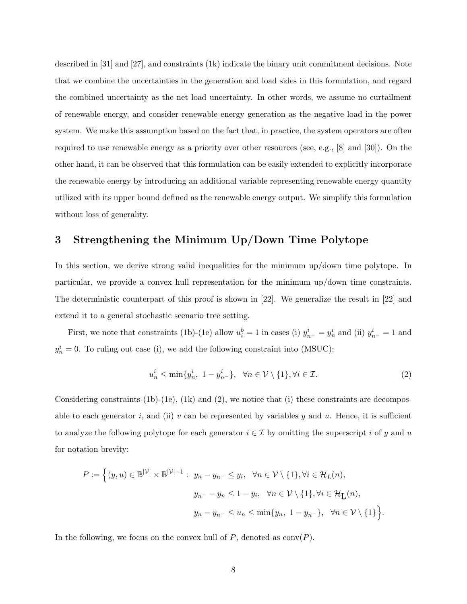described in [31] and [27], and constraints (1k) indicate the binary unit commitment decisions. Note that we combine the uncertainties in the generation and load sides in this formulation, and regard the combined uncertainty as the net load uncertainty. In other words, we assume no curtailment of renewable energy, and consider renewable energy generation as the negative load in the power system. We make this assumption based on the fact that, in practice, the system operators are often required to use renewable energy as a priority over other resources (see, e.g., [8] and [30]). On the other hand, it can be observed that this formulation can be easily extended to explicitly incorporate the renewable energy by introducing an additional variable representing renewable energy quantity utilized with its upper bound defined as the renewable energy output. We simplify this formulation without loss of generality.

### 3 Strengthening the Minimum Up/Down Time Polytope

In this section, we derive strong valid inequalities for the minimum up/down time polytope. In particular, we provide a convex hull representation for the minimum up/down time constraints. The deterministic counterpart of this proof is shown in [22]. We generalize the result in [22] and extend it to a general stochastic scenario tree setting.

First, we note that constraints (1b)-(1e) allow  $u_i^b = 1$  in cases (i)  $y_{n^-}^i = y_n^i$  and (ii)  $y_{n^-}^i = 1$  and  $y_n^i = 0$ . To ruling out case (i), we add the following constraint into (MSUC):

$$
u_n^i \le \min\{y_n^i, \ 1 - y_{n-}^i\}, \ \ \forall n \in \mathcal{V} \setminus \{1\}, \forall i \in \mathcal{I}.\tag{2}
$$

Considering constraints  $(1b)-(1e)$ ,  $(1k)$  and  $(2)$ , we notice that (i) these constraints are decomposable to each generator i, and (ii) v can be represented by variables y and u. Hence, it is sufficient to analyze the following polytope for each generator  $i \in \mathcal{I}$  by omitting the superscript i of y and u for notation brevity:

$$
P := \Big\{ (y, u) \in \mathbb{B}^{|\mathcal{V}|} \times \mathbb{B}^{|\mathcal{V}|-1} : y_n - y_{n^-} \leq y_i, \forall n \in \mathcal{V} \setminus \{1\}, \forall i \in \mathcal{H}_{\bar{L}}(n),
$$
  

$$
y_{n^-} - y_n \leq 1 - y_i, \forall n \in \mathcal{V} \setminus \{1\}, \forall i \in \mathcal{H}_{\underline{L}}(n),
$$
  

$$
y_n - y_{n^-} \leq u_n \leq \min\{y_n, 1 - y_{n^-}\}, \forall n \in \mathcal{V} \setminus \{1\} \Big\}.
$$

In the following, we focus on the convex hull of  $P$ , denoted as conv $(P)$ .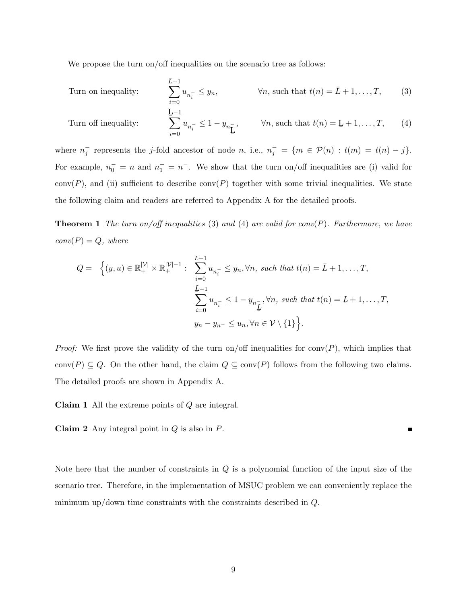We propose the turn on/off inequalities on the scenario tree as follows:

Turn on inequality: 
$$
\sum_{i=0}^{\bar{L}-1} u_{n_i^-} \leq y_n, \qquad \forall n, \text{ such that } t(n) = \bar{L} + 1, ..., T,
$$
 (3)

Turn off inequality: 
$$
\sum_{i=0}^{\underline{L}-1} u_{n_i^-} \le 1 - y_{n_{\underline{L}}}, \qquad \forall n, \text{ such that } t(n) = \underline{L} + 1, \dots, T,
$$
 (4)

where  $n_j^-$  represents the j-fold ancestor of node n, i.e.,  $n_j^- = \{m \in \mathcal{P}(n) : t(m) = t(n) - j\}.$ For example,  $n_0^- = n$  and  $n_1^- = n^-$ . We show that the turn on/off inequalities are (i) valid for  $conv(P)$ , and (ii) sufficient to describe  $conv(P)$  together with some trivial inequalities. We state the following claim and readers are referred to Appendix A for the detailed proofs.

**Theorem 1** The turn on/off inequalities (3) and (4) are valid for conv(P). Furthermore, we have  $conv(P) = Q$ , where

$$
Q = \left\{ (y, u) \in \mathbb{R}_+^{|\mathcal{V}|} \times \mathbb{R}_+^{|\mathcal{V}|-1} : \sum_{i=0}^{\bar{L}-1} u_{n_i^-} \leq y_n, \forall n, \text{ such that } t(n) = \bar{L} + 1, \dots, T,
$$
  

$$
\sum_{i=0}^{L-1} u_{n_i^-} \leq 1 - y_{n\bar{L}}, \forall n, \text{ such that } t(n) = L+1, \dots, T,
$$
  

$$
y_n - y_{n^-} \leq u_n, \forall n \in \mathcal{V} \setminus \{1\} \right\}.
$$

*Proof:* We first prove the validity of the turn on/off inequalities for conv(P), which implies that conv $(P) \subseteq Q$ . On the other hand, the claim  $Q \subseteq \text{conv}(P)$  follows from the following two claims. The detailed proofs are shown in Appendix A.

**Claim 1** All the extreme points of  $Q$  are integral.

**Claim 2** Any integral point in  $Q$  is also in  $P$ .

Note here that the number of constraints in  $Q$  is a polynomial function of the input size of the scenario tree. Therefore, in the implementation of MSUC problem we can conveniently replace the minimum up/down time constraints with the constraints described in  $Q$ .

 $\blacksquare$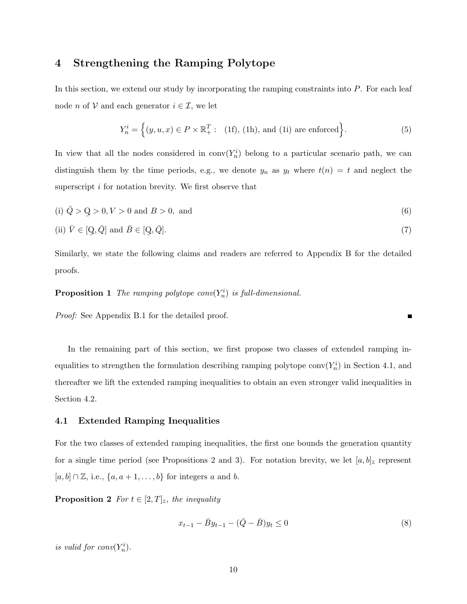### 4 Strengthening the Ramping Polytope

In this section, we extend our study by incorporating the ramping constraints into P. For each leaf node *n* of  $V$  and each generator  $i \in \mathcal{I}$ , we let

$$
Y_n^i = \left\{ (y, u, x) \in P \times \mathbb{R}_+^T : (1f), (1h), \text{ and (1i) are enforced} \right\}.
$$
 (5)

In view that all the nodes considered in  $conv(Y_n^i)$  belong to a particular scenario path, we can distinguish them by the time periods, e.g., we denote  $y_n$  as  $y_t$  where  $t(n) = t$  and neglect the superscript i for notation brevity. We first observe that

(i) 
$$
\bar{Q} > Q > 0, V > 0
$$
 and  $B > 0$ , and (6)

(ii) 
$$
\bar{V} \in [\mathcal{Q}, \bar{Q}]
$$
 and  $\bar{B} \in [\mathcal{Q}, \bar{Q}].$  (7)

Similarly, we state the following claims and readers are referred to Appendix B for the detailed proofs.

# **Proposition 1** The ramping polytope  $conv(Y_n^i)$  is full-dimensional.

Proof: See Appendix B.1 for the detailed proof.

In the remaining part of this section, we first propose two classes of extended ramping inequalities to strengthen the formulation describing ramping polytope conv $(Y_n^i)$  in Section 4.1, and thereafter we lift the extended ramping inequalities to obtain an even stronger valid inequalities in Section 4.2.

### 4.1 Extended Ramping Inequalities

For the two classes of extended ramping inequalities, the first one bounds the generation quantity for a single time period (see Propositions 2 and 3). For notation brevity, we let  $[a, b]_{{\mathbb{Z}}}$  represent  $[a,b]\cap\mathbb{Z},$  i.e.,  $\{a,a+1,\ldots,b\}$  for integers  $a$  and  $b.$ 

**Proposition 2** For  $t \in [2, T]_{\mathbb{Z}}$ , the inequality

$$
x_{t-1} - \bar{B}y_{t-1} - (\bar{Q} - \bar{B})y_t \le 0
$$
\n<sup>(8)</sup>

Е

is valid for  $conv(Y_n^i)$ .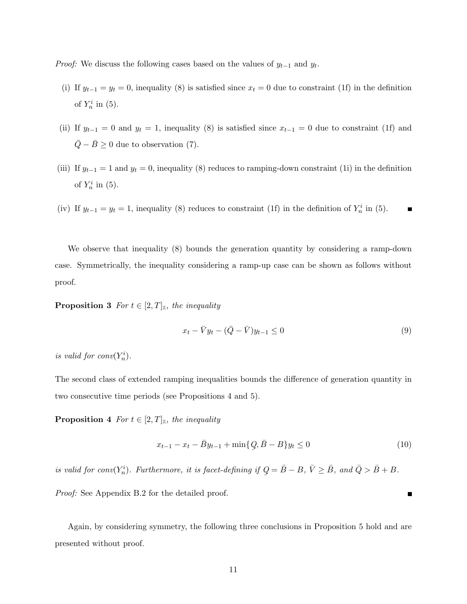*Proof:* We discuss the following cases based on the values of  $y_{t-1}$  and  $y_t$ .

- (i) If  $y_{t-1} = y_t = 0$ , inequality (8) is satisfied since  $x_t = 0$  due to constraint (1f) in the definition of  $Y_n^i$  in (5).
- (ii) If  $y_{t-1} = 0$  and  $y_t = 1$ , inequality (8) is satisfied since  $x_{t-1} = 0$  due to constraint (1f) and  $\overline{Q} - \overline{B} \geq 0$  due to observation (7).
- (iii) If  $y_{t-1} = 1$  and  $y_t = 0$ , inequality (8) reduces to ramping-down constraint (1i) in the definition of  $Y_n^i$  in (5).
- (iv) If  $y_{t-1} = y_t = 1$ , inequality (8) reduces to constraint (1f) in the definition of  $Y_n^i$  in (5).  $\blacksquare$

We observe that inequality  $(8)$  bounds the generation quantity by considering a ramp-down case. Symmetrically, the inequality considering a ramp-up case can be shown as follows without proof.

**Proposition 3** For  $t \in [2, T]_{\mathbb{Z}}$ , the inequality

$$
x_t - \bar{V}y_t - (\bar{Q} - \bar{V})y_{t-1} \le 0
$$
\n(9)

is valid for  $conv(Y_n^i)$ .

The second class of extended ramping inequalities bounds the difference of generation quantity in two consecutive time periods (see Propositions 4 and 5).

**Proposition 4** For  $t \in [2, T]_{\mathbb{Z}}$ , the inequality

$$
x_{t-1} - x_t - \bar{B}y_{t-1} + \min\{Q, \bar{B} - B\}y_t \le 0
$$
\n(10)

 $\blacksquare$ 

is valid for conv $(Y_n^i)$ . Furthermore, it is facet-defining if Q ¯  $=\bar{B}-B, \bar{V}\geq \bar{B}, \text{ and } \bar{Q} > \bar{B} + B.$ 

Proof: See Appendix B.2 for the detailed proof.

Again, by considering symmetry, the following three conclusions in Proposition 5 hold and are presented without proof.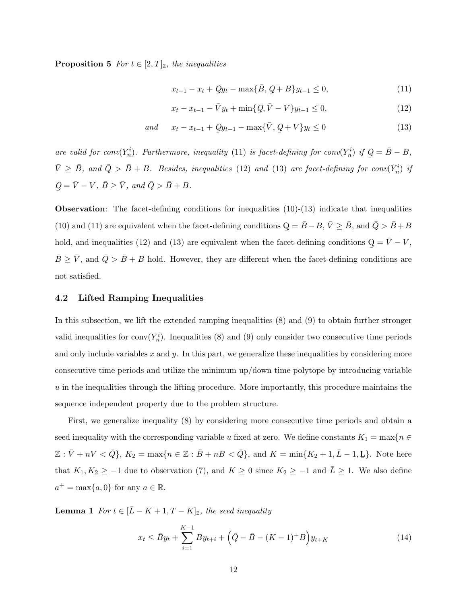**Proposition 5** For  $t \in [2, T]_{\mathbb{Z}}$ , the inequalities

$$
x_{t-1} - x_t + Qy_t - \max{\{\bar{B}, \, Q + B\} y_{t-1} \le 0},\tag{11}
$$

$$
x_t - x_{t-1} - \bar{V}y_t + \min\{\mathcal{Q}, \bar{V} - V\}y_{t-1} \le 0,\tag{12}
$$

and 
$$
x_t - x_{t-1} + Qy_{t-1} - \max{\bar{V}, Q + V}y_t \le 0
$$
 (13)

are valid for conv $(Y_n^i)$ . Furthermore, inequality (11) is facet-defining for conv $(Y_n^i)$  if  $Q = \bar{B} - B$ , ¯  $\bar{V} \geq \bar{B}$ , and  $\bar{Q} > \bar{B} + B$ . Besides, inequalities (12) and (13) are facet-defining for conv( $Y_n^i$ ) if  $Q$ ¯  $=\bar{V}-V, \,\bar{B}\geq \bar{V}, \text{ and } \bar{Q} > \bar{B}+B.$ 

**Observation:** The facet-defining conditions for inequalities  $(10)-(13)$  indicate that inequalities (10) and (11) are equivalent when the facet-defining conditions Q ¯  $=\bar{B}-B, \bar{V}\geq \bar{B}$ , and  $\bar{Q} > \bar{B}+B$ hold, and inequalities (12) and (13) are equivalent when the facet-defining conditions Q ¯  $=\bar{V}-V,$  $\bar{B} \geq \bar{V}$ , and  $\bar{Q} > \bar{B} + B$  hold. However, they are different when the facet-defining conditions are not satisfied.

### 4.2 Lifted Ramping Inequalities

In this subsection, we lift the extended ramping inequalities (8) and (9) to obtain further stronger valid inequalities for  $conv(Y_n^i)$ . Inequalities (8) and (9) only consider two consecutive time periods and only include variables  $x$  and  $y$ . In this part, we generalize these inequalities by considering more consecutive time periods and utilize the minimum up/down time polytope by introducing variable  $u$  in the inequalities through the lifting procedure. More importantly, this procedure maintains the sequence independent property due to the problem structure.

First, we generalize inequality (8) by considering more consecutive time periods and obtain a seed inequality with the corresponding variable u fixed at zero. We define constants  $K_1 = \max\{n \in \mathbb{R}^n\}$  $\mathbb{Z}: \bar{V} + nV < \bar{Q}$ ,  $K_2 = \max\{n \in \mathbb{Z}: \bar{B} + nB < \bar{Q}\}$ , and  $K = \min\{K_2 + 1, \bar{L} - 1, \underline{L}\}$ . Note here that  $K_1, K_2 \ge -1$  due to observation (7), and  $K \ge 0$  since  $K_2 \ge -1$  and  $\overline{L} \ge 1$ . We also define  $a^+ = \max\{a, 0\}$  for any  $a \in \mathbb{R}$ .

**Lemma 1** For  $t \in [\bar{L} - K + 1, T - K]_{\mathbb{Z}}$ , the seed inequality

$$
x_t \le \bar{B}y_t + \sum_{i=1}^{K-1} By_{t+i} + \left(\bar{Q} - \bar{B} - (K-1)^+B\right)y_{t+K}
$$
\n(14)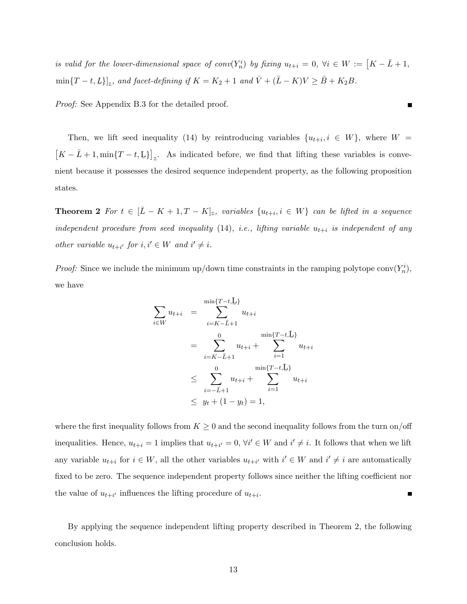is valid for the lower-dimensional space of  $conv(Y_n^i)$  by fixing  $u_{t+i} = 0$ ,  $\forall i \in W := [K - \overline{L} + 1,$  $\min\{T-t,L\}]_{{\mathbb Z}}$ , and facet-defining if  $K=K_2+1$  and  $\bar V+({\bar L}-K)V\geq \bar B+K_2B$ .

Proof: See Appendix B.3 for the detailed proof.

Then, we lift seed inequality (14) by reintroducing variables  $\{u_{t+i}, i \in W\}$ , where  $W =$  $[K - \bar{L} + 1, \min\{T - t, L\}]_z$ . As indicated before, we find that lifting these variables is convenient because it possesses the desired sequence independent property, as the following proposition states.

**Theorem 2** For  $t \in [\bar{L} - K + 1, T - K]_{\mathbb{Z}}$ , variables  $\{u_{t+i}, i \in W\}$  can be lifted in a sequence independent procedure from seed inequality  $(14)$ , i.e., lifting variable  $u_{t+i}$  is independent of any other variable  $u_{t+i'}$  for  $i, i' \in W$  and  $i' \neq i$ .

*Proof:* Since we include the minimum up/down time constraints in the ramping polytope conv $(Y_n^i)$ , we have

$$
\sum_{i \in W} u_{t+i} = \sum_{i=K-\bar{L}+1}^{\min\{T-t,\underline{L}\}} u_{t+i}
$$
\n
$$
= \sum_{i=K-\bar{L}+1}^0 u_{t+i} + \sum_{i=1}^{\min\{T-t,\underline{L}\}} u_{t+i}
$$
\n
$$
\leq \sum_{i=-\bar{L}+1}^0 u_{t+i} + \sum_{i=1}^{\min\{T-t,\underline{L}\}} u_{t+i}
$$
\n
$$
\leq y_t + (1 - y_t) = 1,
$$

where the first inequality follows from  $K \geq 0$  and the second inequality follows from the turn on/off inequalities. Hence,  $u_{t+i} = 1$  implies that  $u_{t+i'} = 0$ ,  $\forall i' \in W$  and  $i' \neq i$ . It follows that when we lift any variable  $u_{t+i}$  for  $i \in W$ , all the other variables  $u_{t+i'}$  with  $i' \in W$  and  $i' \neq i$  are automatically fixed to be zero. The sequence independent property follows since neither the lifting coefficient nor the value of  $u_{t+i'}$  influences the lifting procedure of  $u_{t+i}$ .  $\blacksquare$ 

By applying the sequence independent lifting property described in Theorem 2, the following conclusion holds.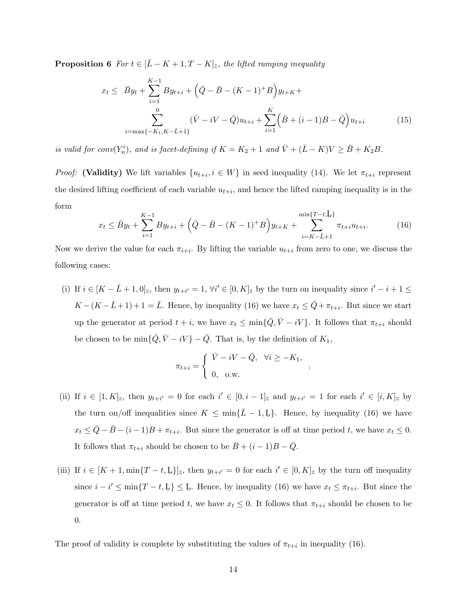**Proposition 6** For  $t \in [\bar{L} - K + 1, T - K]_{\mathbb{Z}}$ , the lifted ramping inequality

$$
x_{t} \leq \bar{B}y_{t} + \sum_{i=1}^{K-1} By_{t+i} + (\bar{Q} - \bar{B} - (K-1)^{+}B)y_{t+K} + \sum_{i=\max\{-K_{1}, K-\bar{L}+1\}}^{0} (\bar{V} - iV - \bar{Q})u_{t+i} + \sum_{i=1}^{K} (\bar{B} + (i-1)B - \bar{Q})u_{t+i}
$$
(15)

is valid for conv $(Y_n^i)$ , and is facet-defining if  $K = K_2 + 1$  and  $\bar{V} + (\bar{L} - K)V \ge \bar{B} + K_2B$ .

*Proof:* (Validity) We lift variables  $\{u_{t+i}, i \in W\}$  in seed inequality (14). We let  $\pi_{t+i}$  represent the desired lifting coefficient of each variable  $u_{t+i}$ , and hence the lifted ramping inequality is in the form

$$
x_t \le \bar{B}y_t + \sum_{i=1}^{K-1} By_{t+i} + \left(\bar{Q} - \bar{B} - (K-1)^+B\right)y_{t+K} + \sum_{i=K-\bar{L}+1}^{\min\{T-t,\underline{L}\}} \pi_{t+i}u_{t+i}.
$$
 (16)

Now we derive the value for each  $\pi_{i+i}$ . By lifting the variable  $u_{t+i}$  from zero to one, we discuss the following cases:

(i) If  $i \in [K - \overline{L} + 1, 0]_{{\mathbb{Z}}}$ , then  $y_{t+i'} = 1$ ,  $\forall i' \in [0, K]_{{\mathbb{Z}}}$  by the turn on inequality since  $i' - i + 1 \leq i'$  $K - (K - \bar{L} + 1) + 1 = \bar{L}$ . Hence, by inequality (16) we have  $x_t \leq \bar{Q} + \pi_{t+i}$ . But since we start up the generator at period  $t + i$ , we have  $x_t \le \min{\{\overline{Q}, \overline{V} - iV\}}$ . It follows that  $\pi_{t+i}$  should be chosen to be  $\min\{\overline{Q}, \overline{V} - iV\} - \overline{Q}$ . That is, by the definition of  $K_1$ ,

$$
\pi_{t+i} = \begin{cases} \n\bar{V} - iV - \bar{Q}, & \forall i \ge -K_1, \\ \n0, & \text{o.w.} \n\end{cases}
$$

.

- (ii) If  $i \in [1, K]_{\mathbb{Z}}$ , then  $y_{t+i'} = 0$  for each  $i' \in [0, i-1]_{\mathbb{Z}}$  and  $y_{t+i'} = 1$  for each  $i' \in [i, K]_{\mathbb{Z}}$  by the turn on/off inequalities since  $K \le \min\{\bar{L} - 1, \underline{L}\}\$ . Hence, by inequality (16) we have  $x_t \leq \bar{Q} - \bar{B} - (i-1)B + \pi_{t+i}$ . But since the generator is off at time period t, we have  $x_t \leq 0$ . It follows that  $\pi_{t+i}$  should be chosen to be  $\bar{B} + (i-1)B - \bar{Q}$ .
- (iii) If  $i \in [K+1, \min\{T-t, L\}]_{{\mathbb{Z}}}$ , then  $y_{t+i'} = 0$  for each  $i' \in [0, K]_{{\mathbb{Z}}}$  by the turn off inequality since  $i - i' \le \min\{T - t, L\} \le L$ . Hence, by inequality (16) we have  $x_t \le \pi_{t+i}$ . But since the generator is off at time period t, we have  $x_t \leq 0$ . It follows that  $\pi_{t+i}$  should be chosen to be 0.

The proof of validity is complete by substituting the values of  $\pi_{t+i}$  in inequality (16).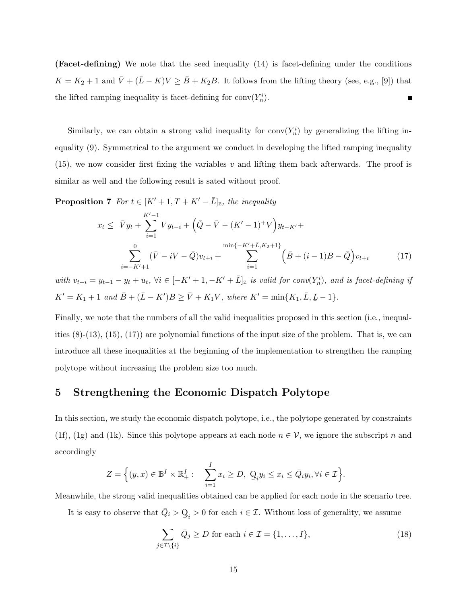(Facet-defining) We note that the seed inequality (14) is facet-defining under the conditions  $K = K_2 + 1$  and  $\bar{V} + (\bar{L} - K)V \ge \bar{B} + K_2B$ . It follows from the lifting theory (see, e.g., [9]) that the lifted ramping inequality is facet-defining for  $\text{conv}(Y_n^i)$ .  $\blacksquare$ 

Similarly, we can obtain a strong valid inequality for  $conv(Y_n^i)$  by generalizing the lifting inequality (9). Symmetrical to the argument we conduct in developing the lifted ramping inequality  $(15)$ , we now consider first fixing the variables v and lifting them back afterwards. The proof is similar as well and the following result is sated without proof.

**Proposition 7** For  $t \in [K' + 1, T + K' - \overline{L}]_{\mathbb{Z}}$ , the inequality

$$
x_{t} \leq \bar{V}y_{t} + \sum_{i=1}^{K'-1} V y_{t-i} + (\bar{Q} - \bar{V} - (K'-1)^{+} V) y_{t-K'} + \sum_{i=-K'+1}^{0} (\bar{V} - iV - \bar{Q}) v_{t+i} + \sum_{i=1}^{\min\{-K'+\bar{L}, K_{2}+1\}} (\bar{B} + (i-1)B - \bar{Q}) v_{t+i}
$$
(17)

with  $v_{t+i} = y_{t-1} - y_t + u_t$ ,  $\forall i \in [-K' + 1, -K' + \bar{L}]_{{\mathbb{Z}}}$  is valid for  $conv(Y_n^i)$ , and is facet-defining if  $K' = K_1 + 1$  and  $\bar{B} + (\bar{L} - K')B \ge \bar{V} + K_1V$ , where  $K' = \min\{K_1, \bar{L}, L - 1\}$ .

Finally, we note that the numbers of all the valid inequalities proposed in this section (i.e., inequalities  $(8)-(13)$ ,  $(15)$ ,  $(17)$  are polynomial functions of the input size of the problem. That is, we can introduce all these inequalities at the beginning of the implementation to strengthen the ramping polytope without increasing the problem size too much.

### 5 Strengthening the Economic Dispatch Polytope

In this section, we study the economic dispatch polytope, i.e., the polytope generated by constraints (1f), (1g) and (1k). Since this polytope appears at each node  $n \in V$ , we ignore the subscript n and accordingly

$$
Z = \Big\{(y,x)\in \mathbb{B}^I\times \mathbb{R}^I_+:\quad \sum_{i=1}^Ix_i\geq D,\ \mathcal{Q}_iy_i\leq x_i\leq \bar Q_iy_i, \forall i\in \mathcal{I}\Big\}.
$$

Meanwhile, the strong valid inequalities obtained can be applied for each node in the scenario tree.

It is easy to observe that  $\overline{Q}_i > Q$  $Q_i > 0$  for each  $i \in \mathcal{I}$ . Without loss of generality, we assume

$$
\sum_{j \in \mathcal{I} \setminus \{i\}} \bar{Q}_j \ge D \text{ for each } i \in \mathcal{I} = \{1, \dots, I\},\tag{18}
$$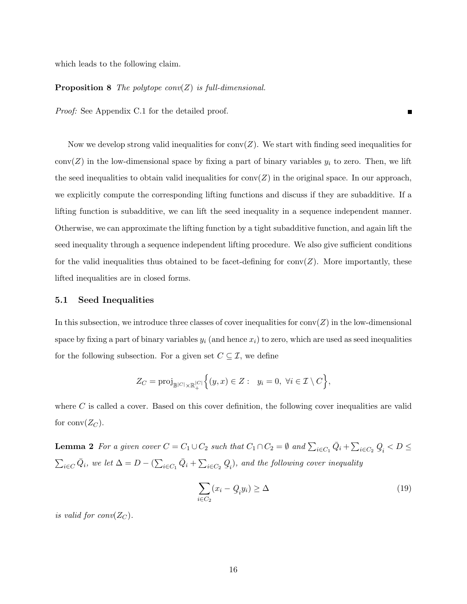which leads to the following claim.

#### **Proposition 8** The polytope conv(Z) is full-dimensional.

Proof: See Appendix C.1 for the detailed proof.

Now we develop strong valid inequalities for  $conv(Z)$ . We start with finding seed inequalities for  $conv(Z)$  in the low-dimensional space by fixing a part of binary variables  $y_i$  to zero. Then, we lift the seed inequalities to obtain valid inequalities for conv $(Z)$  in the original space. In our approach, we explicitly compute the corresponding lifting functions and discuss if they are subadditive. If a lifting function is subadditive, we can lift the seed inequality in a sequence independent manner. Otherwise, we can approximate the lifting function by a tight subadditive function, and again lift the seed inequality through a sequence independent lifting procedure. We also give sufficient conditions for the valid inequalities thus obtained to be facet-defining for conv $(Z)$ . More importantly, these lifted inequalities are in closed forms.

#### 5.1 Seed Inequalities

In this subsection, we introduce three classes of cover inequalities for  $conv(Z)$  in the low-dimensional space by fixing a part of binary variables  $y_i$  (and hence  $x_i$ ) to zero, which are used as seed inequalities for the following subsection. For a given set  $C \subseteq \mathcal{I}$ , we define

$$
Z_C = \text{proj}_{\mathbb{B}^{|C|} \times \mathbb{R}^{|C|}_+} \Big\{ (y, x) \in Z: \ y_i = 0, \ \forall i \in \mathcal{I} \setminus C \Big\},\
$$

where  $C$  is called a cover. Based on this cover definition, the following cover inequalities are valid for conv $(Z_C)$ .

**Lemma 2** For a given cover  $C = C_1 \cup C_2$  such that  $C_1 \cap C_2 = \emptyset$  and  $\sum_{i \in C_1} \overline{Q}_i + \sum_{i \in C_2} Q_i$  $Q_i < D \leq$  $\sum_{i\in C}\overline{Q}_i$ , we let  $\Delta = D - (\sum_{i\in C_1} \overline{Q}_i + \sum_{i\in C_2} Q_i)$  $Q_i$ , and the following cover inequality

$$
\sum_{i \in C_2} (x_i - \mathcal{Q}_i y_i) \ge \Delta \tag{19}
$$

 $\blacksquare$ 

is valid for  $conv(Z_C)$ .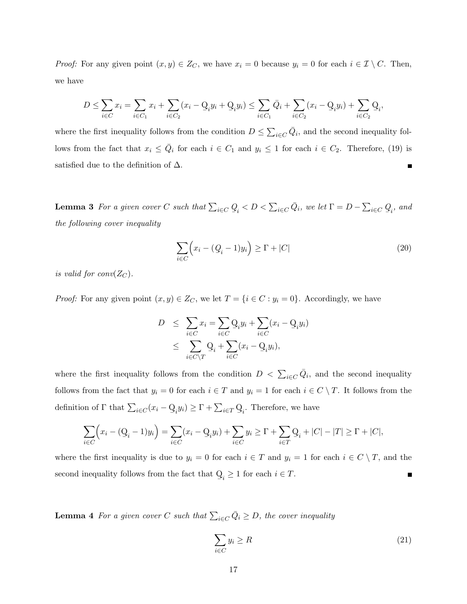*Proof:* For any given point  $(x, y) \in Z_C$ , we have  $x_i = 0$  because  $y_i = 0$  for each  $i \in \mathcal{I} \setminus C$ . Then, we have

$$
D \le \sum_{i \in C} x_i = \sum_{i \in C_1} x_i + \sum_{i \in C_2} (x_i - \mathcal{Q}_i y_i + \mathcal{Q}_i y_i) \le \sum_{i \in C_1} \bar{Q}_i + \sum_{i \in C_2} (x_i - \mathcal{Q}_i y_i) + \sum_{i \in C_2} \mathcal{Q}_i,
$$

where the first inequality follows from the condition  $D \leq \sum_{i \in C} \overline{Q}_i$ , and the second inequality follows from the fact that  $x_i \le \overline{Q}_i$  for each  $i \in C_1$  and  $y_i \le 1$  for each  $i \in C_2$ . Therefore, (19) is satisfied due to the definition of  $\Delta$ . Г

**Lemma 3** For a given cover C such that  $\sum_{i \in C} Q_i < D < \sum_{i \in C} \overline{Q}_i$ , we let  $\Gamma = D - \sum_{i \in C} Q_i$ , and the following cover inequality

$$
\sum_{i \in C} \left( x_i - (Q_i - 1)y_i \right) \ge \Gamma + |C| \tag{20}
$$

is valid for  $conv(Z_C)$ .

*Proof:* For any given point  $(x, y) \in Z_C$ , we let  $T = \{i \in C : y_i = 0\}$ . Accordingly, we have

$$
D \leq \sum_{i \in C} x_i = \sum_{i \in C} Q_i y_i + \sum_{i \in C} (x_i - Q_i y_i)
$$
  

$$
\leq \sum_{i \in C \setminus T} Q_i + \sum_{i \in C} (x_i - Q_i y_i),
$$

where the first inequality follows from the condition  $D < \sum_{i \in C} \overline{Q}_i$ , and the second inequality follows from the fact that  $y_i = 0$  for each  $i \in T$  and  $y_i = 1$  for each  $i \in C \setminus T$ . It follows from the definition of  $\Gamma$  that  $\sum_{i \in C} (x_i - \mathbf{Q})$  $\sum_i y_i$ )  $\geq \Gamma + \sum_{i \in T} \mathcal{Q}_i$ . Therefore, we have

$$
\sum_{i \in C} \Bigl(x_i - (\mathcal{Q}_i - 1)y_i\Bigr) = \sum_{i \in C} (x_i - \mathcal{Q}_i y_i) + \sum_{i \in C} y_i \ge \Gamma + \sum_{i \in T} \mathcal{Q}_i + |C| - |T| \ge \Gamma + |C|,
$$

where the first inequality is due to  $y_i = 0$  for each  $i \in T$  and  $y_i = 1$  for each  $i \in C \setminus T$ , and the second inequality follows from the fact that Q  $\mathcal{Q}_i \geq 1$  for each  $i \in T$ . Е

**Lemma 4** For a given cover C such that  $\sum_{i \in C} \overline{Q}_i \geq D$ , the cover inequality

$$
\sum_{i \in C} y_i \ge R \tag{21}
$$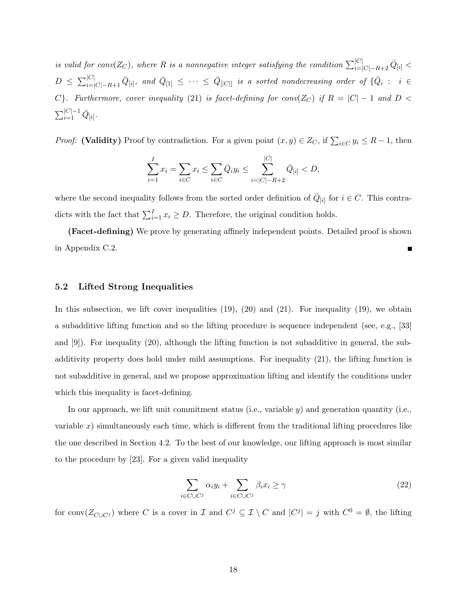is valid for conv $(Z_C)$ , where R is a nonnegative integer satisfying the condition  $\sum_{i=|C|-R+2}^{|C|} \bar{Q}_{[i]}$  $D \ \leq \ \sum_{i=|C|-R+1}^{|C|} \bar{Q}_{[i]}, \ \textit{and} \ \bar{Q}_{[1]} \ \leq \ \cdots \ \leq \ \bar{Q}_{[|C|]} \ \textit{is a sorted nondecreasing order of} \ \{\bar{Q}_i \ : \ \ i \ \in \mathcal{S}_i\}.$ C}. Furthermore, cover inequality (21) is facet-defining for conv( $Z_C$ ) if  $R = |C| - 1$  and  $D <$  $\sum_{i=1}^{|C|-1}\bar{Q}_{[i]}.$ 

*Proof:* (Validity) Proof by contradiction. For a given point  $(x, y) \in Z_C$ , if  $\sum_{i \in C} y_i \leq R - 1$ , then

$$
\sum_{i=1}^{I} x_i = \sum_{i \in C} x_i \le \sum_{i \in C} \bar{Q}_i y_i \le \sum_{i=|C|-R+2}^{|C|} \bar{Q}_{[i]} < D,
$$

where the second inequality follows from the sorted order definition of  $\overline{Q}_{[i]}$  for  $i \in C$ . This contradicts with the fact that  $\sum_{i=1}^{I} x_i \geq D$ . Therefore, the original condition holds.

(Facet-defining) We prove by generating affinely independent points. Detailed proof is shown in Appendix C.2.

### 5.2 Lifted Strong Inequalities

In this subsection, we lift cover inequalities  $(19)$ ,  $(20)$  and  $(21)$ . For inequality  $(19)$ , we obtain a subadditive lifting function and so the lifting procedure is sequence independent (see, e.g., [33] and [9]). For inequality (20), although the lifting function is not subadditive in general, the subadditivity property does hold under mild assumptions. For inequality (21), the lifting function is not subadditive in general, and we propose approximation lifting and identify the conditions under which this inequality is facet-defining.

In our approach, we lift unit commitment status (i.e., variable  $y$ ) and generation quantity (i.e., variable x) simultaneously each time, which is different from the traditional lifting procedures like the one described in Section 4.2. To the best of our knowledge, our lifting approach is most similar to the procedure by [23]. For a given valid inequality

$$
\sum_{i \in C \cup C^j} \alpha_i y_i + \sum_{i \in C \cup C^j} \beta_i x_i \ge \gamma \tag{22}
$$

for conv $(Z_{C\cup C_j})$  where C is a cover in  $\mathcal I$  and  $C^j \subseteq \mathcal I \setminus C$  and  $|C^j| = j$  with  $C^0 = \emptyset$ , the lifting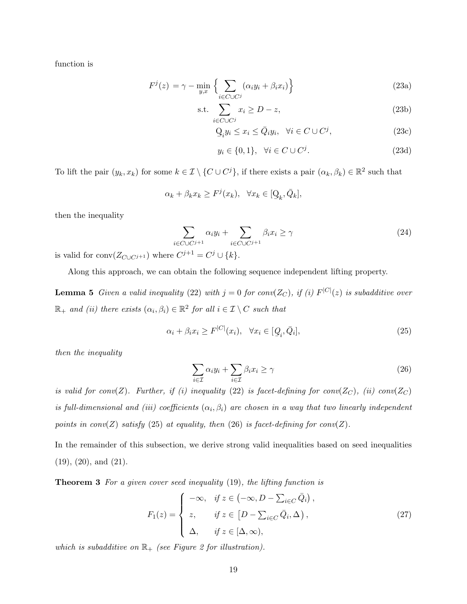function is

$$
F^{j}(z) = \gamma - \min_{y,x} \left\{ \sum_{i \in C \cup C^{j}} (\alpha_{i} y_{i} + \beta_{i} x_{i}) \right\}
$$
 (23a)

$$
\text{s.t.} \sum_{i \in C \cup C^j} x_i \ge D - z,\tag{23b}
$$

$$
Q_i y_i \le x_i \le \bar{Q}_i y_i, \quad \forall i \in C \cup C^j,
$$
\n(23c)

$$
y_i \in \{0, 1\}, \quad \forall i \in C \cup C^j. \tag{23d}
$$

To lift the pair  $(y_k, x_k)$  for some  $k \in \mathcal{I} \setminus \{C \cup C^j\}$ , if there exists a pair  $(\alpha_k, \beta_k) \in \mathbb{R}^2$  such that

$$
\alpha_k + \beta_k x_k \ge F^j(x_k), \quad \forall x_k \in [\mathcal{Q}_k, \bar{\mathcal{Q}}_k],
$$

then the inequality

$$
\sum_{i \in C \cup C^{j+1}} \alpha_i y_i + \sum_{i \in C \cup C^{j+1}} \beta_i x_i \ge \gamma \tag{24}
$$

is valid for  $\text{conv}(Z_{C\cup C^{j+1}})$  where  $C^{j+1} = C^j \cup \{k\}.$ 

Along this approach, we can obtain the following sequence independent lifting property.

**Lemma 5** Given a valid inequality (22) with  $j = 0$  for conv( $Z_C$ ), if (i)  $F^{|C|}(z)$  is subadditive over  $\mathbb{R}_+$  and (ii) there exists  $(\alpha_i, \beta_i) \in \mathbb{R}^2$  for all  $i \in \mathcal{I} \setminus C$  such that

$$
\alpha_i + \beta_i x_i \ge F^{|C|}(x_i), \quad \forall x_i \in [Q_i, \bar{Q}_i], \tag{25}
$$

then the inequality

$$
\sum_{i \in \mathcal{I}} \alpha_i y_i + \sum_{i \in \mathcal{I}} \beta_i x_i \ge \gamma \tag{26}
$$

is valid for conv(Z). Further, if (i) inequality (22) is facet-defining for conv(Z<sub>C</sub>), (ii) conv(Z<sub>C</sub>) is full-dimensional and (iii) coefficients  $(\alpha_i, \beta_i)$  are chosen in a way that two linearly independent points in  $conv(Z)$  satisfy (25) at equality, then (26) is facet-defining for  $conv(Z)$ .

In the remainder of this subsection, we derive strong valid inequalities based on seed inequalities (19), (20), and (21).

Theorem 3 For a given cover seed inequality (19), the lifting function is

$$
F_1(z) = \begin{cases} -\infty, & \text{if } z \in (-\infty, D - \sum_{i \in C} \bar{Q}_i), \\ z, & \text{if } z \in [D - \sum_{i \in C} \bar{Q}_i, \Delta), \\ \Delta, & \text{if } z \in [\Delta, \infty), \end{cases}
$$
(27)

which is subadditive on  $\mathbb{R}_+$  (see Figure 2 for illustration).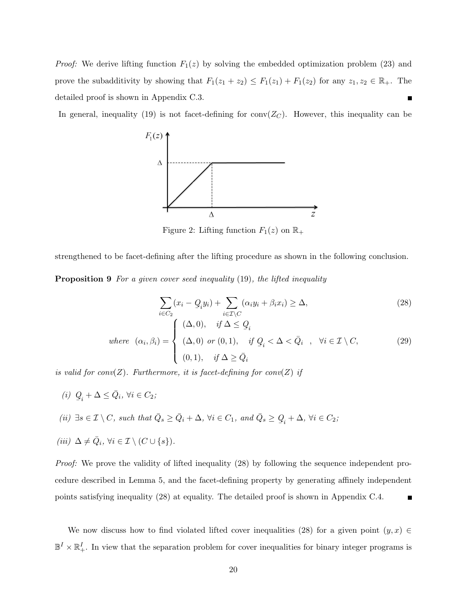*Proof:* We derive lifting function  $F_1(z)$  by solving the embedded optimization problem (23) and prove the subadditivity by showing that  $F_1(z_1 + z_2) \le F_1(z_1) + F_1(z_2)$  for any  $z_1, z_2 \in \mathbb{R}_+$ . The detailed proof is shown in Appendix C.3. г

In general, inequality (19) is not facet-defining for conv $(Z_C)$ . However, this inequality can be



Figure 2: Lifting function  $F_1(z)$  on  $\mathbb{R}_+$ 

strengthened to be facet-defining after the lifting procedure as shown in the following conclusion.

Proposition 9 For a given cover seed inequality (19), the lifted inequality

$$
\sum_{i \in C_2} (x_i - Q_i y_i) + \sum_{i \in \mathcal{I} \setminus C} (\alpha_i y_i + \beta_i x_i) \ge \Delta,
$$
\n(28)  
\nwhere  $(\alpha_i, \beta_i) = \begin{cases} (\Delta, 0), & \text{if } \Delta \le Q_i \\ (\Delta, 0) & \text{or } (0, 1), \quad \text{if } Q_i < \Delta < \bar{Q}_i \\ (0, 1), & \text{if } \Delta \ge \bar{Q}_i \end{cases}$ ,  $\forall i \in \mathcal{I} \setminus C$ , (29)

is valid for conv(Z). Furthermore, it is facet-defining for conv(Z) if

- (i) Q  $Q_i + \Delta \leq \bar{Q}_i, \ \forall i \in C_2;$
- (ii)  $\exists s \in \mathcal{I} \setminus C$ , such that  $\overline{Q}_s \ge \overline{Q}_i + \Delta$ ,  $\forall i \in C_1$ , and  $\overline{Q}_s \ge Q$  $Q_i + \Delta, \,\forall i \in C_2;$
- (iii)  $\Delta \neq \overline{Q}_i$ ,  $\forall i \in \mathcal{I} \setminus (C \cup \{s\}).$

Proof: We prove the validity of lifted inequality (28) by following the sequence independent procedure described in Lemma 5, and the facet-defining property by generating affinely independent points satisfying inequality (28) at equality. The detailed proof is shown in Appendix C.4. П

We now discuss how to find violated lifted cover inequalities (28) for a given point  $(y, x) \in$  $\mathbb{B}^I \times \mathbb{R}^I_+$ . In view that the separation problem for cover inequalities for binary integer programs is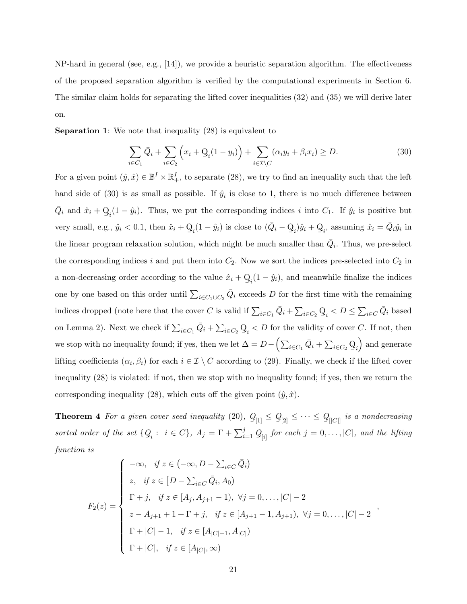NP-hard in general (see, e.g., [14]), we provide a heuristic separation algorithm. The effectiveness of the proposed separation algorithm is verified by the computational experiments in Section 6. The similar claim holds for separating the lifted cover inequalities (32) and (35) we will derive later on.

Separation 1: We note that inequality (28) is equivalent to

$$
\sum_{i \in C_1} \bar{Q}_i + \sum_{i \in C_2} \left( x_i + \mathcal{Q}_i (1 - y_i) \right) + \sum_{i \in \mathcal{I} \setminus C} (\alpha_i y_i + \beta_i x_i) \ge D. \tag{30}
$$

For a given point  $(\hat{y}, \hat{x}) \in \mathbb{B}^I \times \mathbb{R}^I_+$ , to separate (28), we try to find an inequality such that the left hand side of (30) is as small as possible. If  $\hat{y}_i$  is close to 1, there is no much difference between  $\bar{Q}_i$  and  $\hat{x}_i + Q$  $Q_i(1 - \hat{y}_i)$ . Thus, we put the corresponding indices i into  $C_1$ . If  $\hat{y}_i$  is positive but very small, e.g.,  $\hat{y}_i < 0.1$ , then  $\hat{x}_i + Q$  $Q_i(1 - \hat{y}_i)$  is close to  $(\bar{Q}_i - Q)$  $Q_i$ ) $\hat{y}_i + Q$  $Q_i$ , assuming  $\hat{x}_i = \bar{Q}_i \hat{y}_i$  in the linear program relaxation solution, which might be much smaller than  $\overline{Q}_i$ . Thus, we pre-select the corresponding indices i and put them into  $C_2$ . Now we sort the indices pre-selected into  $C_2$  in a non-decreasing order according to the value  $\hat{x}_i + Q$  $Q_i(1 - \hat{y}_i)$ , and meanwhile finalize the indices one by one based on this order until  $\sum_{i \in C_1 \cup C_2} \bar{Q}_i$  exceeds D for the first time with the remaining indices dropped (note here that the cover C is valid if  $\sum_{i \in C_1} \bar{Q}_i + \sum_{i \in C_2} Q_i$  $Q_i < D \leq \sum_{i \in C} \bar{Q}_i$  based on Lemma 2). Next we check if  $\sum_{i \in C_1} \bar{Q}_i + \sum_{i \in C_2} Q_i$  $Q_i < D$  for the validity of cover C. If not, then we stop with no inequality found; if yes, then we let  $\Delta = D - \left(\sum_{i \in C_1} \bar{Q}_i + \sum_{i \in C_2} Q_i\right)$  $\leq i$  and generate lifting coefficients  $(\alpha_i, \beta_i)$  for each  $i \in \mathcal{I} \setminus C$  according to (29). Finally, we check if the lifted cover inequality (28) is violated: if not, then we stop with no inequality found; if yes, then we return the corresponding inequality (28), which cuts off the given point  $(\hat{y}, \hat{x})$ .

**Theorem 4** For a given cover seed inequality  $(20)$ ,  $Q$  $Q_{[1]} \leq Q_{[2]} \leq \cdots \leq Q_{[|C|]}$  is a nondecreasing sorted order of the set {Q  $Q_i: i \in C$ ,  $A_j = \Gamma + \sum_{i=1}^j Q_{[i]}$  for each  $j = 0, \ldots, |C|$ , and the lifting function is

$$
F_2(z) = \begin{cases}\n-\infty, & \text{if } z \in (-\infty, D - \sum_{i \in C} \bar{Q}_i) \\
z, & \text{if } z \in [D - \sum_{i \in C} \bar{Q}_i, A_0) \\
\Gamma + j, & \text{if } z \in [A_j, A_{j+1} - 1), \ \forall j = 0, \dots, |C| - 2 \\
z - A_{j+1} + 1 + \Gamma + j, & \text{if } z \in [A_{j+1} - 1, A_{j+1}), \ \forall j = 0, \dots, |C| - 2 \\
\Gamma + |C| - 1, & \text{if } z \in [A_{|C| - 1}, A_{|C|}) \\
\Gamma + |C|, & \text{if } z \in [A_{|C|}, \infty)\n\end{cases}
$$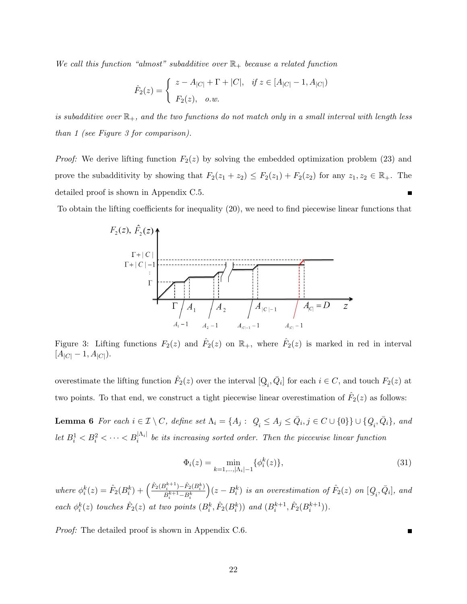We call this function "almost" subadditive over  $\mathbb{R}_+$  because a related function

$$
\hat{F}_2(z) = \begin{cases} z - A_{|C|} + \Gamma + |C|, & \text{if } z \in [A_{|C|} - 1, A_{|C|}) \\ F_2(z), & \text{o.w.} \end{cases}
$$

is subadditive over  $\mathbb{R}_+$ , and the two functions do not match only in a small interval with length less than 1 (see Figure 3 for comparison).

*Proof:* We derive lifting function  $F_2(z)$  by solving the embedded optimization problem (23) and prove the subadditivity by showing that  $F_2(z_1 + z_2) \leq F_2(z_1) + F_2(z_2)$  for any  $z_1, z_2 \in \mathbb{R}_+$ . The detailed proof is shown in Appendix C.5.

To obtain the lifting coefficients for inequality (20), we need to find piecewise linear functions that



Figure 3: Lifting functions  $F_2(z)$  and  $\hat{F}_2(z)$  on  $\mathbb{R}_+$ , where  $\hat{F}_2(z)$  is marked in red in interval  $[A_{|C|} - 1, A_{|C|}).$ 

overestimate the lifting function  $\hat{F}_2(z)$  over the interval [Q  $Q_i, \bar{Q}_i$  for each  $i \in C$ , and touch  $F_2(z)$  at two points. To that end, we construct a tight piecewise linear overestimation of  $\hat{F}_2(z)$  as follows:

**Lemma 6** For each  $i \in \mathcal{I} \setminus C$ , define set  $\Lambda_i = \{A_j : \ Q_i \leq A_j \leq \bar{Q}_i, j \in C \cup \{0\}\} \cup \{Q_i, \bar{Q}_i\}$ , and  $\frac{1}{2}i - \frac{1}{2} - \frac{1}{2}i$ let  $B_i^1 < B_i^2 < \cdots < B_i^{|\Lambda_i|}$  be its increasing sorted order. Then the piecewise linear function

$$
\Phi_i(z) = \min_{k=1,\dots,|\Lambda_i|-1} \{ \phi_i^k(z) \},\tag{31}
$$

where  $\phi_i^k(z) = \hat{F}_2(B_i^k) + \left(\frac{\hat{F}_2(B_i^{k+1}) - \hat{F}_2(B_i^k)}{B_i^{k+1} - B_i^k}\right)$  $B_i^{k+1}$ – $B_i^k$  $\Big)(z-B^{k}_{i})$  is an overestimation of  $\hat{F}_{2}(z)$  on  $[Q]$  $[Q_i, \bar{Q}_i]$ , and each  $\phi_i^k(z)$  touches  $\hat{F}_2(z)$  at two points  $(B_i^k, \hat{F}_2(B_i^k))$  and  $(B_i^{k+1}, \hat{F}_2(B_i^{k+1}))$ .

Proof: The detailed proof is shown in Appendix C.6.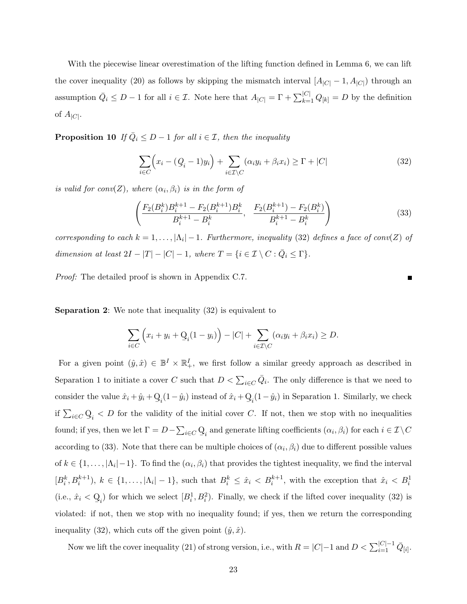With the piecewise linear overestimation of the lifting function defined in Lemma 6, we can lift the cover inequality (20) as follows by skipping the mismatch interval  $[A<sub>|C</sub>] - 1, A<sub>|C|</sub>$  through an assumption  $\overline{Q}_i \leq D-1$  for all  $i \in \mathcal{I}$ . Note here that  $A_{|C|} = \Gamma + \sum_{k=1}^{|C|} Q_{[k]} = D$  by the definition of  $A_{|C|}$ .

**Proposition 10** If  $\overline{Q}_i \leq D-1$  for all  $i \in \mathcal{I}$ , then the inequality

$$
\sum_{i \in C} \left( x_i - (Q_i - 1)y_i \right) + \sum_{i \in \mathcal{I} \setminus C} (\alpha_i y_i + \beta_i x_i) \ge \Gamma + |C| \tag{32}
$$

is valid for conv(Z), where  $(\alpha_i, \beta_i)$  is in the form of

$$
\left(\frac{F_2(B_i^k)B_i^{k+1} - F_2(B_i^{k+1})B_i^k}{B_i^{k+1} - B_i^k}, \frac{F_2(B_i^{k+1}) - F_2(B_i^k)}{B_i^{k+1} - B_i^k}\right)
$$
\n(33)

corresponding to each  $k = 1, ..., |\Lambda_i| - 1$ . Furthermore, inequality (32) defines a face of conv(Z) of dimension at least  $2I - |T| - |C| - 1$ , where  $T = \{i \in \mathcal{I} \setminus C : \overline{Q}_i \leq \Gamma\}.$ 

Proof: The detailed proof is shown in Appendix C.7.

Separation 2: We note that inequality (32) is equivalent to

$$
\sum_{i \in C} \left( x_i + y_i + \mathcal{Q}_i (1 - y_i) \right) - |C| + \sum_{i \in \mathcal{I} \setminus C} (\alpha_i y_i + \beta_i x_i) \ge D.
$$

For a given point  $(\hat{y}, \hat{x}) \in \mathbb{B}^I \times \mathbb{R}^I_+$ , we first follow a similar greedy approach as described in Separation 1 to initiate a cover C such that  $D < \sum_{i \in C} \overline{Q}_i$ . The only difference is that we need to consider the value  $\hat{x}_i + \hat{y}_i + Q$  $\mathbf{Q}_i(1-\hat{y}_i)$  instead of  $\hat{x}_i + \mathbf{Q}$  $Q_i(1 - \hat{y}_i)$  in Separation 1. Similarly, we check if  $\sum_{i\in C} Q_i < D$  for the validity of the initial cover C. If not, then we stop with no inequalities found; if yes, then we let  $\Gamma = D - \sum_{i \in C} \mathcal{Q}_i$  and generate lifting coefficients  $(\alpha_i, \beta_i)$  for each  $i \in \mathcal{I} \setminus C$ according to (33). Note that there can be multiple choices of  $(\alpha_i, \beta_i)$  due to different possible values of  $k \in \{1, \ldots, |\Lambda_i| - 1\}$ . To find the  $(\alpha_i, \beta_i)$  that provides the tightest inequality, we find the interval  $[B_i^k, B_i^{k+1}), k \in \{1, \ldots, |\Lambda_i| - 1\}$ , such that  $B_i^k \leq \hat{x}_i < B_i^{k+1}$ , with the exception that  $\hat{x}_i < B_i^1$ (i.e.,  $\hat{x}_i < Q$  $Q_i$ ) for which we select  $[B_i^1, B_i^2)$ . Finally, we check if the lifted cover inequality (32) is violated: if not, then we stop with no inequality found; if yes, then we return the corresponding inequality (32), which cuts off the given point  $(\hat{y}, \hat{x})$ .

Now we lift the cover inequality (21) of strong version, i.e., with  $R = |C|-1$  and  $D < \sum_{i=1}^{|C|-1} \bar{Q}_{[i]}$ .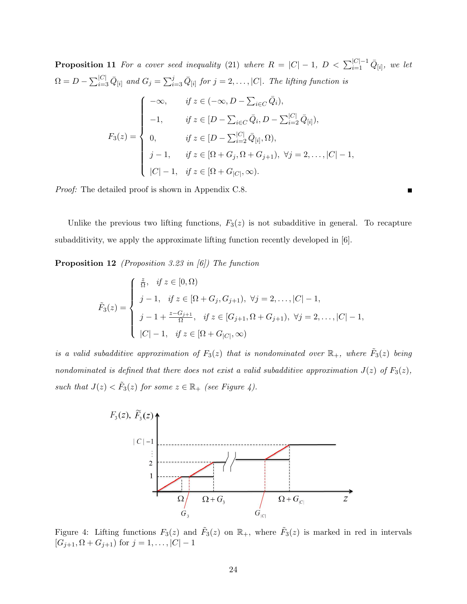**Proposition 11** For a cover seed inequality (21) where  $R = |C| - 1$ ,  $D < \sum_{i=1}^{|C|-1} \bar{Q}_{[i]}$ , we let  $\Omega = D - \sum_{i=3}^{|C|} \bar{Q}_{[i]}$  and  $G_j = \sum_{i=3}^j \bar{Q}_{[i]}$  for  $j = 2, \ldots, |C|$ . The lifting function is  $F_3(z) =$  $\sqrt{ }$  $\begin{array}{c} \hline \end{array}$  $\begin{array}{|c|c|} \hline \rule{0pt}{12pt} \rule{0pt}{2pt} \rule{0pt}{2pt} \rule{0pt}{2pt} \rule{0pt}{2pt} \rule{0pt}{2pt} \rule{0pt}{2pt} \rule{0pt}{2pt} \rule{0pt}{2pt} \rule{0pt}{2pt} \rule{0pt}{2pt} \rule{0pt}{2pt} \rule{0pt}{2pt} \rule{0pt}{2pt} \rule{0pt}{2pt} \rule{0pt}{2pt} \rule{0pt}{2pt} \rule{0pt}{2pt} \rule{0pt}{2pt} \rule{0pt}{2pt} \rule{0pt}{2pt} \rule{0pt}{2pt} \rule{0pt}{2$  $-\infty$ , if  $z \in (-\infty, D - \sum_{i \in C} \bar{Q}_i)$ ,  $-1,$  if  $z \in [D - \sum_{i \in C} \bar{Q}_i, D - \sum_{i=2}^{|C|} \bar{Q}_{[i]}),$ 0,  $if z \in [D - \sum_{i=2}^{|C|} \bar{Q}_{[i]}, \Omega),$  $j-1$ , if  $z \in [\Omega + G_j, \Omega + G_{j+1}), \ \forall j = 2, \ldots, |C| - 1,$  $|C| - 1$ , if  $z \in [\Omega + G_{|C|}, \infty)$ .

Proof: The detailed proof is shown in Appendix C.8.

Unlike the previous two lifting functions,  $F_3(z)$  is not subadditive in general. To recapture subadditivity, we apply the approximate lifting function recently developed in [6].

**Proposition 12** (Proposition 3.23 in  $[6]$ ) The function

$$
\tilde{F}_3(z) = \begin{cases}\n\frac{z}{\Omega}, & \text{if } z \in [0, \Omega) \\
j - 1, & \text{if } z \in [\Omega + G_j, G_{j+1}), \ \forall j = 2, \dots, |C| - 1, \\
j - 1 + \frac{z - G_{j+1}}{\Omega}, & \text{if } z \in [G_{j+1}, \Omega + G_{j+1}), \ \forall j = 2, \dots, |C| - 1, \\
|C| - 1, & \text{if } z \in [\Omega + G_{|C|}, \infty)\n\end{cases}
$$

is a valid subadditive approximation of  $F_3(z)$  that is nondominated over  $\mathbb{R}_+$ , where  $\tilde{F}_3(z)$  being nondominated is defined that there does not exist a valid subadditive approximation  $J(z)$  of  $F_3(z)$ , such that  $J(z) < \tilde{F}_3(z)$  for some  $z \in \mathbb{R}_+$  (see Figure 4).



Figure 4: Lifting functions  $F_3(z)$  and  $\tilde{F}_3(z)$  on  $\mathbb{R}_+$ , where  $\tilde{F}_3(z)$  is marked in red in intervals  $[G_{j+1}, \Omega + G_{j+1})$  for  $j = 1, ..., |C| - 1$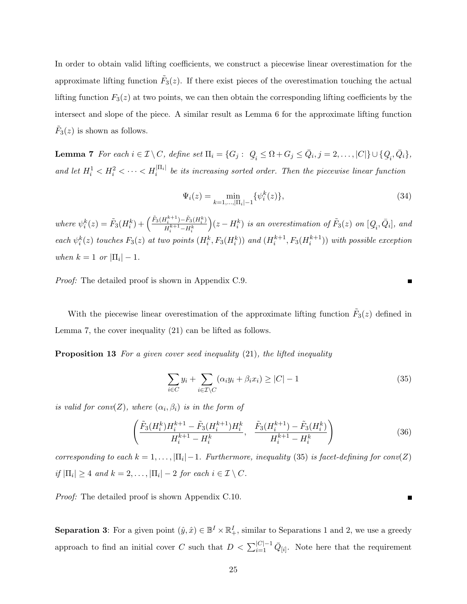In order to obtain valid lifting coefficients, we construct a piecewise linear overestimation for the approximate lifting function  $\tilde{F}_3(z)$ . If there exist pieces of the overestimation touching the actual lifting function  $F_3(z)$  at two points, we can then obtain the corresponding lifting coefficients by the intersect and slope of the piece. A similar result as Lemma 6 for the approximate lifting function  $\tilde{F}_3(z)$  is shown as follows.

**Lemma 7** For each  $i \in \mathcal{I} \setminus C$ , define set  $\Pi_i = \{G_j : \ Q_i \leq \Omega + G_j \leq \bar{Q}_i, j = 2, \ldots, |C|\} \cup \{Q_i, \bar{Q}_i\}$ ,  $\frac{1}{2}i$   $\frac{1}{2}$   $\frac{1}{2}$   $\frac{1}{2}$   $\frac{1}{2}$   $\frac{1}{2}$   $\frac{1}{2}$   $\frac{1}{2}$   $\frac{1}{2}$   $\frac{1}{2}$ and let  $H_i^1 < H_i^2 < \cdots < H_i^{|\Pi_i|}$  be its increasing sorted order. Then the piecewise linear function

$$
\Psi_i(z) = \min_{k=1,\dots,|\Pi_i|-1} \{ \psi_i^k(z) \},\tag{34}
$$

where  $\psi_i^k(z) = \tilde{F}_3(H_i^k) + \left(\frac{\tilde{F}_3(H_i^{k+1}) - \tilde{F}_3(H_i^k)}{H_i^{k+1} - H_i^k}\right)$  $H_i^{k+1}$ – $H_i^k$  $\Big)(z-H_{i}^{k})$  is an overestimation of  $\tilde{F}_{3}(z)$  on  $[Q]$  $[Q_i, \bar{Q}_i]$ , and each  $\psi_i^k(z)$  touches  $F_3(z)$  at two points  $(H_i^k, F_3(H_i^k))$  and  $(H_i^{k+1}, F_3(H_i^{k+1}))$  with possible exception when  $k = 1$  or  $|\Pi_i| - 1$ .

Proof: The detailed proof is shown in Appendix C.9.

With the piecewise linear overestimation of the approximate lifting function  $\tilde{F}_3(z)$  defined in Lemma 7, the cover inequality (21) can be lifted as follows.

**Proposition 13** For a given cover seed inequality (21), the lifted inequality

$$
\sum_{i \in C} y_i + \sum_{i \in \mathcal{I} \setminus C} (\alpha_i y_i + \beta_i x_i) \ge |C| - 1 \tag{35}
$$

is valid for conv(Z), where  $(\alpha_i, \beta_i)$  is in the form of

$$
\left(\frac{\tilde{F}_3(H_i^k)H_i^{k+1} - \tilde{F}_3(H_i^{k+1})H_i^k}{H_i^{k+1} - H_i^k}, \frac{\tilde{F}_3(H_i^{k+1}) - \tilde{F}_3(H_i^k)}{H_i^{k+1} - H_i^k}\right) \tag{36}
$$

corresponding to each  $k = 1, ..., |\Pi_i| - 1$ . Furthermore, inequality (35) is facet-defining for conv(Z) if  $|\Pi_i| \geq 4$  and  $k = 2, \ldots, |\Pi_i| - 2$  for each  $i \in \mathcal{I} \setminus C$ .

Proof: The detailed proof is shown Appendix C.10.

**Separation 3:** For a given point  $(\hat{y}, \hat{x}) \in \mathbb{B}^I \times \mathbb{R}^I_+$ , similar to Separations 1 and 2, we use a greedy approach to find an initial cover C such that  $D < \sum_{i=1}^{|C|-1} \bar{Q}_{[i]}$ . Note here that the requirement

**The Second Service**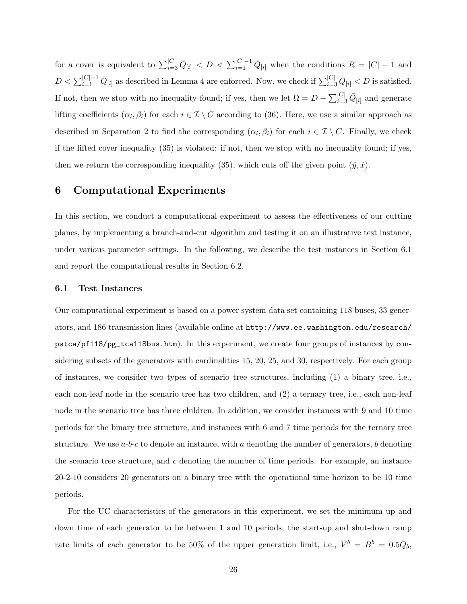for a cover is equivalent to  $\sum_{i=3}^{|C|} \bar{Q}_{[i]} < D < \sum_{i=1}^{|C|-1} \bar{Q}_{[i]}$  when the conditions  $R = |C|-1$  and  $D < \sum_{i=1}^{|C|-1} \bar{Q}_{[i]}$  as described in Lemma 4 are enforced. Now, we check if  $\sum_{i=3}^{|C|} \bar{Q}_{[i]} < D$  is satisfied. If not, then we stop with no inequality found; if yes, then we let  $\Omega = D - \sum_{i=3}^{|C|} \bar{Q}_{[i]}$  and generate lifting coefficients  $(\alpha_i, \beta_i)$  for each  $i \in \mathcal{I} \setminus C$  according to (36). Here, we use a similar approach as described in Separation 2 to find the corresponding  $(\alpha_i, \beta_i)$  for each  $i \in \mathcal{I} \setminus C$ . Finally, we check if the lifted cover inequality (35) is violated: if not, then we stop with no inequality found; if yes, then we return the corresponding inequality (35), which cuts off the given point  $(\hat{y}, \hat{x})$ .

### 6 Computational Experiments

In this section, we conduct a computational experiment to assess the effectiveness of our cutting planes, by implementing a branch-and-cut algorithm and testing it on an illustrative test instance, under various parameter settings. In the following, we describe the test instances in Section 6.1 and report the computational results in Section 6.2.

#### 6.1 Test Instances

Our computational experiment is based on a power system data set containing 118 buses, 33 generators, and 186 transmission lines (available online at http://www.ee.washington.edu/research/ pstca/pf118/pg\_tca118bus.htm). In this experiment, we create four groups of instances by considering subsets of the generators with cardinalities 15, 20, 25, and 30, respectively. For each group of instances, we consider two types of scenario tree structures, including (1) a binary tree, i.e., each non-leaf node in the scenario tree has two children, and (2) a ternary tree, i.e., each non-leaf node in the scenario tree has three children. In addition, we consider instances with 9 and 10 time periods for the binary tree structure, and instances with 6 and 7 time periods for the ternary tree structure. We use  $a-b-c$  to denote an instance, with a denoting the number of generators, b denoting the scenario tree structure, and  $c$  denoting the number of time periods. For example, an instance 20-2-10 considers 20 generators on a binary tree with the operational time horizon to be 10 time periods.

For the UC characteristics of the generators in this experiment, we set the minimum up and down time of each generator to be between 1 and 10 periods, the start-up and shut-down ramp rate limits of each generator to be 50% of the upper generation limit, i.e.,  $\bar{V}^b = \bar{B}^b = 0.5\bar{Q}_b$ ,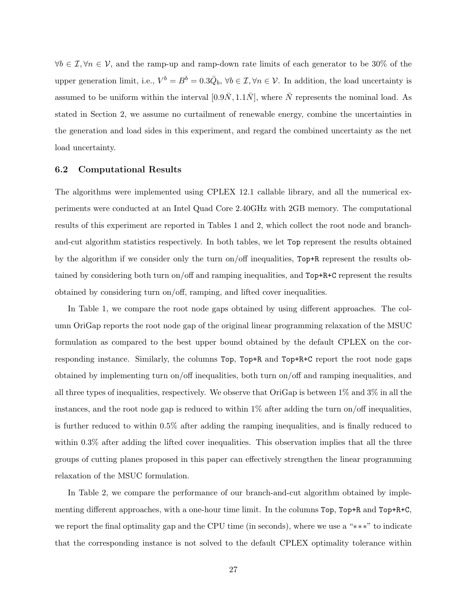$\forall b \in \mathcal{I}, \forall n \in \mathcal{V},$  and the ramp-up and ramp-down rate limits of each generator to be 30% of the upper generation limit, i.e.,  $V^b = B^b = 0.3 \overline{Q}_b$ ,  $\forall b \in \mathcal{I}, \forall n \in \mathcal{V}$ . In addition, the load uncertainty is assumed to be uniform within the interval  $[0.9\overline{N}, 1.1\overline{N}]$ , where  $\overline{N}$  represents the nominal load. As stated in Section 2, we assume no curtailment of renewable energy, combine the uncertainties in the generation and load sides in this experiment, and regard the combined uncertainty as the net load uncertainty.

### 6.2 Computational Results

The algorithms were implemented using CPLEX 12.1 callable library, and all the numerical experiments were conducted at an Intel Quad Core 2.40GHz with 2GB memory. The computational results of this experiment are reported in Tables 1 and 2, which collect the root node and branchand-cut algorithm statistics respectively. In both tables, we let Top represent the results obtained by the algorithm if we consider only the turn on/off inequalities, Top+R represent the results obtained by considering both turn on/off and ramping inequalities, and Top+R+C represent the results obtained by considering turn on/off, ramping, and lifted cover inequalities.

In Table 1, we compare the root node gaps obtained by using different approaches. The column OriGap reports the root node gap of the original linear programming relaxation of the MSUC formulation as compared to the best upper bound obtained by the default CPLEX on the corresponding instance. Similarly, the columns Top, Top+R and Top+R+C report the root node gaps obtained by implementing turn on/off inequalities, both turn on/off and ramping inequalities, and all three types of inequalities, respectively. We observe that OriGap is between 1% and 3% in all the instances, and the root node gap is reduced to within  $1\%$  after adding the turn on/off inequalities, is further reduced to within 0.5% after adding the ramping inequalities, and is finally reduced to within 0.3% after adding the lifted cover inequalities. This observation implies that all the three groups of cutting planes proposed in this paper can effectively strengthen the linear programming relaxation of the MSUC formulation.

In Table 2, we compare the performance of our branch-and-cut algorithm obtained by implementing different approaches, with a one-hour time limit. In the columns Top, Top+R and Top+R+C, we report the final optimality gap and the CPU time (in seconds), where we use a "∗∗∗" to indicate that the corresponding instance is not solved to the default CPLEX optimality tolerance within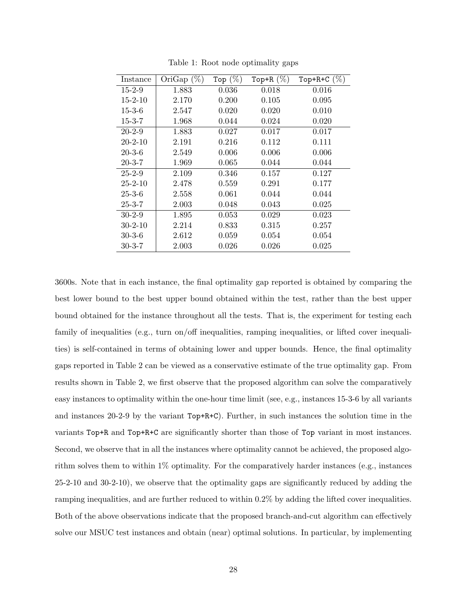| Instance      | OriGap $(\%)$ | Top $(\%)$ | Top+R $(\%)$ | Top+R+C $(\%)$ |
|---------------|---------------|------------|--------------|----------------|
| $15 - 2 - 9$  | 1.883         | 0.036      | 0.018        | 0.016          |
| $15 - 2 - 10$ | 2.170         | 0.200      | 0.105        | 0.095          |
| $15 - 3 - 6$  | 2.547         | 0.020      | 0.020        | 0.010          |
| $15 - 3 - 7$  | 1.968         | 0.044      | 0.024        | 0.020          |
| $20 - 2 - 9$  | 1.883         | 0.027      | 0.017        | 0.017          |
| $20 - 2 - 10$ | 2.191         | 0.216      | 0.112        | 0.111          |
| $20 - 3 - 6$  | 2.549         | 0.006      | 0.006        | 0.006          |
| $20 - 3 - 7$  | 1.969         | 0.065      | 0.044        | 0.044          |
| $25 - 2 - 9$  | 2.109         | 0.346      | 0.157        | 0.127          |
| $25 - 2 - 10$ | 2.478         | 0.559      | 0.291        | 0.177          |
| $25 - 3 - 6$  | 2.558         | 0.061      | 0.044        | 0.044          |
| $25 - 3 - 7$  | 2.003         | 0.048      | 0.043        | 0.025          |
| $30-2-9$      | 1.895         | 0.053      | 0.029        | 0.023          |
| $30 - 2 - 10$ | 2.214         | 0.833      | 0.315        | 0.257          |
| $30 - 3 - 6$  | 2.612         | 0.059      | 0.054        | 0.054          |
| $30 - 3 - 7$  | 2.003         | 0.026      | 0.026        | 0.025          |

Table 1: Root node optimality gaps

3600s. Note that in each instance, the final optimality gap reported is obtained by comparing the best lower bound to the best upper bound obtained within the test, rather than the best upper bound obtained for the instance throughout all the tests. That is, the experiment for testing each family of inequalities (e.g., turn on/off inequalities, ramping inequalities, or lifted cover inequalities) is self-contained in terms of obtaining lower and upper bounds. Hence, the final optimality gaps reported in Table 2 can be viewed as a conservative estimate of the true optimality gap. From results shown in Table 2, we first observe that the proposed algorithm can solve the comparatively easy instances to optimality within the one-hour time limit (see, e.g., instances 15-3-6 by all variants and instances 20-2-9 by the variant Top+R+C). Further, in such instances the solution time in the variants Top+R and Top+R+C are significantly shorter than those of Top variant in most instances. Second, we observe that in all the instances where optimality cannot be achieved, the proposed algorithm solves them to within 1% optimality. For the comparatively harder instances (e.g., instances 25-2-10 and 30-2-10), we observe that the optimality gaps are significantly reduced by adding the ramping inequalities, and are further reduced to within 0.2% by adding the lifted cover inequalities. Both of the above observations indicate that the proposed branch-and-cut algorithm can effectively solve our MSUC test instances and obtain (near) optimal solutions. In particular, by implementing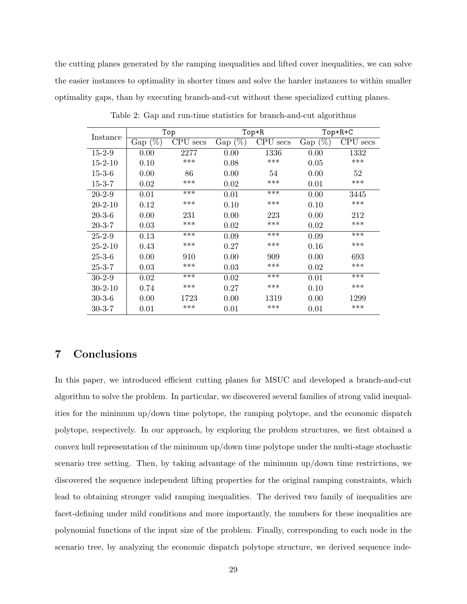the cutting planes generated by the ramping inequalities and lifted cover inequalities, we can solve the easier instances to optimality in shorter times and solve the harder instances to within smaller optimality gaps, than by executing branch-and-cut without these specialized cutting planes.

| Instance      |                               | Top                |                       | $Top+R$     | Top+R+C        |          |  |  |
|---------------|-------------------------------|--------------------|-----------------------|-------------|----------------|----------|--|--|
|               | $\text{Gap } (\overline{\%})$ | <b>CPU</b><br>secs | Gap $(\overline{\%})$ | CPU<br>secs | $(\% )$<br>Gap | CPU secs |  |  |
| $15 - 2 - 9$  | 0.00                          | 2277               | 0.00                  | 1336        | 0.00           | 1332     |  |  |
| $15 - 2 - 10$ | 0.10                          | ***                | 0.08                  | ***         | 0.05           | ***      |  |  |
| $15 - 3 - 6$  | 0.00                          | 86                 | 0.00                  | 54          | 0.00           | 52       |  |  |
| 15-3-7        | 0.02                          | ***                | 0.02                  | ***         | 0.01           | ***      |  |  |
| $20 - 2 - 9$  | 0.01                          | $***$              | 0.01                  | ***         | 0.00           | 3445     |  |  |
| $20 - 2 - 10$ | 0.12                          | ***                | 0.10                  | ***         | 0.10           | ***      |  |  |
| $20 - 3 - 6$  | 0.00                          | 231                | 0.00                  | 223         | 0.00           | 212      |  |  |
| $20 - 3 - 7$  | 0.03                          | ***                | 0.02                  | ***         | 0.02           | ***      |  |  |
| $25 - 2 - 9$  | 0.13                          | ***                | 0.09                  | ***         | 0.09           | ***      |  |  |
| $25 - 2 - 10$ | 0.43                          | ***                | 0.27                  | ***         | 0.16           | ***      |  |  |
| $25 - 3 - 6$  | 0.00                          | 910                | 0.00                  | 909         | 0.00           | 693      |  |  |
| $25 - 3 - 7$  | 0.03                          | ***                | 0.03                  | ***         | 0.02           | ***      |  |  |
| $30-2-9$      | 0.02                          | ***                | 0.02                  | ***         | 0.01           | ***      |  |  |
| $30 - 2 - 10$ | 0.74                          | ***                | 0.27                  | ***         | 0.10           | ***      |  |  |
| $30 - 3 - 6$  | 0.00                          | 1723               | 0.00                  | 1319        | 0.00           | 1299     |  |  |
| 30-3-7        | 0.01                          | ***                | 0.01                  | ***         | 0.01           | ***      |  |  |

Table 2: Gap and run-time statistics for branch-and-cut algorithms

# 7 Conclusions

In this paper, we introduced efficient cutting planes for MSUC and developed a branch-and-cut algorithm to solve the problem. In particular, we discovered several families of strong valid inequalities for the minimum up/down time polytope, the ramping polytope, and the economic dispatch polytope, respectively. In our approach, by exploring the problem structures, we first obtained a convex hull representation of the minimum up/down time polytope under the multi-stage stochastic scenario tree setting. Then, by taking advantage of the minimum up/down time restrictions, we discovered the sequence independent lifting properties for the original ramping constraints, which lead to obtaining stronger valid ramping inequalities. The derived two family of inequalities are facet-defining under mild conditions and more importantly, the numbers for these inequalities are polynomial functions of the input size of the problem. Finally, corresponding to each node in the scenario tree, by analyzing the economic dispatch polytope structure, we derived sequence inde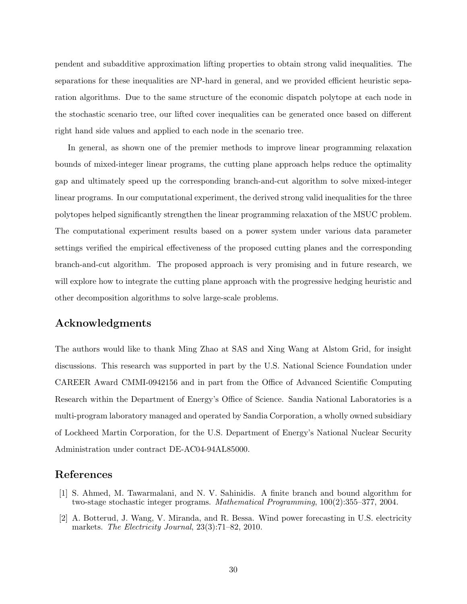pendent and subadditive approximation lifting properties to obtain strong valid inequalities. The separations for these inequalities are NP-hard in general, and we provided efficient heuristic separation algorithms. Due to the same structure of the economic dispatch polytope at each node in the stochastic scenario tree, our lifted cover inequalities can be generated once based on different right hand side values and applied to each node in the scenario tree.

In general, as shown one of the premier methods to improve linear programming relaxation bounds of mixed-integer linear programs, the cutting plane approach helps reduce the optimality gap and ultimately speed up the corresponding branch-and-cut algorithm to solve mixed-integer linear programs. In our computational experiment, the derived strong valid inequalities for the three polytopes helped significantly strengthen the linear programming relaxation of the MSUC problem. The computational experiment results based on a power system under various data parameter settings verified the empirical effectiveness of the proposed cutting planes and the corresponding branch-and-cut algorithm. The proposed approach is very promising and in future research, we will explore how to integrate the cutting plane approach with the progressive hedging heuristic and other decomposition algorithms to solve large-scale problems.

# Acknowledgments

The authors would like to thank Ming Zhao at SAS and Xing Wang at Alstom Grid, for insight discussions. This research was supported in part by the U.S. National Science Foundation under CAREER Award CMMI-0942156 and in part from the Office of Advanced Scientific Computing Research within the Department of Energy's Office of Science. Sandia National Laboratories is a multi-program laboratory managed and operated by Sandia Corporation, a wholly owned subsidiary of Lockheed Martin Corporation, for the U.S. Department of Energy's National Nuclear Security Administration under contract DE-AC04-94AL85000.

### References

- [1] S. Ahmed, M. Tawarmalani, and N. V. Sahinidis. A finite branch and bound algorithm for two-stage stochastic integer programs. Mathematical Programming, 100(2):355–377, 2004.
- [2] A. Botterud, J. Wang, V. Miranda, and R. Bessa. Wind power forecasting in U.S. electricity markets. The Electricity Journal, 23(3):71–82, 2010.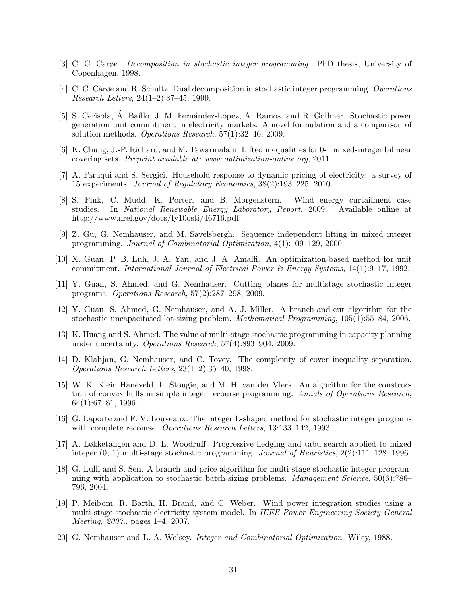- [3] C. C. Carøe. Decomposition in stochastic integer programming. PhD thesis, University of Copenhagen, 1998.
- [4] C. C. Carøe and R. Schultz. Dual decomposition in stochastic integer programming. Operations Research Letters, 24(1–2):37–45, 1999.
- [5] S. Cerisola, A. Baíllo, J. M. Fernández-López, A. Ramos, and R. Gollmer. Stochastic power generation unit commitment in electricity markets: A novel formulation and a comparison of solution methods. Operations Research, 57(1):32–46, 2009.
- [6] K. Chung, J.-P. Richard, and M. Tawarmalani. Lifted inequalities for 0-1 mixed-integer bilinear covering sets. Preprint available at: www.optimization-online.org, 2011.
- [7] A. Faruqui and S. Sergici. Household response to dynamic pricing of electricity: a survey of 15 experiments. Journal of Regulatory Economics, 38(2):193–225, 2010.
- [8] S. Fink, C. Mudd, K. Porter, and B. Morgenstern. Wind energy curtailment case studies. In National Renewable Energy Laboratory Report, 2009. Available online at http://www.nrel.gov/docs/fy10osti/46716.pdf.
- [9] Z. Gu, G. Nemhauser, and M. Savelsbergh. Sequence independent lifting in mixed integer programming. Journal of Combinatorial Optimization, 4(1):109–129, 2000.
- [10] X. Guan, P. B. Luh, J. A. Yan, and J. A. Amalfi. An optimization-based method for unit commitment. International Journal of Electrical Power & Energy Systems, 14(1):9–17, 1992.
- [11] Y. Guan, S. Ahmed, and G. Nemhauser. Cutting planes for multistage stochastic integer programs. Operations Research, 57(2):287–298, 2009.
- [12] Y. Guan, S. Ahmed, G. Nemhauser, and A. J. Miller. A branch-and-cut algorithm for the stochastic uncapacitated lot-sizing problem. Mathematical Programming, 105(1):55–84, 2006.
- [13] K. Huang and S. Ahmed. The value of multi-stage stochastic programming in capacity planning under uncertainty. Operations Research, 57(4):893–904, 2009.
- [14] D. Klabjan, G. Nemhauser, and C. Tovey. The complexity of cover inequality separation. Operations Research Letters, 23(1–2):35–40, 1998.
- [15] W. K. Klein Haneveld, L. Stougie, and M. H. van der Vlerk. An algorithm for the construction of convex hulls in simple integer recourse programming. Annals of Operations Research, 64(1):67–81, 1996.
- [16] G. Laporte and F. V. Louveaux. The integer L-shaped method for stochastic integer programs with complete recourse. *Operations Research Letters*, 13:133–142, 1993.
- [17] A. Løkketangen and D. L. Woodruff. Progressive hedging and tabu search applied to mixed integer  $(0, 1)$  multi-stage stochastic programming. Journal of Heuristics,  $2(2)$ :111–128, 1996.
- [18] G. Lulli and S. Sen. A branch-and-price algorithm for multi-stage stochastic integer programming with application to stochastic batch-sizing problems. Management Science, 50(6):786– 796, 2004.
- [19] P. Meibom, R. Barth, H. Brand, and C. Weber. Wind power integration studies using a multi-stage stochastic electricity system model. In IEEE Power Engineering Society General Meeting, 2007., pages 1–4, 2007.
- [20] G. Nemhauser and L. A. Wolsey. Integer and Combinatorial Optimization. Wiley, 1988.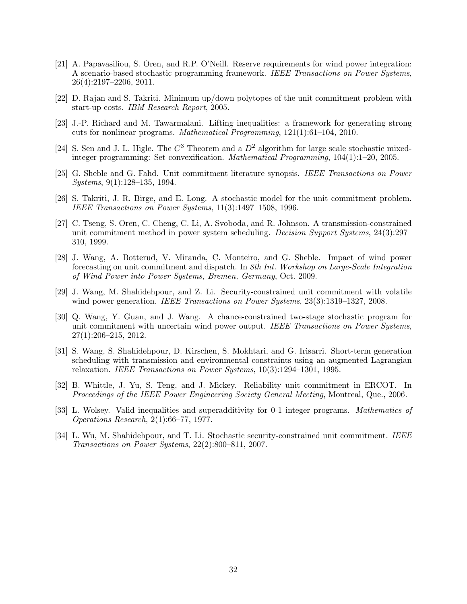- [21] A. Papavasiliou, S. Oren, and R.P. O'Neill. Reserve requirements for wind power integration: A scenario-based stochastic programming framework. IEEE Transactions on Power Systems, 26(4):2197–2206, 2011.
- [22] D. Rajan and S. Takriti. Minimum up/down polytopes of the unit commitment problem with start-up costs. IBM Research Report, 2005.
- [23] J.-P. Richard and M. Tawarmalani. Lifting inequalities: a framework for generating strong cuts for nonlinear programs. Mathematical Programming, 121(1):61–104, 2010.
- [24] S. Sen and J. L. Higle. The  $C^3$  Theorem and a  $D^2$  algorithm for large scale stochastic mixedinteger programming: Set convexification. Mathematical Programming, 104(1):1–20, 2005.
- [25] G. Sheble and G. Fahd. Unit commitment literature synopsis. IEEE Transactions on Power Systems, 9(1):128–135, 1994.
- [26] S. Takriti, J. R. Birge, and E. Long. A stochastic model for the unit commitment problem. IEEE Transactions on Power Systems, 11(3):1497–1508, 1996.
- [27] C. Tseng, S. Oren, C. Cheng, C. Li, A. Svoboda, and R. Johnson. A transmission-constrained unit commitment method in power system scheduling. Decision Support Systems, 24(3):297– 310, 1999.
- [28] J. Wang, A. Botterud, V. Miranda, C. Monteiro, and G. Sheble. Impact of wind power forecasting on unit commitment and dispatch. In 8th Int. Workshop on Large-Scale Integration of Wind Power into Power Systems, Bremen, Germany, Oct. 2009.
- [29] J. Wang, M. Shahidehpour, and Z. Li. Security-constrained unit commitment with volatile wind power generation. IEEE Transactions on Power Systems, 23(3):1319–1327, 2008.
- [30] Q. Wang, Y. Guan, and J. Wang. A chance-constrained two-stage stochastic program for unit commitment with uncertain wind power output. IEEE Transactions on Power Systems, 27(1):206–215, 2012.
- [31] S. Wang, S. Shahidehpour, D. Kirschen, S. Mokhtari, and G. Irisarri. Short-term generation scheduling with transmission and environmental constraints using an augmented Lagrangian relaxation. IEEE Transactions on Power Systems, 10(3):1294–1301, 1995.
- [32] B. Whittle, J. Yu, S. Teng, and J. Mickey. Reliability unit commitment in ERCOT. In Proceedings of the IEEE Power Engineering Society General Meeting, Montreal, Que., 2006.
- [33] L. Wolsey. Valid inequalities and superadditivity for 0-1 integer programs. Mathematics of Operations Research, 2(1):66–77, 1977.
- [34] L. Wu, M. Shahidehpour, and T. Li. Stochastic security-constrained unit commitment. IEEE Transactions on Power Systems, 22(2):800–811, 2007.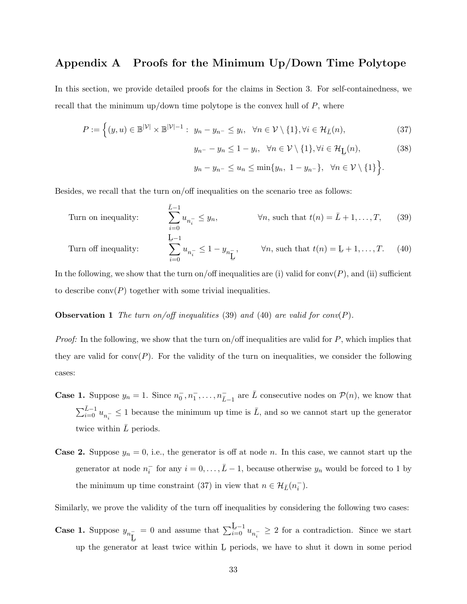### Appendix A Proofs for the Minimum Up/Down Time Polytope

In this section, we provide detailed proofs for the claims in Section 3. For self-containedness, we recall that the minimum up/down time polytope is the convex hull of  $P$ , where

$$
P := \left\{ (y, u) \in \mathbb{B}^{|\mathcal{V}|} \times \mathbb{B}^{|\mathcal{V}|-1} : y_n - y_{n^-} \le y_i, \ \forall n \in \mathcal{V} \setminus \{1\}, \forall i \in \mathcal{H}_{\bar{L}}(n), \right\}
$$
(37)

$$
y_{n-} - y_n \le 1 - y_i, \quad \forall n \in \mathcal{V} \setminus \{1\}, \forall i \in \mathcal{H}_{\mathbf{L}}(n),\tag{38}
$$

$$
y_n - y_{n-} \le u_n \le \min\{y_n, 1 - y_{n-}\}, \quad \forall n \in \mathcal{V} \setminus \{1\}.
$$

Besides, we recall that the turn on/off inequalities on the scenario tree as follows:

Turn on inequality: 
$$
\sum_{i=0}^{\bar{L}-1} u_{n_i^-} \leq y_n, \qquad \forall n, \text{ such that } t(n) = \bar{L} + 1, ..., T, \qquad (39)
$$
  
Turn off inequality: 
$$
\sum_{i=0}^{\bar{L}-1} u_{n_i^-} \leq 1 - y_{n_{\bar{L}}}, \qquad \forall n, \text{ such that } t(n) = \bar{L} + 1, ..., T. \qquad (40)
$$

In the following, we show that the turn on/off inequalities are (i) valid for  $conv(P)$ , and (ii) sufficient to describe  $conv(P)$  together with some trivial inequalities.

**Observation 1** The turn on/off inequalities (39) and (40) are valid for conv(P).

*Proof:* In the following, we show that the turn on/off inequalities are valid for  $P$ , which implies that they are valid for conv $(P)$ . For the validity of the turn on inequalities, we consider the following cases:

- **Case 1.** Suppose  $y_n = 1$ . Since  $n_0^-, n_1^-, \ldots, n_{\bar{L}-1}^-$  are  $\bar{L}$  consecutive nodes on  $\mathcal{P}(n)$ , we know that  $\sum_{i=0}^{\bar{L}-1} u_{n_i^-} \leq 1$  because the minimum up time is  $\bar{L}$ , and so we cannot start up the generator twice within  $L$  periods.
- **Case 2.** Suppose  $y_n = 0$ , i.e., the generator is off at node n. In this case, we cannot start up the generator at node  $n_i^-$  for any  $i = 0, \ldots, \bar{L} - 1$ , because otherwise  $y_n$  would be forced to 1 by the minimum up time constraint (37) in view that  $n \in \mathcal{H}_{\bar{L}}(n_i^-)$ .

Similarly, we prove the validity of the turn off inequalities by considering the following two cases:

**Case 1.** Suppose  $y_{n_{\underline{\text{L}}}}$ up the generator at least twice within  $L$  periods, we have to shut it down in some period = 0 and assume that  $\sum_{i=0}^{\mathbf{L}-1} u_{n_i^-} \geq 2$  for a contradiction. Since we start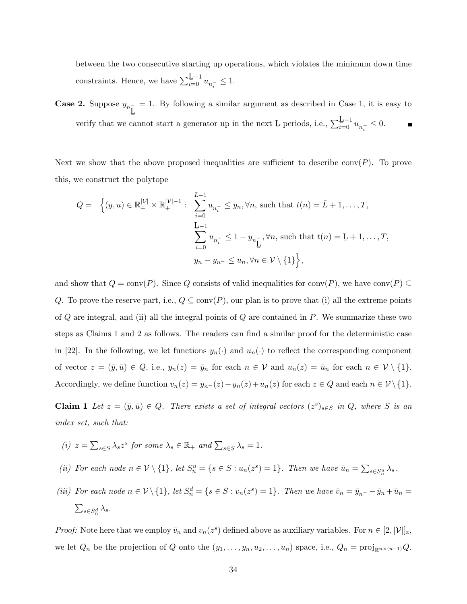between the two consecutive starting up operations, which violates the minimum down time constraints. Hence, we have  $\sum_{i=0}^{\underline{L}-1} u_{n_i^-} \leq 1$ .

**Case 2.** Suppose  $y_{n_{\underline{\text{L}}}}$ ¯  $= 1.$  By following a similar argument as described in Case 1, it is easy to verify that we cannot start a generator up in the next  $\underline{L}$  periods, i.e.,  $\sum_{i=0}^{\underline{L}-1} u_{n_i^-} \leq 0$ .

Next we show that the above proposed inequalities are sufficient to describe conv $(P)$ . To prove this, we construct the polytope

$$
Q = \left\{ (y, u) \in \mathbb{R}_+^{|\mathcal{V}|} \times \mathbb{R}_+^{|\mathcal{V}|-1} : \sum_{i=0}^{\bar{L}-1} u_{n_i^-} \leq y_n, \forall n, \text{ such that } t(n) = \bar{L} + 1, \dots, T,
$$
  

$$
\sum_{i=0}^{\bar{L}-1} u_{n_i^-} \leq 1 - y_{n_{\bar{L}}}^-, \forall n, \text{ such that } t(n) = \bar{L} + 1, \dots, T,
$$
  

$$
y_n - y_{n^-} \leq u_n, \forall n \in \mathcal{V} \setminus \{1\} \right\},
$$

and show that  $Q = \text{conv}(P)$ . Since Q consists of valid inequalities for  $\text{conv}(P)$ , we have  $\text{conv}(P) \subseteq$ Q. To prove the reserve part, i.e.,  $Q \subseteq \text{conv}(P)$ , our plan is to prove that (i) all the extreme points of  $Q$  are integral, and (ii) all the integral points of  $Q$  are contained in  $P$ . We summarize these two steps as Claims 1 and 2 as follows. The readers can find a similar proof for the deterministic case in [22]. In the following, we let functions  $y_n(\cdot)$  and  $u_n(\cdot)$  to reflect the corresponding component of vector  $z = (\bar{y}, \bar{u}) \in Q$ , i.e.,  $y_n(z) = \bar{y}_n$  for each  $n \in \mathcal{V}$  and  $u_n(z) = \bar{u}_n$  for each  $n \in \mathcal{V} \setminus \{1\}$ . Accordingly, we define function  $v_n(z) = y_{n-1}(z) - y_n(z) + u_n(z)$  for each  $z \in Q$  and each  $n \in \mathcal{V} \setminus \{1\}$ .

**Claim 1** Let  $z = (\bar{y}, \bar{u}) \in Q$ . There exists a set of integral vectors  $(z^s)_{s \in S}$  in Q, where S is an index set, such that:

- (i)  $z = \sum_{s \in S} \lambda_s z^s$  for some  $\lambda_s \in \mathbb{R}_+$  and  $\sum_{s \in S} \lambda_s = 1$ .
- (ii) For each node  $n \in \mathcal{V} \setminus \{1\}$ , let  $S_n^u = \{s \in S : u_n(z^s) = 1\}$ . Then we have  $\bar{u}_n = \sum_{s \in S_n^u} \lambda_s$ .
- (iii) For each node  $n \in \mathcal{V} \setminus \{1\}$ , let  $S_n^d = \{s \in S : v_n(z^s) = 1\}$ . Then we have  $\overline{v}_n = \overline{y}_{n^-} \overline{y}_n + \overline{u}_n =$  $\sum_{s\in S^d_n}\lambda_s$  .

*Proof:* Note here that we employ  $\bar{v}_n$  and  $v_n(z^s)$  defined above as auxiliary variables. For  $n \in [2, |\mathcal{V}|]_{{\mathbb{Z}}}$ , we let  $Q_n$  be the projection of Q onto the  $(y_1, \ldots, y_n, u_2, \ldots, u_n)$  space, i.e.,  $Q_n = \text{proj}_{\mathbb{R}^{n \times (n-1)}} Q$ .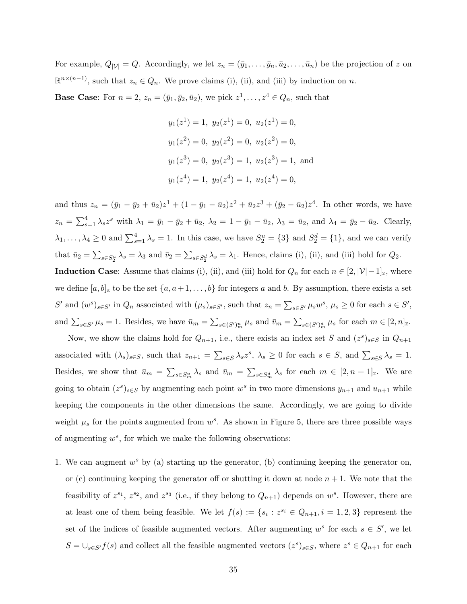For example,  $Q_{|\mathcal{V}|} = Q$ . Accordingly, we let  $z_n = (\bar{y}_1, \ldots, \bar{y}_n, \bar{u}_2, \ldots, \bar{u}_n)$  be the projection of z on  $\mathbb{R}^{n\times(n-1)}$ , such that  $z_n \in Q_n$ . We prove claims (i), (ii), and (iii) by induction on n.

**Base Case:** For  $n = 2$ ,  $z_n = (\bar{y}_1, \bar{y}_2, \bar{u}_2)$ , we pick  $z^1, \ldots, z^4 \in Q_n$ , such that

$$
y_1(z^1) = 1
$$
,  $y_2(z^1) = 0$ ,  $u_2(z^1) = 0$ ,  
\n $y_1(z^2) = 0$ ,  $y_2(z^2) = 0$ ,  $u_2(z^2) = 0$ ,  
\n $y_1(z^3) = 0$ ,  $y_2(z^3) = 1$ ,  $u_2(z^3) = 1$ , and  
\n $y_1(z^4) = 1$ ,  $y_2(z^4) = 1$ ,  $u_2(z^4) = 0$ ,

and thus  $z_n = (\bar{y}_1 - \bar{y}_2 + \bar{u}_2)z^1 + (1 - \bar{y}_1 - \bar{u}_2)z^2 + \bar{u}_2z^3 + (\bar{y}_2 - \bar{u}_2)z^4$ . In other words, we have  $z_n = \sum_{s=1}^4 \lambda_s z^s$  with  $\lambda_1 = \bar{y}_1 - \bar{y}_2 + \bar{u}_2$ ,  $\lambda_2 = 1 - \bar{y}_1 - \bar{u}_2$ ,  $\lambda_3 = \bar{u}_2$ , and  $\lambda_4 = \bar{y}_2 - \bar{u}_2$ . Clearly,  $\lambda_1,\ldots,\lambda_4\geq 0$  and  $\sum_{s=1}^4\lambda_s=1$ . In this case, we have  $S_2^u=\{3\}$  and  $S_2^d=\{1\}$ , and we can verify that  $\bar{u}_2 = \sum_{s \in S_2^u} \lambda_s = \lambda_3$  and  $\bar{v}_2 = \sum_{s \in S_2^d} \lambda_s = \lambda_1$ . Hence, claims (i), (ii), and (iii) hold for  $Q_2$ . **Induction Case:** Assume that claims (i), (ii), and (iii) hold for  $Q_n$  for each  $n \in [2, |\mathcal{V}|-1]_Z$ , where we define  $[a, b]_z$  to be the set  $\{a, a+1, \ldots, b\}$  for integers a and b. By assumption, there exists a set S' and  $(w^s)_{s \in S'}$  in  $Q_n$  associated with  $(\mu_s)_{s \in S'}$ , such that  $z_n = \sum_{s \in S'} \mu_s w^s$ ,  $\mu_s \geq 0$  for each  $s \in S'$ ,

and  $\sum_{s \in S'} \mu_s = 1$ . Besides, we have  $\bar{u}_m = \sum_{s \in (S')_m^u} \mu_s$  and  $\bar{v}_m = \sum_{s \in (S')_m^d} \mu_s$  for each  $m \in [2, n]_{{\mathbb{Z}}}$ . Now, we show the claims hold for  $Q_{n+1}$ , i.e., there exists an index set S and  $(z^s)_{s\in S}$  in  $Q_{n+1}$ 

associated with  $(\lambda_s)_{s\in S}$ , such that  $z_{n+1} = \sum_{s\in S} \lambda_s z^s$ ,  $\lambda_s \geq 0$  for each  $s \in S$ , and  $\sum_{s\in S} \lambda_s = 1$ . Besides, we show that  $\bar{u}_m = \sum_{s \in S_m^u} \lambda_s$  and  $\bar{v}_m = \sum_{s \in S_m^d} \lambda_s$  for each  $m \in [2, n + 1]_{{\mathbb{Z}}}$ . We are going to obtain  $(z^s)_{s\in S}$  by augmenting each point  $w^s$  in two more dimensions  $y_{n+1}$  and  $u_{n+1}$  while keeping the components in the other dimensions the same. Accordingly, we are going to divide weight  $\mu_s$  for the points augmented from  $w^s$ . As shown in Figure 5, there are three possible ways of augmenting  $w^s$ , for which we make the following observations:

1. We can augment  $w^s$  by (a) starting up the generator, (b) continuing keeping the generator on, or (c) continuing keeping the generator of for shutting it down at node  $n + 1$ . We note that the feasibility of  $z^{s_1}$ ,  $z^{s_2}$ , and  $z^{s_3}$  (i.e., if they belong to  $Q_{n+1}$ ) depends on  $w^s$ . However, there are at least one of them being feasible. We let  $f(s) := \{s_i : z^{s_i} \in Q_{n+1}, i = 1, 2, 3\}$  represent the set of the indices of feasible augmented vectors. After augmenting  $w^s$  for each  $s \in S'$ , we let  $S = \bigcup_{s \in S'} f(s)$  and collect all the feasible augmented vectors  $(z^s)_{s \in S}$ , where  $z^s \in Q_{n+1}$  for each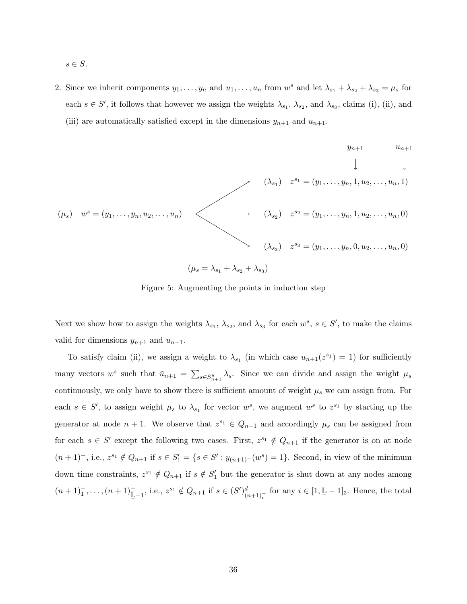- $s \in S$ .
- 2. Since we inherit components  $y_1, \ldots, y_n$  and  $u_1, \ldots, u_n$  from  $w^s$  and let  $\lambda_{s_1} + \lambda_{s_2} + \lambda_{s_3} = \mu_s$  for each  $s \in S'$ , it follows that however we assign the weights  $\lambda_{s_1}, \lambda_{s_2}$ , and  $\lambda_{s_3}$ , claims (i), (ii), and (iii) are automatically satisfied except in the dimensions  $y_{n+1}$  and  $u_{n+1}$ .

$$
y_{n+1} \t u_{n+1}
$$
  
\n
$$
\downarrow \t u_{n+1}
$$
  
\n
$$
\downarrow \t u_{n+1}
$$
  
\n
$$
\downarrow \t u_{n+1}
$$
  
\n
$$
\downarrow \t u_{n+1}
$$
  
\n
$$
\downarrow \t u_{n+1}
$$
  
\n
$$
\downarrow \t u_{n+1}
$$
  
\n
$$
\downarrow \t u_{n+1}
$$
  
\n
$$
\downarrow \t u_{n+1}
$$
  
\n
$$
\downarrow \t u_{n+1}
$$
  
\n
$$
\downarrow \t u_{n+1}
$$
  
\n
$$
\downarrow \t u_{n+1}
$$
  
\n
$$
\downarrow \t u_{n+1}
$$
  
\n
$$
\downarrow \t u_{n+1}
$$
  
\n
$$
\downarrow \t u_{n+1}
$$
  
\n
$$
\downarrow \t u_{n+1}
$$
  
\n
$$
\downarrow \t u_{n+1}
$$
  
\n
$$
\downarrow \t u_{n+1}
$$
  
\n
$$
\downarrow \t u_{n+1}
$$
  
\n
$$
\downarrow \t u_{n+1}
$$
  
\n
$$
\downarrow \t u_{n+1}
$$
  
\n
$$
\downarrow \t u_{n+1}
$$
  
\n
$$
\downarrow \t u_{n+1}
$$
  
\n
$$
\downarrow \t u_{n+1}
$$
  
\n
$$
\downarrow \t u_{n+1}
$$
  
\n
$$
\downarrow \t u_{n+1}
$$
  
\n
$$
\downarrow \t u_{n+1}
$$
  
\n
$$
\downarrow \t u_{n+1}
$$
  
\n
$$
\downarrow \t u_{n+1}
$$
  
\n
$$
\downarrow \t u_{n+1}
$$
  
\n
$$
\downarrow \t u_{n+1}
$$
  
\n
$$
\downarrow \t u_{n+1}
$$
  
\n
$$
\downarrow \t u_{n+1}
$$
  
\n
$$
\downarrow \t u_{n+1}
$$
  
\n
$$
\downarrow \t u_{n+1}
$$
  
\n
$$
\downarrow \t u_{n+1}
$$
  
\n<math display="block</math>

Figure 5: Augmenting the points in induction step

Next we show how to assign the weights  $\lambda_{s_1}, \lambda_{s_2}$ , and  $\lambda_{s_3}$  for each  $w^s, s \in S'$ , to make the claims valid for dimensions  $y_{n+1}$  and  $u_{n+1}$ .

To satisfy claim (ii), we assign a weight to  $\lambda_{s_1}$  (in which case  $u_{n+1}(z^{s_1}) = 1$ ) for sufficiently many vectors  $w^s$  such that  $\bar{u}_{n+1} = \sum_{s \in S_{n+1}^u} \lambda_s$ . Since we can divide and assign the weight  $\mu_s$ continuously, we only have to show there is sufficient amount of weight  $\mu_s$  we can assign from. For each  $s \in S'$ , to assign weight  $\mu_s$  to  $\lambda_{s_1}$  for vector  $w^s$ , we augment  $w^s$  to  $z^{s_1}$  by starting up the generator at node  $n + 1$ . We observe that  $z^{s_1} \in Q_{n+1}$  and accordingly  $\mu_s$  can be assigned from for each  $s \in S'$  except the following two cases. First,  $z^{s_1} \notin Q_{n+1}$  if the generator is on at node  $(n+1)^{-}$ , i.e.,  $z^{s_1} \notin Q_{n+1}$  if  $s \in S'_1 = \{s \in S': y_{(n+1)^{-}}(w^s) = 1\}$ . Second, in view of the minimum down time constraints,  $z^{s_1} \notin Q_{n+1}$  if  $s \notin S'_1$  but the generator is shut down at any nodes among  $(n+1)<sub>1</sub><sup>-</sup>,..., (n+1)<sub>L-1</sub><sup>-</sup>, i.e., z<sup>s<sub>1</sub></sup> \notin Q<sub>n+1</sub> if s \in (S')<sub>(n+1)<sub>i</sub><sup>-</sup></sub><sup>d</sup> for any i \in [1, L-1]<sub>z</sub>. Hence, the total$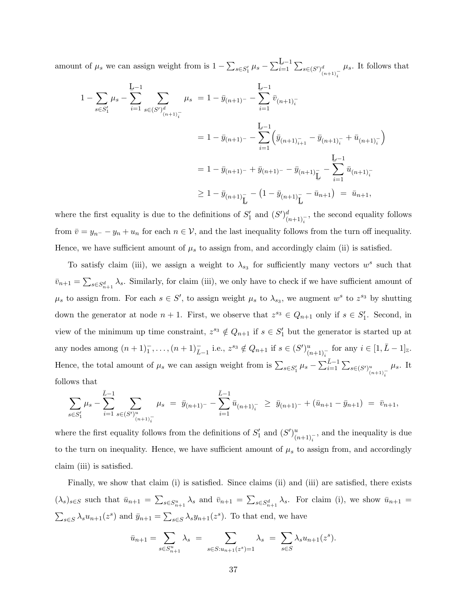amount of  $\mu_s$  we can assign weight from is  $1 - \sum_{s \in S'_1} \mu_s - \sum_{i=1}^{\underline{L}-1}$  $\frac{L^{n-1}}{i=1}$   $\sum_{s \in (S')_{(n+1)}^{-}$  $\mu_s$ . It follows that

$$
1 - \sum_{s \in S_1'} \mu_s - \sum_{i=1}^{L-1} \sum_{s \in (S')_{(n+1)_i^-}^d} \mu_s = 1 - \bar{y}_{(n+1)^-} - \sum_{i=1}^{L-1} \bar{v}_{(n+1)_i^-}
$$
  

$$
= 1 - \bar{y}_{(n+1)^-} - \sum_{i=1}^{L-1} (\bar{y}_{(n+1)_{i+1}^-} - \bar{y}_{(n+1)_{i}^-} + \bar{u}_{(n+1)_{i}^-})
$$
  

$$
= 1 - \bar{y}_{(n+1)^-} + \bar{y}_{(n+1)^-} - \bar{y}_{(n+1)_{L}^-} - \sum_{i=1}^{L-1} \bar{u}_{(n+1)_{i}^-}
$$
  

$$
\geq 1 - \bar{y}_{(n+1)_{L}^-} - (1 - \bar{y}_{(n+1)_{L}^-} - \bar{u}_{n+1}) = \bar{u}_{n+1},
$$

where the first equality is due to the definitions of  $S'_1$  and  $(S')^d_{(n+1)^{-}}$ , the second equality follows from  $\bar{v} = y_{n} - y_n + u_n$  for each  $n \in V$ , and the last inequality follows from the turn off inequality. Hence, we have sufficient amount of  $\mu_s$  to assign from, and accordingly claim (ii) is satisfied.

To satisfy claim (iii), we assign a weight to  $\lambda_{s_3}$  for sufficiently many vectors  $w^s$  such that  $\bar{v}_{n+1} = \sum_{s \in S_{n+1}^d} \lambda_s$ . Similarly, for claim (iii), we only have to check if we have sufficient amount of  $\mu_s$  to assign from. For each  $s \in S'$ , to assign weight  $\mu_s$  to  $\lambda_{s_3}$ , we augment  $w^s$  to  $z^{s_3}$  by shutting down the generator at node  $n + 1$ . First, we observe that  $z^{s_3} \in Q_{n+1}$  only if  $s \in S'_1$ . Second, in view of the minimum up time constraint,  $z^{s_3} \notin Q_{n+1}$  if  $s \in S'_1$  but the generator is started up at any nodes among  $(n+1)^{-}_{1}, \ldots, (n+1)^{-}_{L-1}$  i.e.,  $z^{s_3} \notin Q_{n+1}$  if  $s \in (S')^{u}_{(n+1)^{-}_{i}}$  for any  $i \in [1, \bar{L}-1]_{\mathbb{Z}}$ . Hence, the total amount of  $\mu_s$  we can assign weight from is  $\sum_{s \in S'_1} \mu_s - \sum_{i=1}^{\bar{L}-1} \sum_{s \in (S')^u_{(n+1)}_{\bar{i}}}$  $\mu_s$ . It follows that

$$
\sum_{s \in S'_1} \mu_s - \sum_{i=1}^{\bar{L}-1} \sum_{s \in (S')^u_{(n+1)^{-}}}\mu_s = \bar{y}_{(n+1)^{-}} - \sum_{i=1}^{\bar{L}-1} \bar{u}_{(n+1)^{-}} \geq \bar{y}_{(n+1)^{-}} + (\bar{u}_{n+1} - \bar{y}_{n+1}) = \bar{v}_{n+1},
$$

where the first equality follows from the definitions of  $S'_1$  and  $(S')^u_{(n+1)^{-}}$ , and the inequality is due to the turn on inequality. Hence, we have sufficient amount of  $\mu_s$  to assign from, and accordingly claim (iii) is satisfied.

Finally, we show that claim (i) is satisfied. Since claims (ii) and (iii) are satisfied, there exists  $(\lambda_s)_{s\in S}$  such that  $\bar{u}_{n+1} = \sum_{s\in S_{n+1}^u} \lambda_s$  and  $\bar{v}_{n+1} = \sum_{s\in S_{n+1}^d} \lambda_s$ . For claim (i), we show  $\bar{u}_{n+1} =$  $\sum_{s\in S} \lambda_s u_{n+1}(z^s)$  and  $\bar{y}_{n+1} = \sum_{s\in S} \lambda_s y_{n+1}(z^s)$ . To that end, we have

$$
\bar{u}_{n+1} = \sum_{s \in S_{n+1}^u} \lambda_s = \sum_{s \in S: u_{n+1}(z^s) = 1} \lambda_s = \sum_{s \in S} \lambda_s u_{n+1}(z^s).
$$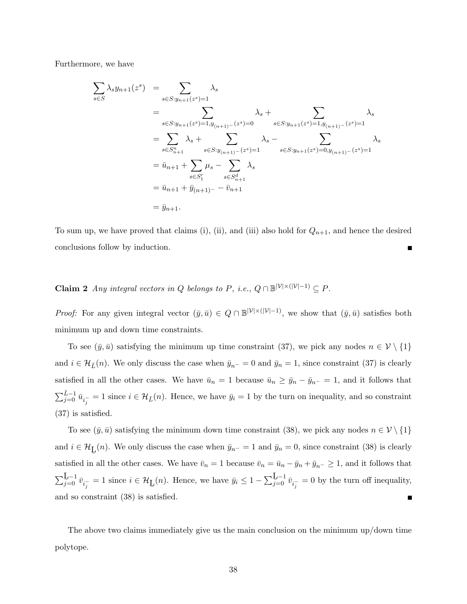Furthermore, we have

$$
\sum_{s \in S} \lambda_s y_{n+1}(z^s) = \sum_{s \in S: y_{n+1}(z^s) = 1} \lambda_s
$$
\n
$$
= \sum_{s \in S: y_{n+1}(z^s) = 1, y_{(n+1)-}(z^s) = 0} \lambda_s + \sum_{s \in S: y_{n+1}(z^s) = 1, y_{(n+1)-}(z^s) = 1} \lambda_s
$$
\n
$$
= \sum_{s \in S_{n+1}^u} \lambda_s + \sum_{s \in S: y_{(n+1)-}(z^s) = 1} \lambda_s - \sum_{s \in S: y_{n+1}(z^s) = 0, y_{(n+1)-}(z^s) = 1} \lambda_s
$$
\n
$$
= \bar{u}_{n+1} + \sum_{s \in S_1'} \mu_s - \sum_{s \in S_{n+1}^d} \lambda_s
$$
\n
$$
= \bar{u}_{n+1} + \bar{y}_{(n+1)-} - \bar{v}_{n+1}
$$
\n
$$
= \bar{y}_{n+1}.
$$

To sum up, we have proved that claims (i), (ii), and (iii) also hold for  $Q_{n+1}$ , and hence the desired conclusions follow by induction.

**Claim 2** Any integral vectors in Q belongs to P, i.e.,  $Q \cap \mathbb{B}^{|\mathcal{V}| \times (|\mathcal{V}|-1)} \subseteq P$ .

*Proof:* For any given integral vector  $(\bar{y}, \bar{u}) \in Q \cap \mathbb{B}^{|\mathcal{V}| \times (|\mathcal{V}|-1)}$ , we show that  $(\bar{y}, \bar{u})$  satisfies both minimum up and down time constraints.

To see  $(\bar{y}, \bar{u})$  satisfying the minimum up time constraint (37), we pick any nodes  $n \in \mathcal{V} \setminus \{1\}$ and  $i \in \mathcal{H}_{\bar{L}}(n)$ . We only discuss the case when  $\bar{y}_{n^-} = 0$  and  $\bar{y}_n = 1$ , since constraint (37) is clearly satisfied in all the other cases. We have  $\bar{u}_n = 1$  because  $\bar{u}_n \ge \bar{y}_n - \bar{y}_{n^-} = 1$ , and it follows that  $\sum_{j=0}^{\bar{L}-1} \bar{u}_{i_j} = 1$  since  $i \in \mathcal{H}_{\bar{L}}(n)$ . Hence, we have  $\bar{y}_i = 1$  by the turn on inequality, and so constraint (37) is satisfied.

To see  $(\bar{y}, \bar{u})$  satisfying the minimum down time constraint (38), we pick any nodes  $n \in \mathcal{V} \setminus \{1\}$ and  $i \in \mathcal{H}_{\underline{L}}$ (n). We only discuss the case when  $\bar{y}_{n^-} = 1$  and  $\bar{y}_n = 0$ , since constraint (38) is clearly satisfied in all the other cases. We have  $\bar{v}_n = 1$  because  $\bar{v}_n = \bar{u}_n - \bar{y}_n + \bar{y}_{n-} \ge 1$ , and it follows that  $\sum_{j=0}^{\mathbf{L}-1} \bar{v}_{i_j^-} = 1$  since  $i \in \mathcal{H}_{\mathbf{L}}$ (*n*). Hence, we have  $\bar{y}_i \leq 1 - \sum_{j=0}^{\underline{L}-1} \bar{v}_{i_j^-} = 0$  by the turn off inequality, and so constraint (38) is satisfied. Г

The above two claims immediately give us the main conclusion on the minimum up/down time polytope.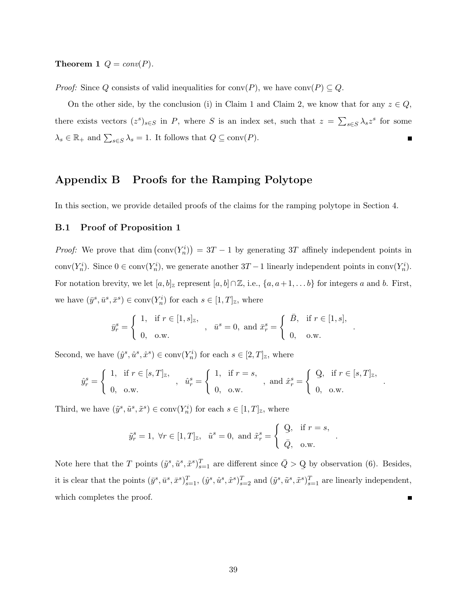**Theorem 1**  $Q = conv(P)$ .

*Proof:* Since Q consists of valid inequalities for conv $(P)$ , we have conv $(P) \subseteq Q$ .

On the other side, by the conclusion (i) in Claim 1 and Claim 2, we know that for any  $z \in Q$ , there exists vectors  $(z^s)_{s\in S}$  in P, where S is an index set, such that  $z = \sum_{s\in S} \lambda_s z^s$  for some  $\lambda_s \in \mathbb{R}_+$  and  $\sum_{s \in S} \lambda_s = 1$ . It follows that  $Q \subseteq \text{conv}(P)$ .

### Appendix B Proofs for the Ramping Polytope

In this section, we provide detailed proofs of the claims for the ramping polytope in Section 4.

### B.1 Proof of Proposition 1

*Proof:* We prove that  $\dim (\text{conv}(Y_n^i)) = 3T - 1$  by generating 3T affinely independent points in conv $(Y_n^i)$ . Since  $0 \in \text{conv}(Y_n^i)$ , we generate another  $3T - 1$  linearly independent points in conv $(Y_n^i)$ . For notation brevity, we let  $[a, b]_{\mathbb{Z}}$  represent  $[a, b] \cap \mathbb{Z}$ , i.e.,  $\{a, a+1, \ldots b\}$  for integers a and b. First, we have  $(\bar{y}^s, \bar{u}^s, \bar{x}^s) \in \text{conv}(Y_n^i)$  for each  $s \in [1, T]_{\mathbb{Z}}$ , where

$$
\bar{y}^s_r = \left\{ \begin{array}{ll} 1, & \text{if } r \in [1,s]_{\mathbb{Z}}, \\[1mm] 0, & \text{o.w.} \end{array} \right. \; , \; \; \bar{u}^s = 0, \text{ and } \bar{x}^s_r = \left\{ \begin{array}{ll} \bar{B}, & \text{if } r \in [1,s], \\[1mm] 0, & \text{o.w.} \end{array} \right.
$$

.

.

.

Second, we have  $(\hat{y}^s, \hat{u}^s, \hat{x}^s) \in \text{conv}(Y_n^i)$  for each  $s \in [2, T]_{\mathbb{Z}}$ , where

$$
\hat{y}^s_r = \left\{ \begin{array}{ll} 1, & \text{if } r \in [s,T]_{\mathbb{Z}}, \\[1mm] 0, & \text{o.w.} \end{array} \right. \; , \; \; \hat{u}^s_r = \left\{ \begin{array}{ll} 1, & \text{if } r=s, \\[1mm] 0, & \text{o.w.} \end{array} \right. \; , \; \; \text{and} \; \hat{x}^s_r = \left\{ \begin{array}{ll} \text{\large $\textbf{Q}$}, & \text{if } r \in [s,T]_{\mathbb{Z}}, \\[1mm] 0, & \text{o.w.} \end{array} \right.
$$

Third, we have  $(\tilde{y}^s, \tilde{u}^s, \tilde{x}^s) \in \text{conv}(Y_n^i)$  for each  $s \in [1, T]_{\mathbb{Z}}$ , where

$$
\tilde{y}_r^s = 1
$$
,  $\forall r \in [1, T]_{\mathbb{Z}}$ ,  $\tilde{u}^s = 0$ , and  $\tilde{x}_r^s = \begin{cases} \mathbf{Q}, & \text{if } r = s, \\ \bar{Q}, & \text{o.w.} \end{cases}$ 

Note here that the T points  $(\tilde{y}^s, \tilde{u}^s, \tilde{x}^s)_{s=1}^T$  are different since  $\bar{Q} > Q$ by observation (6). Besides, it is clear that the points  $(\bar{y}^s, \bar{u}^s, \bar{x}^s)_{s=1}^T$ ,  $(\hat{y}^s, \hat{u}^s, \hat{x}^s)_{s=2}^T$  and  $(\tilde{y}^s, \tilde{u}^s, \tilde{x}^s)_{s=1}^T$  are linearly independent, which completes the proof. п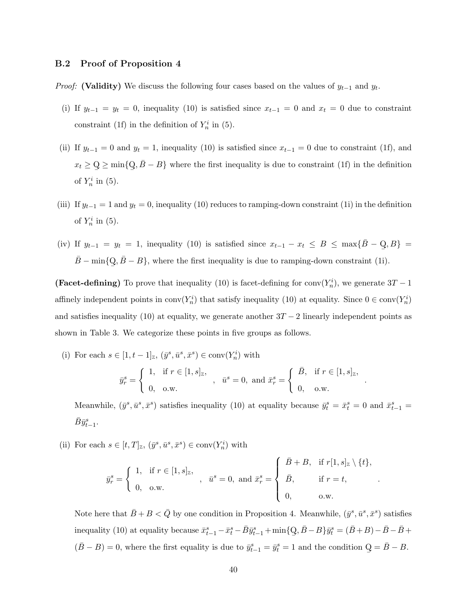#### B.2 Proof of Proposition 4

*Proof:* (Validity) We discuss the following four cases based on the values of  $y_{t-1}$  and  $y_t$ .

- (i) If  $y_{t-1} = y_t = 0$ , inequality (10) is satisfied since  $x_{t-1} = 0$  and  $x_t = 0$  due to constraint constraint (1f) in the definition of  $Y_n^i$  in (5).
- (ii) If  $y_{t-1} = 0$  and  $y_t = 1$ , inequality (10) is satisfied since  $x_{t-1} = 0$  due to constraint (1f), and  $x_t \geq Q$ ¯  $\geq$  min $\{Q\}$ ¯  $, \bar{B} - B$ } where the first inequality is due to constraint (1f) in the definition of  $Y_n^i$  in (5).
- (iii) If  $y_{t-1} = 1$  and  $y_t = 0$ , inequality (10) reduces to ramping-down constraint (1i) in the definition of  $Y_n^i$  in (5).
- (iv) If  $y_{t-1} = y_t = 1$ , inequality (10) is satisfied since  $x_{t-1} x_t \leq B \leq \max{\{\overline{B} Q\}}$ ¯  $, B$ } =  $\bar{B} - \min\{Q\}$ ¯  $, \bar{B} - B$ , where the first inequality is due to ramping-down constraint (1i).

(Facet-defining) To prove that inequality (10) is facet-defining for conv $(Y_n^i)$ , we generate  $3T - 1$ affinely independent points in  $conv(Y_n^i)$  that satisfy inequality (10) at equality. Since  $0 \in conv(Y_n^i)$ and satisfies inequality (10) at equality, we generate another  $3T - 2$  linearly independent points as shown in Table 3. We categorize these points in five groups as follows.

(i) For each  $s \in [1, t-1]_{\mathbb{Z}}, (\bar{y}^s, \bar{u}^s, \bar{x}^s) \in \text{conv}(Y_n^i)$  with

$$
\bar{y}_r^s = \begin{cases} 1, & \text{if } r \in [1, s]_{\mathbb{Z}}, \\ 0, & \text{o.w.} \end{cases}, \quad \bar{u}^s = 0, \text{ and } \bar{x}_r^s = \begin{cases} \bar{B}, & \text{if } r \in [1, s]_{\mathbb{Z}}, \\ 0, & \text{o.w.} \end{cases}
$$

.

.

Meanwhile,  $(\bar{y}^s, \bar{u}^s, \bar{x}^s)$  satisfies inequality (10) at equality because  $\bar{y}_t^s = \bar{x}_t^s = 0$  and  $\bar{x}_{t-1}^s =$  $\bar{B}\bar{y}_{t-1}^s$ .

(ii) For each  $s \in [t, T]_{\mathbb{Z}}$ ,  $(\bar{y}^s, \bar{u}^s, \bar{x}^s) \in \text{conv}(Y_n^i)$  with

$$
\bar{y}_r^s = \begin{cases} 1, & \text{if } r \in [1, s]_{\mathbb{Z}}, \\ 0, & \text{o.w.} \end{cases}, \quad \bar{u}^s = 0, \text{ and } \bar{x}_r^s = \begin{cases} \bar{B} + B, & \text{if } r[1, s]_{\mathbb{Z}} \setminus \{t\}, \\ \bar{B}, & \text{if } r = t, \\ 0, & \text{o.w.} \end{cases}
$$

Note here that  $\bar{B} + B < \bar{Q}$  by one condition in Proposition 4. Meanwhile,  $(\bar{y}^s, \bar{u}^s, \bar{x}^s)$  satisfies inequality (10) at equality because  $\bar{x}_{t-1}^s - \bar{x}_t^s - \bar{B} \bar{y}_{t-1}^s + \min\{Q\}$  $, \bar{B} - B$ } $\bar{y}_t^s = (\bar{B} + B) - \bar{B} - \bar{B} +$  $(\bar{B} - B) = 0$ , where the first equality is due to  $\bar{y}_{t-1}^s = \bar{y}_t^s = 1$  and the condition Q  $=\bar{B}-B.$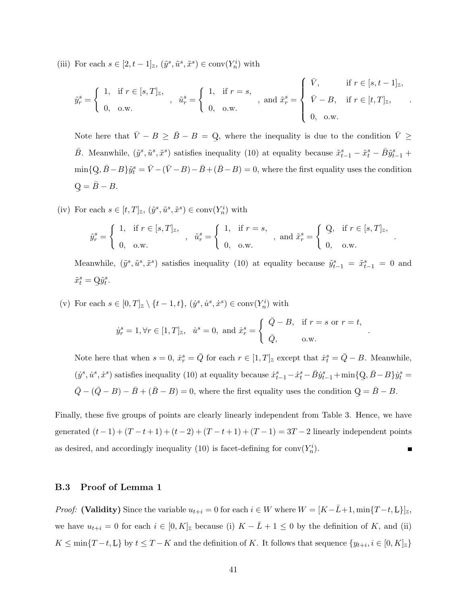(iii) For each  $s \in [2, t-1]_{{\mathbb{Z}}}, (\tilde{y}^s, \tilde{u}^s, \tilde{x}^s) \in \text{conv}(Y_n^i)$  with

$$
\tilde{y}_r^s = \begin{cases} 1, & \text{if } r \in [s, T]_{\mathbb{Z}}, \\ 0, & \text{o.w.} \end{cases}, \quad \tilde{u}_r^s = \begin{cases} 1, & \text{if } r = s, \\ 0, & \text{o.w.} \end{cases}, \text{ and } \tilde{x}_r^s = \begin{cases} \bar{V}, & \text{if } r \in [s, t-1]_{\mathbb{Z}}, \\ \bar{V} - B, & \text{if } r \in [t, T]_{\mathbb{Z}}, \\ 0, & \text{o.w.} \end{cases}
$$

Note here that  $\bar{V} - B \geq \bar{B} - B = Q$ ¯ , where the inequality is due to the condition  $\bar{V} \geq$  $\bar{B}$ . Meanwhile,  $(\tilde{y}^s, \tilde{u}^s, \tilde{x}^s)$  satisfies inequality (10) at equality because  $\tilde{x}_{t-1}^s - \tilde{x}_t^s - \bar{B}\tilde{y}_{t-1}^s +$  $\min\{Q$ ¯  $\overline{AB} - B$ } $\tilde{y}_t^s = \overline{V} - (\overline{V} - B) - \overline{B} + (\overline{B} - B) = 0$ , where the first equality uses the condition  $\rm{Q}$ ¯  $=\bar{B}-B.$ 

(iv) For each  $s \in [t, T]_{\mathbb{Z}}$ ,  $(\tilde{y}^s, \tilde{u}^s, \tilde{x}^s) \in \text{conv}(Y_n^i)$  with

$$
\tilde{y}_r^s = \begin{cases} 1, & \text{if } r \in [s, T]_{\mathbb{Z}}, \\ 0, & \text{o.w.} \end{cases}, \quad \tilde{u}_r^s = \begin{cases} 1, & \text{if } r = s, \\ 0, & \text{o.w.} \end{cases}, \text{ and } \tilde{x}_r^s = \begin{cases} \mathbf{Q}, & \text{if } r \in [s, T]_{\mathbb{Z}}, \\ 0, & \text{o.w.} \end{cases}
$$

.

.

Meanwhile,  $(\tilde{y}^s, \tilde{u}^s, \tilde{x}^s)$  satisfies inequality (10) at equality because  $\tilde{y}_{t-1}^s = \tilde{x}_{t-1}^s = 0$  and  $\tilde{x}_t^s = \mathbf{Q}\tilde{y}_t^s.$ ¯

(v) For each  $s \in [0,T]_{\mathbb{Z}} \setminus \{t-1,t\}, \, (\dot{y}^s, \dot{u}^s, \dot{x}^s) \in \text{conv}(Y_n^i)$  with

$$
\dot{y}_r^s = 1, \forall r \in [1, T]_{\mathbb{Z}}, \quad \dot{u}^s = 0, \text{ and } \dot{x}_r^s = \begin{cases} \n\overline{Q} - B, & \text{if } r = s \text{ or } r = t, \\ \n\overline{Q}, & \text{o.w.} \n\end{cases}
$$

Note here that when  $s = 0$ ,  $\dot{x}_r^s = \bar{Q}$  for each  $r \in [1, T]_{{\mathbb{Z}}}$  except that  $\dot{x}_t^s = \bar{Q} - B$ . Meanwhile,  $(y^s, \dot{u}^s, \dot{x}^s)$  satisfies inequality (10) at equality because  $\dot{x}^s_{t-1} - \dot{x}^s_t - \bar{B}\dot{y}^s_{t-1} + \min\{Q\}$  $, \bar{B}-B\} \dot{y}_t^s =$  $\overline{Q} - (\overline{Q} - B) - \overline{B} + (\overline{B} - B) = 0$ , where the first equality uses the condition Q ¯  $=\bar{B}-B.$ 

Finally, these five groups of points are clearly linearly independent from Table 3. Hence, we have generated  $(t-1) + (T - t + 1) + (t-2) + (T - t + 1) + (T - 1) = 3T - 2$  linearly independent points as desired, and accordingly inequality (10) is facet-defining for  $conv(Y_n^i)$ .

### B.3 Proof of Lemma 1

*Proof:* (Validity) Since the variable  $u_{t+i} = 0$  for each  $i \in W$  where  $W = [K - \bar{L} + 1, \min\{T - t, L\}]_z$ , we have  $u_{t+i} = 0$  for each  $i \in [0, K]_{\mathbb{Z}}$  because (i)  $K - \overline{L} + 1 \leq 0$  by the definition of K, and (ii)  $K \le \min\{T-t, L\}$  by  $t \le T-K$  and the definition of K. It follows that sequence  $\{y_{t+i}, i \in [0, K]_{\mathbb{Z}}\}$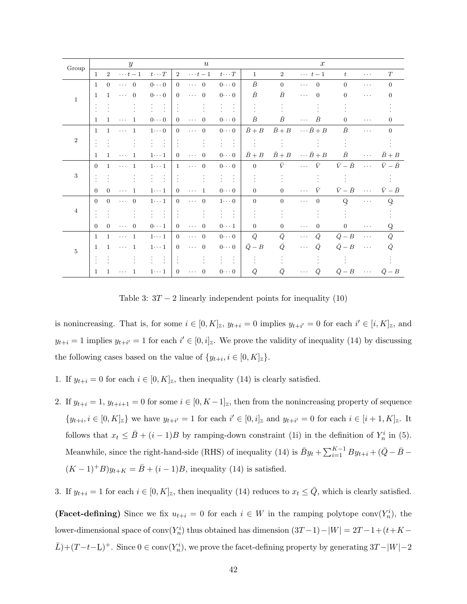| Group          |                |                | $\mathcal{Y}$                          |                         |                | $\boldsymbol{u}$                       |                         |                |                | $\boldsymbol{x}$           |                   |                              |                   |
|----------------|----------------|----------------|----------------------------------------|-------------------------|----------------|----------------------------------------|-------------------------|----------------|----------------|----------------------------|-------------------|------------------------------|-------------------|
|                | $\mathbf{1}$   | $\overline{2}$ | $\cdots t-1$                           | $t\cdots T$             | $\overline{2}$ | $\cdots t-1$                           | $t\cdots T$             | $\mathbf{1}$   | 2              | $\cdots$ $t-1$             | t                 | $\cdots$                     | T                 |
|                | $\mathbf{1}$   | $\theta$       | $\cdots$ 0                             | $0 \cdot \cdot \cdot 0$ | $\Omega$       | $\overline{0}$<br>$\cdots$             | $0 \cdots 0$            | $\bar{B}$      | $\Omega$       | $\overline{0}$<br>$\cdots$ | $\Omega$          | $\cdots$                     | $\overline{0}$    |
| $\mathbf{1}$   | $\overline{1}$ | $\mathbf{1}$   | $\overline{0}$<br>$\cdots$             | $0 \cdots 0$            | $\Omega$       | $\overline{0}$<br>$\sim$ $\sim$ $\sim$ | $0 \cdot \cdot \cdot 0$ | $\bar{B}$      | Ē              | $\Omega$<br>$\cdots$       | $\Omega$          | $\cdots$                     | $\Omega$          |
|                |                |                |                                        | $\ddot{\cdot}$<br>÷.    |                |                                        | $\ddot{\cdot}$          |                |                |                            |                   |                              |                   |
|                | $\mathbf{1}$   | 1.             | $\overline{1}$<br>$\sim$ $\sim$ $\sim$ | $0 \cdots 0$            | $\Omega$       | $\Omega$<br>$\sim$ $\sim$ $\sim$       | $0 \cdots 0$            | $\bar{B}$      | $\bar{B}$      | Ē<br>$\cdots$              | $\Omega$          | $\cdots$                     | 0                 |
|                | $\overline{1}$ | $\mathbf{1}$   | $\mathbf{1}$<br>$\sim$ $\sim$ $\sim$   | $1 \cdots 0$            | $\overline{0}$ | $\overline{0}$<br>$\ldots$ .           | $0 \cdot \cdot \cdot 0$ | $\bar{B}+B$    | $\bar{B}+B$    | $\cdots \bar{B} + B$       | Ē                 | $\cdots$                     | $\overline{0}$    |
| $\overline{2}$ |                |                |                                        |                         |                | $\ddot{\cdot}$                         | $\frac{1}{2}$<br>ŧ.     |                | ÷              |                            |                   |                              |                   |
|                | $\mathbf{1}$   | $\mathbf{1}$   | - 1<br>$\sim$ $\sim$ $\sim$            | $1 \cdots 1$            | $\Omega$       | $\overline{0}$<br>$\sim$ $\sim$ $\sim$ | $0 \cdots 0$            | $\bar{B}+B$    | $\bar{B}+B$    | $\cdots \bar{B}+B$         | $\bar{B}$         | $\ldots$                     | $\bar{B}+B$       |
|                | $\Omega$       | $\mathbf{1}$   | $\mathbf{1}$<br>$\sim$ $\sim$ $\sim$   | $1 \cdots 1$            | 1              | $\overline{0}$<br>$\cdots$             | $0 \cdot \cdot \cdot 0$ | $\overline{0}$ | $\bar{V}$      | $\bar{V}$<br>$\cdots$      | $\bar{V}-\bar{B}$ | $\sim$ . $\sim$              | $\bar{V}-\bar{B}$ |
| 3              |                |                |                                        | $\ddot{\cdot}$          |                |                                        | $\frac{1}{2}$<br>÷      |                |                |                            |                   |                              |                   |
|                | $\Omega$       | $\Omega$       | $\mathbf{1}$<br>$\cdots$               | $1 \cdots 1$            | $\Omega$       | $\sim$ $\sim$ $\sim$<br>$\mathbf{1}$   | $0 \cdots 0$            | $\Omega$       | $\Omega$       | $\bar{V}$<br>$\cdots$      | $\bar{V}-\bar{B}$ | $\sim$ . $\sim$              | $\bar{V}-\bar{B}$ |
|                | $\overline{0}$ | $\theta$       | $\overline{0}$<br>$\cdots$             | $1 \cdots 1$            | $\overline{0}$ | $\overline{0}$<br>$\cdots$             | $1 \cdots 0$            | $\overline{0}$ | $\overline{0}$ | $\overline{0}$<br>$\cdots$ | Q                 | $\cdots$                     | $\overline{Q}$    |
| $\overline{4}$ |                |                |                                        | ÷                       |                |                                        | $\frac{1}{2}$           |                |                |                            |                   |                              |                   |
|                | $\Omega$       | $\Omega$       | $\overline{0}$<br>$\cdots$             | $0 \cdot \cdot \cdot 1$ | $\Omega$       | $\overline{0}$<br>$\ldots$             | $0 \cdot \cdot \cdot 1$ | $\Omega$       | $\Omega$       | $\Omega$<br>$\cdots$       | $\overline{0}$    | $\cdots$                     | ð                 |
|                | $\mathbf{1}$   | $\mathbf{1}$   | $\cdots$ 1                             | $1 \cdots 1$            | $\overline{0}$ | $\overline{0}$<br>$\ldots$             | $0 \cdot \cdot \cdot 0$ | $\bar{Q}$      | Ō              | $\bar{Q}$<br>$\cdots$      | $\bar{Q}-B$       | $\sim$ $\sim$ $\sim$         | $\bar{Q}$         |
| $\overline{5}$ | $\mathbf{1}$   | $\mathbf{1}$   | $\overline{1}$<br>$\ldots$             | $1 \cdots 1$            | $\overline{0}$ | $\overline{0}$<br>$\ldots$             | $0 \cdots 0$            | $Q - B$        | Q              | Ō<br>$\cdots$              | $\bar{Q}-B$       | $\ldots$                     | $\bar{Q}$         |
|                |                |                |                                        |                         |                |                                        | $\frac{1}{2}$           |                |                |                            |                   |                              |                   |
|                | 1              | $\mathbf{1}$   | $\,$ 1 $\,$<br>$\cdots$                | $1 \cdots 1$            | $\overline{0}$ | $\overline{0}$<br>$\cdots$             | $0 \cdots 0$            | Ō,             | Ō.             | Q                          | $\bar{Q}-B$       | $\sim$ 100 $\sim$ 100 $\sim$ | $\bar{Q}-B$       |

Table 3:  $3T - 2$  linearly independent points for inequality (10)

is nonincreasing. That is, for some  $i \in [0, K]_{{\mathbb{Z}}}$ ,  $y_{t+i} = 0$  implies  $y_{t+i'} = 0$  for each  $i' \in [i, K]_{{\mathbb{Z}}}$ , and  $y_{t+i} = 1$  implies  $y_{t+i'} = 1$  for each  $i' \in [0, i]_{\mathbb{Z}}$ . We prove the validity of inequality (14) by discussing the following cases based on the value of  $\{y_{t+i}, i \in [0, K]_{\mathbb{Z}}\}.$ 

- 1. If  $y_{t+i} = 0$  for each  $i \in [0, K]_{\mathbb{Z}}$ , then inequality (14) is clearly satisfied.
- 2. If  $y_{t+i} = 1$ ,  $y_{t+i+1} = 0$  for some  $i \in [0, K-1]_{\mathbb{Z}}$ , then from the nonincreasing property of sequence  $\{y_{t+i}, i \in [0,K]_{\mathbb{Z}}\}$  we have  $y_{t+i'} = 1$  for each  $i' \in [0,i]_{\mathbb{Z}}$  and  $y_{t+i'} = 0$  for each  $i \in [i+1,K]_{\mathbb{Z}}$ . It follows that  $x_t \leq \bar{B} + (i-1)B$  by ramping-down constraint (1i) in the definition of  $Y_n^i$  in (5). Meanwhile, since the right-hand-side (RHS) of inequality (14) is  $\bar{B}y_t + \sum_{i=1}^{K-1} By_{t+i} + (\bar{Q} - \bar{B} (K-1)^+B)y_{t+K} = \bar{B} + (i-1)B$ , inequality (14) is satisfied.
- 3. If  $y_{t+i} = 1$  for each  $i \in [0, K]_{\mathbb{Z}}$ , then inequality (14) reduces to  $x_t \leq \overline{Q}$ , which is clearly satisfied.

(Facet-defining) Since we fix  $u_{t+i} = 0$  for each  $i \in W$  in the ramping polytope conv $(Y_n^i)$ , the lower-dimensional space of conv $(Y_n^i)$  thus obtained has dimension  $(3T-1)-|W| = 2T-1+(t+K \bar{L}$ )+(T-t-L)<sup>+</sup>. Since  $0 \in \text{conv}(Y_n^i)$ , we prove the facet-defining property by generating 3T-|W|-2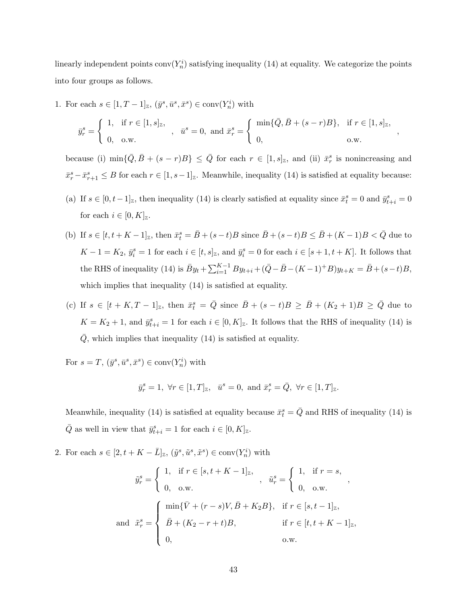linearly independent points  $conv(Y_n^i)$  satisfying inequality (14) at equality. We categorize the points into four groups as follows.

1. For each  $s \in [1, T-1]_{\mathbb{Z}}, (\bar{y}^s, \bar{u}^s, \bar{x}^s) \in \text{conv}(Y_n^i)$  with

$$
\bar{y}_r^s = \begin{cases} 1, & \text{if } r \in [1, s]_{\mathbb{Z}}, \\ 0, & \text{o.w.} \end{cases}, \quad \bar{u}^s = 0, \text{ and } \bar{x}_r^s = \begin{cases} \min\{\bar{Q}, \bar{B} + (s - r)B\}, & \text{if } r \in [1, s]_{\mathbb{Z}}, \\ 0, & \text{o.w.} \end{cases}
$$

,

because (i)  $\min\{\bar{Q}, \bar{B} + (s-r)B\} \leq \bar{Q}$  for each  $r \in [1, s]_{\mathbb{Z}}$ , and (ii)  $\bar{x}_r^s$  is nonincreasing and  $\bar{x}_r^s - \bar{x}_{r+1}^s \leq B$  for each  $r \in [1, s-1]_{{\mathbb{Z}}}$ . Meanwhile, inequality (14) is satisfied at equality because:

- (a) If  $s \in [0, t-1]_{{\mathbb{Z}}}$ , then inequality (14) is clearly satisfied at equality since  $\bar{x}_t^s = 0$  and  $\bar{y}_{t+i}^s = 0$ for each  $i \in [0, K]_{\mathbb{Z}}$ .
- (b) If  $s \in [t, t + K 1]_{\mathbb{Z}}$ , then  $\bar{x}_t^s = \bar{B} + (s t)B$  since  $\bar{B} + (s t)B \le \bar{B} + (K 1)B < \bar{Q}$  due to  $K-1 = K_2$ ,  $\bar{y}_i^s = 1$  for each  $i \in [t, s]_{\mathbb{Z}}$ , and  $\bar{y}_i^s = 0$  for each  $i \in [s+1, t+K]$ . It follows that the RHS of inequality (14) is  $\bar{B}y_t + \sum_{i=1}^{K-1} By_{t+i} + (\bar{Q} - \bar{B} - (K-1)^+B)y_{t+K} = \bar{B} + (s-t)B$ , which implies that inequality (14) is satisfied at equality.
- (c) If  $s \in [t + K, T 1]_{\mathbb{Z}}$ , then  $\bar{x}_t^s = \bar{Q}$  since  $\bar{B} + (s t)B \geq \bar{B} + (K_2 + 1)B \geq \bar{Q}$  due to  $K = K_2 + 1$ , and  $\bar{y}_{t+i}^s = 1$  for each  $i \in [0, K]_{\mathbb{Z}}$ . It follows that the RHS of inequality (14) is  $Q$ , which implies that inequality  $(14)$  is satisfied at equality.

For  $s = T$ ,  $(\bar{y}^s, \bar{u}^s, \bar{x}^s) \in \text{conv}(Y_n^i)$  with

$$
\bar{y}_r^s=1, \ \forall r \in [1,T]_{\mathbb{Z}}, \quad \bar{u}^s=0, \text{ and } \bar{x}_r^s=\bar{Q}, \ \forall r \in [1,T]_{\mathbb{Z}}.
$$

Meanwhile, inequality (14) is satisfied at equality because  $\bar{x}_t^s = \bar{Q}$  and RHS of inequality (14) is  $\overline{Q}$  as well in view that  $\overline{y}_{t+i}^s = 1$  for each  $i \in [0, K]_{\mathbb{Z}}$ .

2. For each  $s \in [2, t + K - \bar{L}]_{\mathbb{Z}}, (\tilde{y}^s, \tilde{u}^s, \tilde{x}^s) \in \text{conv}(Y_n^i)$  with

$$
\tilde{y}_r^s = \begin{cases}\n1, & \text{if } r \in [s, t + K - 1]_{{\mathbb{Z}}}, \\
0, & \text{o.w.} \n\end{cases}, \quad \tilde{u}_r^s = \begin{cases}\n1, & \text{if } r = s, \\
0, & \text{o.w.} \n\end{cases},
$$
\n
$$
\tilde{x}_r^s = \begin{cases}\n\min{\{\bar{V} + (r - s)V, \bar{B} + K_2B\}}, & \text{if } r \in [s, t - 1]_{{\mathbb{Z}}}, \\
\bar{B} + (K_2 - r + t)B, & \text{if } r \in [t, t + K - 1]_{{\mathbb{Z}}}, \\
0, & \text{o.w.}\n\end{cases}
$$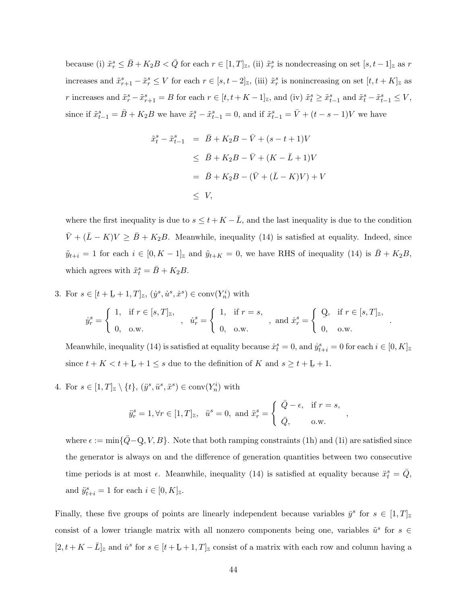because (i)  $\tilde{x}_r^s \leq \bar{B} + K_2B < \bar{Q}$  for each  $r \in [1, T]_{\mathbb{Z}}$ , (ii)  $\tilde{x}_r^s$  is nondecreasing on set  $[s, t-1]_{\mathbb{Z}}$  as r increases and  $\tilde{x}_{r+1}^s - \tilde{x}_r^s \leq V$  for each  $r \in [s, t-2]_{\mathbb{Z}}$ , (iii)  $\tilde{x}_r^s$  is nonincreasing on set  $[t, t+K]_{\mathbb{Z}}$  as r increases and  $\tilde{x}_r^s - \tilde{x}_{r+1}^s = B$  for each  $r \in [t, t + K - 1]_{{\mathbb{Z}}}$ , and (iv)  $\tilde{x}_t^s \geq \tilde{x}_{t-1}^s$  and  $\tilde{x}_t^s - \tilde{x}_{t-1}^s \leq V$ , since if  $\tilde{x}_{t-1}^s = \bar{B} + K_2 B$  we have  $\tilde{x}_t^s - \tilde{x}_{t-1}^s = 0$ , and if  $\tilde{x}_{t-1}^s = \bar{V} + (t - s - 1)V$  we have

$$
\tilde{x}_t^s - \tilde{x}_{t-1}^s = \bar{B} + K_2 B - \bar{V} + (s - t + 1)V
$$
  
\n
$$
\leq \bar{B} + K_2 B - \bar{V} + (K - \bar{L} + 1)V
$$
  
\n
$$
= \bar{B} + K_2 B - (\bar{V} + (\bar{L} - K)V) + V
$$
  
\n
$$
\leq V,
$$

where the first inequality is due to  $s \leq t + K - \overline{L}$ , and the last inequality is due to the condition  $\bar{V} + (\bar{L} - K)V \ge \bar{B} + K_2B$ . Meanwhile, inequality (14) is satisfied at equality. Indeed, since  $\tilde{y}_{t+i} = 1$  for each  $i \in [0, K - 1]_{\mathbb{Z}}$  and  $\tilde{y}_{t+K} = 0$ , we have RHS of inequality (14) is  $\bar{B} + K_2B$ , which agrees with  $\tilde{x}_t^s = \bar{B} + K_2 B$ .

3. For  $s \in [t + \underline{L} + 1, T]_{{\mathbb{Z}}}, (y^s, \dot{u}^s, \dot{x}^s) \in \text{conv}(Y_n^i)$  with

$$
\dot{y}_r^s = \begin{cases} 1, & \text{if } r \in [s, T]_{\mathbb{Z}}, \\ 0, & \text{o.w.} \end{cases}, \quad \dot{u}_r^s = \begin{cases} 1, & \text{if } r = s, \\ 0, & \text{o.w.} \end{cases}, \text{ and } \dot{x}_r^s = \begin{cases} Q, & \text{if } r \in [s, T]_{\mathbb{Z}}, \\ 0, & \text{o.w.} \end{cases}
$$

.

,

Meanwhile, inequality (14) is satisfied at equality because  $\dot{x}_t^s = 0$ , and  $\dot{y}_{t+i}^s = 0$  for each  $i \in [0, K]_{{\mathbb{Z}}}$ since  $t + K < t + L + 1 \leq s$  due to the definition of K and  $s \geq t + L + 1$ .

4. For  $s \in [1, T]_{\mathbb{Z}} \setminus \{t\}, (\ddot{y}^s, \ddot{u}^s, \ddot{x}^s) \in \text{conv}(Y_n^i)$  with

$$
\ddot{y}_r^s = 1, \forall r \in [1, T]_{\mathbb{Z}}, \quad \ddot{u}^s = 0, \text{ and } \ddot{x}_r^s = \begin{cases} \n\overline{Q} - \epsilon, & \text{if } r = s, \\ \n\overline{Q}, & \text{o.w.} \n\end{cases}
$$

where  $\epsilon := \min\{\bar{Q} - Q, V, B\}$ . Note that both ramping constraints (1h) and (1i) are satisfied since ¯ the generator is always on and the difference of generation quantities between two consecutive time periods is at most  $\epsilon$ . Meanwhile, inequality (14) is satisfied at equality because  $\ddot{x}_t^s = \bar{Q}$ , and  $\ddot{y}_{t+i}^s = 1$  for each  $i \in [0, K]_{\mathbb{Z}}$ .

Finally, these five groups of points are linearly independent because variables  $\bar{y}^s$  for  $s \in [1, T]_{{\mathbb{Z}}}$ consist of a lower triangle matrix with all nonzero components being one, variables  $\tilde{u}^s$  for  $s \in$  $[2, t + K - \bar{L}]_z$  and  $\dot{u}^s$  for  $s \in [t + \underline{L} + 1, T]_z$  consist of a matrix with each row and column having a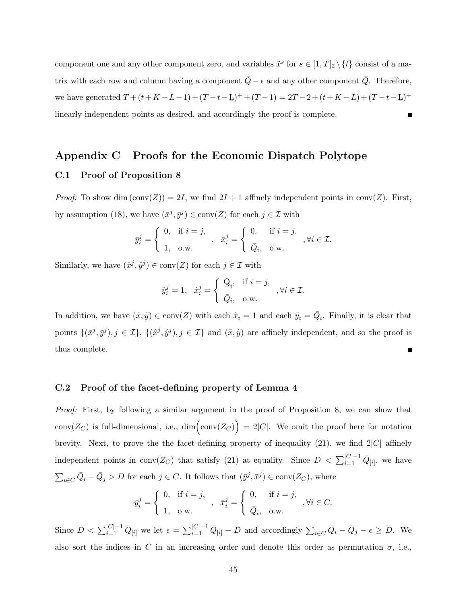component one and any other component zero, and variables  $\ddot{x}^s$  for  $s \in [1, T]_{\mathbb{Z}} \setminus \{t\}$  consist of a matrix with each row and column having a component  $\overline{Q} - \epsilon$  and any other component  $\overline{Q}$ . Therefore, we have generated  $T + (t + K - \bar{L} - 1) + (T - t - \bar{L})^+ + (T - 1) = 2T - 2 + (t + K - \bar{L}) + (T - t - \bar{L})^+$ linearly independent points as desired, and accordingly the proof is complete.

# Appendix C Proofs for the Economic Dispatch Polytope

### C.1 Proof of Proposition 8

*Proof:* To show dim  $(\text{conv}(Z)) = 2I$ , we find  $2I + 1$  affinely independent points in conv(Z). First, by assumption (18), we have  $(\bar{x}^j, \bar{y}^j) \in \text{conv}(Z)$  for each  $j \in \mathcal{I}$  with

$$
\bar{y}_i^j = \begin{cases} 0, & \text{if } i = j, \\ 1, & \text{o.w.} \end{cases}, \quad \bar{x}_i^j = \begin{cases} 0, & \text{if } i = j, \\ \bar{Q}_i, & \text{o.w.} \end{cases}, \forall i \in \mathcal{I}.
$$

Similarly, we have  $(\hat{x}^j, \hat{y}^j) \in \text{conv}(Z)$  for each  $j \in \mathcal{I}$  with

$$
\hat{y}_i^j = 1, \quad \hat{x}_i^j = \begin{cases} Q_i, & \text{if } i = j, \\ \bar{Q}_i, & \text{o.w.} \end{cases}, \forall i \in \mathcal{I}.
$$

In addition, we have  $(\tilde{x}, \tilde{y}) \in \text{conv}(Z)$  with each  $\tilde{x}_i = 1$  and each  $\tilde{y}_i = \overline{Q}_i$ . Finally, it is clear that points  $\{(\bar{x}^j, \bar{y}^j), j \in \mathcal{I}\}\$  and  $(\tilde{x}, \tilde{y})$  are affinely independent, and so the proof is thus complete.

### C.2 Proof of the facet-defining property of Lemma 4

Proof: First, by following a similar argument in the proof of Proposition 8, we can show that conv $(Z_C)$  is full-dimensional, i.e.,  $\dim(\text{conv}(Z_C)) = 2|C|$ . We omit the proof here for notation brevity. Next, to prove the the facet-defining property of inequality  $(21)$ , we find  $2|C|$  affinely independent points in conv $(Z_C)$  that satisfy (21) at equality. Since  $D < \sum_{i=1}^{|C|-1} \bar{Q}_{[i]}$ , we have  $\sum_{i\in C} \bar{Q}_i - \bar{Q}_j > D$  for each  $j \in C$ . It follows that  $(\bar{y}^j, \bar{x}^j) \in \text{conv}(Z_C)$ , where

$$
\bar{y}_i^j = \begin{cases} 0, & \text{if } i = j, \\ 1, & \text{o.w.} \end{cases}, \quad \bar{x}_i^j = \begin{cases} 0, & \text{if } i = j, \\ \bar{Q}_i, & \text{o.w.} \end{cases}, \forall i \in C.
$$

Since  $D < \sum_{i=1}^{|C|-1} \bar{Q}_{[i]}$  we let  $\epsilon = \sum_{i=1}^{|C|-1} \bar{Q}_{[i]} - D$  and accordingly  $\sum_{i \in C} \bar{Q}_i - \bar{Q}_j - \epsilon \ge D$ . We also sort the indices in C in an increasing order and denote this order as permutation  $\sigma$ , i.e.,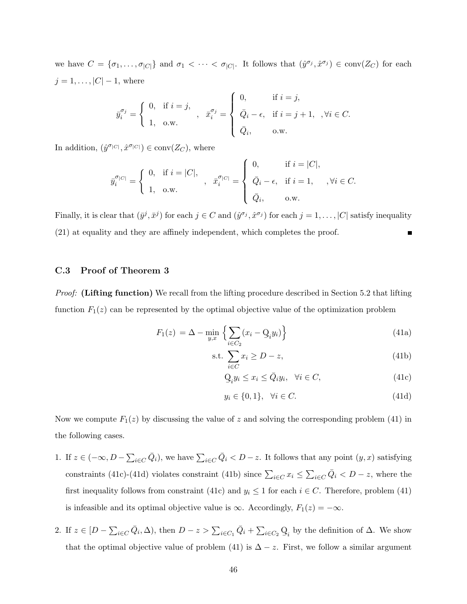we have  $C = \{\sigma_1, \ldots, \sigma_{|C|}\}\$ and  $\sigma_1 < \cdots < \sigma_{|C|}$ . It follows that  $(\hat{y}^{\sigma_j}, \hat{x}^{\sigma_j}) \in \text{conv}(Z_C)$  for each  $j = 1, \ldots, |C| - 1$ , where

$$
\bar{y}_i^{\sigma_j} = \begin{cases} 0, & \text{if } i = j, \\ 1, & \text{o.w.} \end{cases}, \quad \bar{x}_i^{\sigma_j} = \begin{cases} 0, & \text{if } i = j, \\ \bar{Q}_i - \epsilon, & \text{if } i = j + 1, \\ \bar{Q}_i, & \text{o.w.} \end{cases}, \forall i \in C.
$$

In addition,  $(\hat{y}^{\sigma_{|C|}}, \hat{x}^{\sigma_{|C|}}) \in \text{conv}(Z_C)$ , where

$$
\bar y_i^{\sigma_{|C|}}=\left\{\begin{array}{ll}0, \ \ \text{if} \ i=|C|, \\[1mm] 1, \ \ \text{o.w.}\end{array}\right., \ \ \bar x_i^{\sigma_{|C|}}=\left\{\begin{array}{ll}0, \ \ \text{if} \ i=|C|, \\[1mm] \bar Q_i-\epsilon, \ \ \text{if} \ i=1, \ \ \text{, } \ \forall i \in C. \\[1mm] \bar Q_i, \ \ \text{o.w.}\end{array}\right.
$$

Finally, it is clear that  $(\bar{y}^j, \bar{x}^j)$  for each  $j \in C$  and  $(\hat{y}^{\sigma_j}, \hat{x}^{\sigma_j})$  for each  $j = 1, \ldots, |C|$  satisfy inequality (21) at equality and they are affinely independent, which completes the proof.

### C.3 Proof of Theorem 3

Proof: (Lifting function) We recall from the lifting procedure described in Section 5.2 that lifting function  $F_1(z)$  can be represented by the optimal objective value of the optimization problem

$$
F_1(z) = \Delta - \min_{y,x} \left\{ \sum_{i \in C_2} (x_i - \mathcal{Q}_i y_i) \right\} \tag{41a}
$$

$$
\text{s.t. } \sum_{i \in C} x_i \ge D - z,\tag{41b}
$$

$$
\mathcal{Q}_i y_i \le x_i \le \bar{Q}_i y_i, \quad \forall i \in C,
$$
\n(41c)

$$
y_i \in \{0, 1\}, \quad \forall i \in C. \tag{41d}
$$

Now we compute  $F_1(z)$  by discussing the value of z and solving the corresponding problem (41) in the following cases.

- 1. If  $z \in (-\infty, D \sum_{i \in C} \bar{Q}_i)$ , we have  $\sum_{i \in C} \bar{Q}_i < D z$ . It follows that any point  $(y, x)$  satisfying constraints (41c)-(41d) violates constraint (41b) since  $\sum_{i \in C} x_i \leq \sum_{i \in C} \overline{Q}_i < D-z$ , where the first inequality follows from constraint (41c) and  $y_i \leq 1$  for each  $i \in C$ . Therefore, problem (41) is infeasible and its optimal objective value is  $\infty$ . Accordingly,  $F_1(z) = -\infty$ .
- 2. If  $z \in [D \sum_{i \in C} \bar{Q}_i, \Delta)$ , then  $D z > \sum_{i \in C_1} \bar{Q}_i + \sum_{i \in C_2} Q_i$  $\mathcal{Q}_i$  by the definition of  $\Delta$ . We show that the optimal objective value of problem (41) is  $\Delta - z$ . First, we follow a similar argument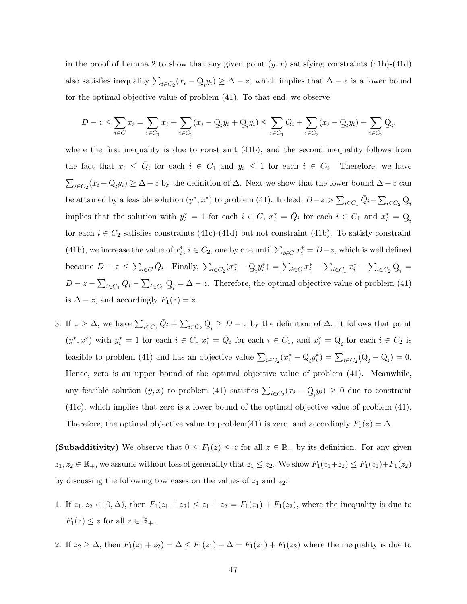in the proof of Lemma 2 to show that any given point  $(y, x)$  satisfying constraints (41b)-(41d) also satisfies inequality  $\sum_{i \in C_2} (x_i - \mathbf{Q})$  $Q_i y_i$ ) ≥  $\Delta - z$ , which implies that  $\Delta - z$  is a lower bound for the optimal objective value of problem (41). To that end, we observe

$$
D-z \le \sum_{i \in C} x_i = \sum_{i \in C_1} x_i + \sum_{i \in C_2} (x_i - \mathbf{Q}_i y_i + \mathbf{Q}_i y_i) \le \sum_{i \in C_1} \bar{Q}_i + \sum_{i \in C_2} (x_i - \mathbf{Q}_i y_i) + \sum_{i \in C_2} \mathbf{Q}_i,
$$

where the first inequality is due to constraint (41b), and the second inequality follows from the fact that  $x_i \leq \overline{Q}_i$  for each  $i \in C_1$  and  $y_i \leq 1$  for each  $i \in C_2$ . Therefore, we have  $\sum_{i\in C_2} (x_i - \mathbf{Q})$  $Q_i y_i$ )  $\geq \Delta - z$  by the definition of  $\Delta$ . Next we show that the lower bound  $\Delta - z$  can be attained by a feasible solution  $(y^*, x^*)$  to problem (41). Indeed,  $D-z > \sum_{i \in C_1} \bar{Q}_i + \sum_{i \in C_2} Q_i$  $\mathbf{r}_i$ implies that the solution with  $y_i^* = 1$  for each  $i \in C$ ,  $x_i^* = \overline{Q}_i$  for each  $i \in C_1$  and  $x_i^* = \underline{Q}_i$ for each  $i \in C_2$  satisfies constraints (41c)-(41d) but not constraint (41b). To satisfy constraint (41b), we increase the value of  $x_i^*, i \in C_2$ , one by one until  $\sum_{i \in C} x_i^* = D - z$ , which is well defined because  $D - z \le \sum_{i \in C} \bar{Q}_i$ . Finally,  $\sum_{i \in C_2} (x_i^* - Q_i y_i^*) = \sum_{i \in C} x_i^* - \sum_{i \in C_1} x_i^* - \sum_{i \in C_2} Q_i$  $Q_i =$  $D-z-\sum_{i\in C_1}\bar{Q}_i-\sum_{i\in C_2}Q_i$  $Q_i = \Delta - z$ . Therefore, the optimal objective value of problem (41) is  $\Delta - z$ , and accordingly  $F_1(z) = z$ .

3. If  $z \geq \Delta$ , we have  $\sum_{i \in C_1} \bar{Q}_i + \sum_{i \in C_2} Q_i$  $Q_i \geq D - z$  by the definition of  $\Delta$ . It follows that point  $(y^*, x^*)$  with  $y_i^* = 1$  for each  $i \in C$ ,  $x_i^* = \overline{Q}_i$  for each  $i \in C_1$ , and  $x_i^* = \overline{Q}_i$  for each  $i \in C_2$  is feasible to problem (41) and has an objective value  $\sum_{i \in C_2} (x_i^* - Q_i y_i^*) = \sum_{i \in C_2} (Q_i^*)$  $Q_i - Q_i$  $\mathcal{Q}_i$ ) = 0. Hence, zero is an upper bound of the optimal objective value of problem (41). Meanwhile, any feasible solution  $(y, x)$  to problem (41) satisfies  $\sum_{i \in C_2} (x_i - Q_i)$  $Q_i y_i$ )  $\geq 0$  due to constraint (41c), which implies that zero is a lower bound of the optimal objective value of problem (41). Therefore, the optimal objective value to problem(41) is zero, and accordingly  $F_1(z) = \Delta$ .

(Subadditivity) We observe that  $0 \leq F_1(z) \leq z$  for all  $z \in \mathbb{R}_+$  by its definition. For any given  $z_1, z_2 \in \mathbb{R}_+$ , we assume without loss of generality that  $z_1 \leq z_2$ . We show  $F_1(z_1+z_2) \leq F_1(z_1)+F_1(z_2)$ by discussing the following tow cases on the values of  $z_1$  and  $z_2$ :

- 1. If  $z_1, z_2 \in [0, \Delta)$ , then  $F_1(z_1 + z_2) \le z_1 + z_2 = F_1(z_1) + F_1(z_2)$ , where the inequality is due to  $F_1(z) \leq z$  for all  $z \in \mathbb{R}_+$ .
- 2. If  $z_2 \geq \Delta$ , then  $F_1(z_1 + z_2) = \Delta \leq F_1(z_1) + \Delta = F_1(z_1) + F_1(z_2)$  where the inequality is due to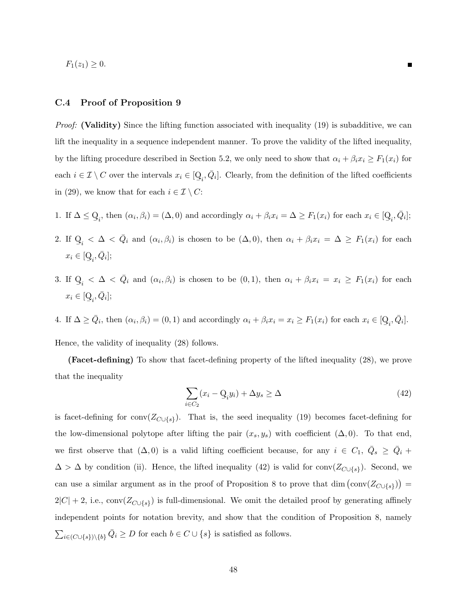$F_1(z_1) \geq 0.$ 

### C.4 Proof of Proposition 9

Proof: (Validity) Since the lifting function associated with inequality (19) is subadditive, we can lift the inequality in a sequence independent manner. To prove the validity of the lifted inequality, by the lifting procedure described in Section 5.2, we only need to show that  $\alpha_i + \beta_i x_i \geq F_1(x_i)$  for each  $i \in \mathcal{I} \setminus C$  over the intervals  $x_i \in \lbrack \text{Q}$  $Q_i, \bar{Q}_i$ . Clearly, from the definition of the lifted coefficients in (29), we know that for each  $i \in \mathcal{I} \setminus C$ :

- 1. If  $\Delta \leq Q$  $Q_i$ , then  $(\alpha_i, \beta_i) = (\Delta, 0)$  and accordingly  $\alpha_i + \beta_i x_i = \Delta \ge F_1(x_i)$  for each  $x_i \in [Q]$  $Q_i, \bar{Q}_i$ ];
- 2. If Q  $Q_i < \Delta < \bar{Q}_i$  and  $(\alpha_i, \beta_i)$  is chosen to be  $(\Delta, 0)$ , then  $\alpha_i + \beta_i x_i = \Delta \ge F_1(x_i)$  for each  $x_i \in [\mathbf{Q}]$  $Q_i, \bar{Q}_i$ ];
- 3. If Q  $Q_i < \Delta < \bar{Q}_i$  and  $(\alpha_i, \beta_i)$  is chosen to be  $(0, 1)$ , then  $\alpha_i + \beta_i x_i = x_i \geq F_1(x_i)$  for each  $x_i \in [\mathbf{Q}]$  $Q_i, \bar{Q}_i$ ];

4. If  $\Delta \geq \overline{Q}_i$ , then  $(\alpha_i, \beta_i) = (0, 1)$  and accordingly  $\alpha_i + \beta_i x_i = x_i \geq F_1(x_i)$  for each  $x_i \in [Q]$  $Q_i, \bar{Q}_i$ ].

Hence, the validity of inequality (28) follows.

(Facet-defining) To show that facet-defining property of the lifted inequality (28), we prove that the inequality

$$
\sum_{i \in C_2} (x_i - \mathcal{Q}_i y_i) + \Delta y_s \ge \Delta \tag{42}
$$

is facet-defining for conv $(Z_{C\cup\{s\}})$ . That is, the seed inequality (19) becomes facet-defining for the low-dimensional polytope after lifting the pair  $(x_s, y_s)$  with coefficient  $(\Delta, 0)$ . To that end, we first observe that  $(\Delta, 0)$  is a valid lifting coefficient because, for any  $i \in C_1$ ,  $\overline{Q}_s \ge \overline{Q}_i$  +  $\Delta > \Delta$  by condition (ii). Hence, the lifted inequality (42) is valid for conv $(Z_{C \cup \{s\}})$ . Second, we can use a similar argument as in the proof of Proposition 8 to prove that dim  $(\text{conv}(Z_{C\cup\{s\}}))$  =  $2|C| + 2$ , i.e., conv $(Z_{C \cup \{s\}})$  is full-dimensional. We omit the detailed proof by generating affinely independent points for notation brevity, and show that the condition of Proposition 8, namely  $\sum_{i\in (C\cup\{s\})\setminus\{b\}} \bar{Q}_i \geq D$  for each  $b \in C \cup \{s\}$  is satisfied as follows.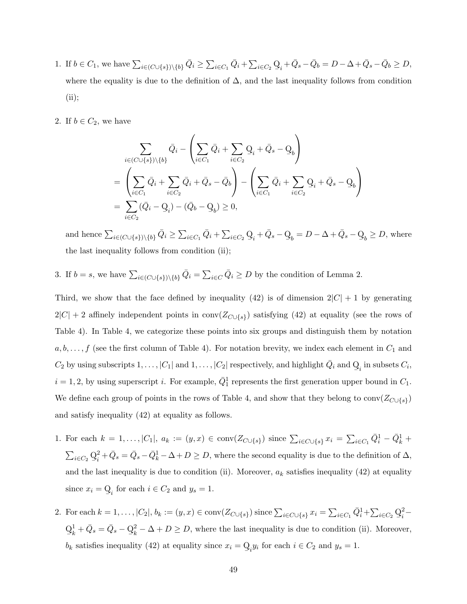- 1. If  $b \in C_1$ , we have  $\sum_{i \in (C \cup \{s\}) \setminus \{b\}} \bar{Q}_i \ge \sum_{i \in C_1} \bar{Q}_i + \sum_{i \in C_2} Q_i$  $Q_i + \bar{Q}_s - \bar{Q}_b = D - \Delta + \bar{Q}_s - \bar{Q}_b \ge D,$ where the equality is due to the definition of  $\Delta$ , and the last inequality follows from condition (ii);
- 2. If  $b \in C_2$ , we have

$$
\sum_{i \in (C \cup \{s\}) \setminus \{b\}} \bar{Q}_i - \left(\sum_{i \in C_1} \bar{Q}_i + \sum_{i \in C_2} \mathbf{Q}_i + \bar{Q}_s - \mathbf{Q}_b\right)
$$
\n
$$
= \left(\sum_{i \in C_1} \bar{Q}_i + \sum_{i \in C_2} \bar{Q}_i + \bar{Q}_s - \bar{Q}_b\right) - \left(\sum_{i \in C_1} \bar{Q}_i + \sum_{i \in C_2} \mathbf{Q}_i + \bar{Q}_s - \mathbf{Q}_b\right)
$$
\n
$$
= \sum_{i \in C_2} (\bar{Q}_i - \mathbf{Q}_i) - (\bar{Q}_b - \mathbf{Q}_b) \ge 0,
$$

and hence  $\sum_{i \in (C \cup \{s\}) \setminus \{b\}} \bar{Q}_i \ge \sum_{i \in C_1} \bar{Q}_i + \sum_{i \in C_2} \mathcal{Q}$  $\mathbf{Q}_i + \bar{Q}_s - \mathbf{Q}$  $\mathbf{Q}_b = D - \Delta + \bar{Q}_s - \mathbf{Q}$  $\mathcal{Q}_b \geq D$ , where the last inequality follows from condition (ii);

3. If  $b = s$ , we have  $\sum_{i \in (C \cup \{s\}) \setminus \{b\}} \bar{Q}_i = \sum_{i \in C} \bar{Q}_i \geq D$  by the condition of Lemma 2.

Third, we show that the face defined by inequality (42) is of dimension  $2|C| + 1$  by generating  $2|C| + 2$  affinely independent points in conv $(Z_{C \cup \{s\}})$  satisfying (42) at equality (see the rows of Table 4). In Table 4, we categorize these points into six groups and distinguish them by notation  $a, b, \ldots, f$  (see the first column of Table 4). For notation brevity, we index each element in  $C_1$  and  $C_2$  by using subscripts  $1, \ldots, |C_1|$  and  $1, \ldots, |C_2|$  respectively, and highlight  $\bar{Q}_i$  and Q  $Q_i$  in subsets  $C_i$ ,  $i = 1, 2$ , by using superscript i. For example,  $\overline{Q}_1^1$  represents the first generation upper bound in  $C_1$ . We define each group of points in the rows of Table 4, and show that they belong to  $conv(Z_{C\cup\{s\}})$ and satisfy inequality (42) at equality as follows.

- 1. For each  $k = 1, ..., |C_1|$ ,  $a_k := (y, x) \in \text{conv}(Z_{C \cup \{s\}})$  since  $\sum_{i \in C \cup \{s\}} x_i = \sum_{i \in C_1} \bar{Q}_i^1 \bar{Q}_k^1 + \cdots$  $\sum_{i\in C_2}\c0$ ¯ 2  $\frac{1}{2} + \bar{Q}_s = \bar{Q}_s - \bar{Q}_k^1 - \Delta + D \geq D$ , where the second equality is due to the definition of  $\Delta$ , and the last inequality is due to condition (ii). Moreover,  $a_k$  satisfies inequality (42) at equality since  $x_i = Q$  $Q_i$  for each  $i \in C_2$  and  $y_s = 1$ .
- 2. For each  $k = 1, ..., |C_2|, b_k := (y, x) \in conv(Z_{C \cup \{s\}})$  since  $\sum_{i \in C \cup \{s\}} x_i = \sum_{i \in C_1} \bar{Q}_i^1 + \sum_{i \in C_2} Q_i^1$ ¯ 2  $\frac{2}{i}$  $\rm{Q}$ ¯ 1  $\frac{1}{k} + \bar{Q}_s = \bar{Q}_s - \mathcal{Q}$ ¯ 2  $k<sup>2</sup> - \Delta + D \ge D$ , where the last inequality is due to condition (ii). Moreover,  $b_k$  satisfies inequality (42) at equality since  $x_i = Q$  $Q_i y_i$  for each  $i \in C_2$  and  $y_s = 1$ .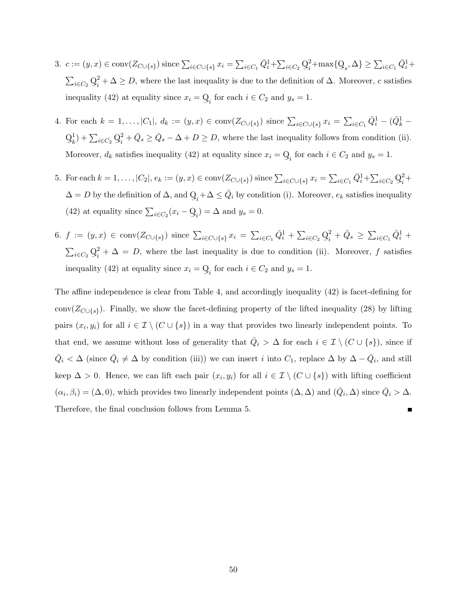- 3.  $c := (y, x) \in \text{conv}(Z_{C \cup \{s\}})$  since  $\sum_{i \in C \cup \{s\}} x_i = \sum_{i \in C_1} \bar{Q}_i^1 + \sum_{i \in C_2} Q_i^1$ ¯ 2  $i<sup>2</sup> + max\{Q$  $Q_s$ ,  $\Delta\} \ge \sum_{i \in C_1} \bar{Q}_i^1 +$  $\sum_{i\in C_2}\c0$ ¯ 2  $i^2 + \Delta \geq D$ , where the last inequality is due to the definition of  $\Delta$ . Moreover, c satisfies inequality (42) at equality since  $x_i = Q$  $Q_i$  for each  $i \in C_2$  and  $y_s = 1$ .
- 4. For each  $k = 1, ..., |C_1|$ ,  $d_k := (y, x) \in \text{conv}(Z_{C \cup \{s\}})$  since  $\sum_{i \in C \cup \{s\}} x_i = \sum_{i \in C_1} \overline{Q}_i^1 (\overline{Q}_k^1 \rm{Q}$ ¯ 1  $\binom{1}{k} + \sum_{i \in C_2} \mathcal{Q}$ ¯ 2  $\frac{1}{2} + \bar{Q}_s \ge \bar{Q}_s - \Delta + D \ge D$ , where the last inequality follows from condition (ii). Moreover,  $d_k$  satisfies inequality (42) at equality since  $x_i = Q$  $Q_i$  for each  $i \in C_2$  and  $y_s = 1$ .
- 5. For each  $k = 1, ..., |C_2|, e_k := (y, x) \in conv(Z_{C \cup \{s\}})$  since  $\sum_{i \in C \cup \{s\}} x_i = \sum_{i \in C_1} \bar{Q}_i^1 + \sum_{i \in C_2} Q_i^1$ ¯ 2  $i^2$ +  $\Delta = D$  by the definition of  $\Delta$ , and Q  $\mathbb{Q}_i + \Delta \leq \bar{Q}_i$  by condition (i). Moreover,  $e_k$  satisfies inequality (42) at equality since  $\sum_{i \in C_2} (x_i - \mathbf{Q})$  $\mathbf{Q}_i$ ) =  $\Delta$  and  $y_s = 0$ .
- 6.  $f := (y, x) \in \text{conv}(Z_{C \cup \{s\}})$  since  $\sum_{i \in C \cup \{s\}} x_i = \sum_{i \in C_1} \bar{Q}_i^1 + \sum_{i \in C_2} Q_i^1$ ¯ 2  $\frac{2}{i} + \bar{Q}_s \ge \sum_{i \in C_1} \bar{Q}_i^1 +$  $\sum_{i\in C_2}\c0$ ¯ 2  $i^2 + \Delta = D$ , where the last inequality is due to condition (ii). Moreover, f satisfies inequality (42) at equality since  $x_i = Q$  $Q_i$  for each  $i \in C_2$  and  $y_s = 1$ .

The affine independence is clear from Table 4, and accordingly inequality (42) is facet-defining for conv( $Z_{C\cup\{s\}}$ ). Finally, we show the facet-defining property of the lifted inequality (28) by lifting pairs  $(x_i, y_i)$  for all  $i \in \mathcal{I} \setminus (C \cup \{s\})$  in a way that provides two linearly independent points. To that end, we assume without loss of generality that  $\overline{Q}_i > \Delta$  for each  $i \in \mathcal{I} \setminus (C \cup \{s\})$ , since if  $\overline{Q}_i < \Delta$  (since  $\overline{Q}_i \neq \Delta$  by condition (iii)) we can insert i into  $C_1$ , replace  $\Delta$  by  $\Delta - \overline{Q}_i$ , and still keep  $\Delta > 0$ . Hence, we can lift each pair  $(x_i, y_i)$  for all  $i \in \mathcal{I} \setminus (C \cup \{s\})$  with lifting coefficient  $(\alpha_i, \beta_i) = (\Delta, 0)$ , which provides two linearly independent points  $(\Delta, \Delta)$  and  $(\bar{Q}_i, \Delta)$  since  $\bar{Q}_i > \Delta$ . Therefore, the final conclusion follows from Lemma 5. г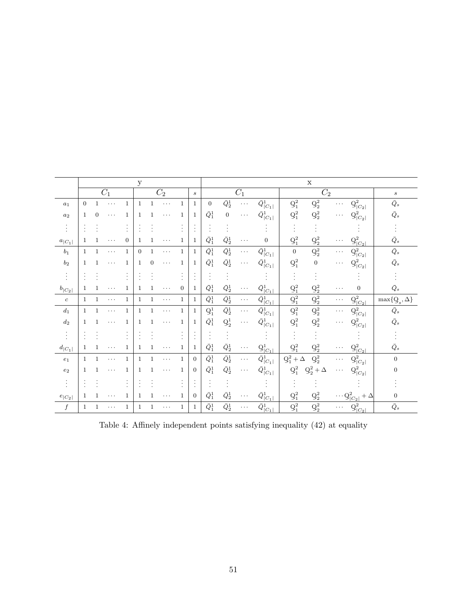|                          | $\mathbf{y}$ |                  |                  |                |                |                                      |          | $\mathbf X$          |                  |                  |                  |          |                                       |                         |                            |          |                                                        |                                |
|--------------------------|--------------|------------------|------------------|----------------|----------------|--------------------------------------|----------|----------------------|------------------|------------------|------------------|----------|---------------------------------------|-------------------------|----------------------------|----------|--------------------------------------------------------|--------------------------------|
|                          |              |                  | $\overline{C_1}$ |                |                | $\overline{C_2}$<br>$\boldsymbol{s}$ |          |                      |                  | $\overline{C_1}$ |                  |          |                                       | $\overline{C_2}$        |                            |          |                                                        | $\boldsymbol{s}$               |
| $a_1$                    | $\theta$     |                  | .                | 1              | $\mathbf{1}$   | 1                                    | .        | 1                    | $\mathbf 1$      | $\boldsymbol{0}$ | $\bar{Q}_2^1$    | $\cdots$ | $\bar{\bar{Q}}{}^1_{ C_1 }$           | $\mathbf{Q}_1^2$        | $\mathbf{Q}_2^2$           | .        | $\mathcal{Q}^2_{ C_2 }$                                | $\bar{Q}_s$                    |
| $\boldsymbol{a}_2$       | $\mathbf{1}$ | $\boldsymbol{0}$ | .                | 1              | $\mathbf{1}$   | $\mathbf{1}$                         | $\cdots$ | 1                    | $\mathbf 1$      | $\bar Q_1^1$     | $\boldsymbol{0}$ | $\cdots$ | $\bar{Q}^1_{ C_1 }$                   | $\mathbf{Q}_1^2$        | $\mathbf{Q}_2^2$           | $\ldots$ | $\mathcal{Q}^2_{ C_2 }$                                | $\bar Q_s$                     |
| ÷                        | $\cdot$      |                  |                  | $\ddot{\cdot}$ |                |                                      |          | $\cdot$              |                  |                  |                  |          |                                       |                         |                            |          |                                                        |                                |
| $a_{ C_1 }$              | 1            |                  | .                | 0              | 1              | $\mathbf 1$                          | $\cdots$ | $\mathbf 1$          | 1                | $\bar{Q}_1^1$    | $\bar{Q}_2^1$    | $\cdots$ | $\overline{0}$                        | $\mathbf{Q}_1^2$        | $\mathbf{Q}_2^2$           | $\cdots$ | $Q_{ C_2 }^2$                                          | $\bar{Q}_s$                    |
| $\boldsymbol{b}_1$       | $\mathbf 1$  | 1                | .                | $\mathbf{1}$   | $\overline{0}$ | $\mathbf{1}$                         | .        | $\mathbf{1}$         | $\mathbf 1$      | $\bar{Q}_1^1$    | $\bar Q_2^1$     | .        | $\bar{\bar{Q}}{}^1_{ C_1 }$           | $\mathbf{0}$            | $\mathbf{Q}_2^2$           | .        | $\mathcal{Q}^2_{ C_2 }$                                | $\bar{Q}_s$                    |
| $\mathfrak{b}_2$         | $\mathbf{1}$ | 1                | .                | 1              | $\mathbf{1}$   | $\boldsymbol{0}$                     | .        | 1                    | 1                | $\bar{Q}_1^1$    | $\bar{Q}_2^1$    | $\cdots$ | $\bar{Q}^1_{ C_1 }$                   | $\mathbf{Q}_1^2$        | $\boldsymbol{0}$           | $\cdots$ | $\mathcal{Q}^2_{ C_2 }$                                | $\bar Q_s$                     |
| $\cdot$<br>$\bullet$     | $\cdot$      |                  |                  | $\ddot{\cdot}$ |                |                                      |          | $\bullet$<br>$\cdot$ |                  |                  |                  |          |                                       |                         |                            |          |                                                        |                                |
| $b_{ C_2 }$              | 1            |                  | .                | 1              | 1              | $\mathbf{1}$                         | .        | $\overline{0}$       | 1                | $\bar{Q}_1^1$    | $\bar{Q}_2^1$    | $\cdots$ | $\bar{Q}^1_{ \underline{C_1} }$       | ${\mathcal Q}_1^2$      | ${\mathbf Q}_2^2$          | $\cdots$ | $\overline{0}$                                         | $\bar Q_s$                     |
| $\boldsymbol{c}$         | $\mathbf{1}$ | 1                | .                | $\mathbf{1}$   | 1              | $\mathbf{1}$                         | .        | $\mathbf 1$          | 1                | $\bar Q_1^1$     | $\bar Q_2^1$     | $\cdots$ | $\bar{\bar{Q}}^1_{\mid C_1 \mid}$     | ${\bf Q}_1^2$           | $\mathbf{Q}_2^2$           | $\cdots$ | $\mathcal{Q}^2_{ C_2 }$                                | $\max\{\mathcal{Q}_s,\Delta\}$ |
| $\boldsymbol{d}_1$       | $\mathbf{1}$ | 1                | .                | $\mathbf{1}$   | $\mathbf{1}$   | $\mathbf{1}$                         | .        | $\mathbf 1$          | $\mathbf{1}$     | $\mathbf{Q}_1^1$ | $\bar{Q}_2^1$    | .        | $\bar{\bar{Q}}{}^1_{ C_1 }$           | $\mathbf{Q}_1^2$        | $\mathbf{Q}_2^2$           | $\cdots$ | $\mathcal{Q}^2_{ C_2 }$                                | $\bar Q_s$                     |
| $d_2\,$                  | $\mathbf{1}$ |                  | .                | 1              | 1              | $\mathbf{1}$                         | .        | 1                    | 1                | $\bar{Q}_1^1$    | $\mathbf{Q}_2^1$ | $\cdots$ | $\bar{Q}^1_{ C_1 }$                   | ${\bf Q}_1^2$           | ${\mathbf Q}_2^2$          | $\cdots$ | $\mathcal{Q}^2_{ C_2 }$                                | $\bar{Q}_s$                    |
| $\ddot{\cdot}$           |              |                  |                  |                |                |                                      |          | $\blacksquare$       |                  |                  |                  |          |                                       |                         |                            |          |                                                        |                                |
| $d_{ C_1 }$              | 1            |                  |                  | 1              | 1              | $\mathbf 1$                          | .        | 1                    | 1                | $\bar Q_1^1$     | $\bar Q_2^1$     |          | $Q_{ C_1 }^1$                         | $\mathbf{Q}_1^2$        | $\mathbf{Q}_2^2$           | .        | $\underline{\mathbf{Q}}_{ C_2 }^2$                     | $\bar{Q}s$                     |
| $\boldsymbol{e}_1$       | $\mathbf{1}$ | 1                | .                | $\mathbf{1}$   | $\mathbf{1}$   | $\mathbf{1}$                         | .        | $\mathbf{1}$         | $\overline{0}$   | $\bar Q_1^1$     | $\bar{Q}_2^1$    | $\cdots$ | $\bar{\bar{Q}}{}^1_{ C_1 }$           | $\mathbf{Q}_1^2+\Delta$ | $\mathbf{Q}_2^2$           | $\cdots$ | $\mathcal{Q}^2_{ C_2 }$                                | $\boldsymbol{0}$               |
| $\boldsymbol{e}_2$       | $\mathbf{1}$ |                  | .                | 1              | 1              | $\mathbf{1}$                         | .        | $\mathbf 1$          | $\boldsymbol{0}$ | $\bar{Q}_1^1$    | $\bar{Q}_2^1$    | .        | $\bar{Q}_{ C_1 }^1$                   | $\mathbf{Q}_1^2$        | ${\mathbf Q}^2_2 + \Delta$ | $\ldots$ | $\mathcal{Q}^2_{ C_2 }$                                | 0                              |
| ÷                        |              |                  |                  |                |                |                                      |          | $\cdot$              |                  |                  |                  |          |                                       |                         |                            |          |                                                        |                                |
| $e_{\left C_{2}\right }$ | $\mathbf{1}$ |                  | .                | 1              | 1              | $\mathbf 1$                          | .        | 1                    | $\theta$         | $\bar Q_1^1$     | $\bar Q_2^1$     |          | $\bar{Q}^1_{\underline{ C_1 }}$       | $\mathbf{Q}_1^2$        | $\mathbf{Q}_2^2$           |          | $\cdots \underline{\mathbf{Q}}_{ C_2 }^2$<br>$+\Delta$ | $\boldsymbol{0}$               |
| $\boldsymbol{f}$         | $\mathbf{1}$ | 1                | .                | $\mathbf{1}$   | $\mathbf{1}$   | $\mathbf{1}$                         | $\cdots$ | $\mathbf 1$          | 1                | $\bar Q_1^1$     | $\bar Q_2^1$     | $\cdots$ | $\bar{\bar{Q}}^1_{\underline{ C_1 }}$ | $\mathbf{Q}_1^2$        | $\mathbf{Q}_2^2$           | $\cdots$ | $Q_{ C_2 }^2$                                          | $\bar Q_s$                     |

Table 4: Affinely independent points satisfying inequality (42) at equality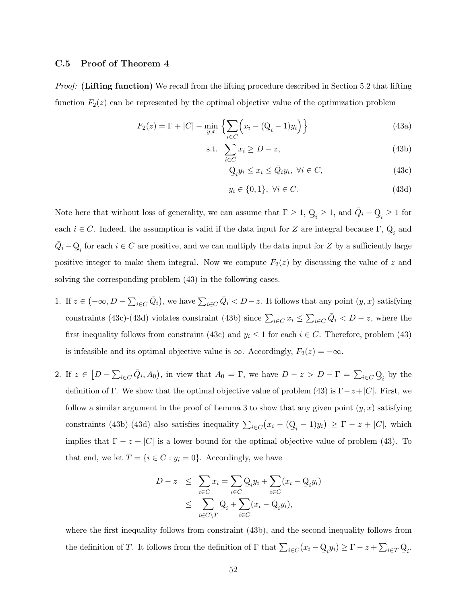#### C.5 Proof of Theorem 4

*Proof:* (Lifting function) We recall from the lifting procedure described in Section 5.2 that lifting function  $F_2(z)$  can be represented by the optimal objective value of the optimization problem

$$
F_2(z) = \Gamma + |C| - \min_{y,x} \left\{ \sum_{i \in C} \left( x_i - (\mathbf{Q}_i - 1)y_i \right) \right\} \tag{43a}
$$

$$
\text{s.t. } \sum_{i \in C} x_i \ge D - z,\tag{43b}
$$

$$
Q_i y_i \le x_i \le \bar{Q}_i y_i, \ \forall i \in C,
$$
\n(43c)

$$
y_i \in \{0, 1\}, \ \forall i \in C. \tag{43d}
$$

Note here that without loss of generality, we can assume that  $\Gamma \geq 1$ , Q  $\mathbf{Q}_i \geq 1$ , and  $\bar{Q}_i - \mathbf{Q}$  $Q_i \geq 1$  for each  $i \in C$ . Indeed, the assumption is valid if the data input for Z are integral because Γ, Q  $Q_i$  and  $\bar{Q}_i - Q$  $Q_i$  for each  $i \in C$  are positive, and we can multiply the data input for Z by a sufficiently large positive integer to make them integral. Now we compute  $F_2(z)$  by discussing the value of z and solving the corresponding problem  $(43)$  in the following cases.

- 1. If  $z \in (-\infty, D \sum_{i \in C} \bar{Q}_i)$ , we have  $\sum_{i \in C} \bar{Q}_i < D z$ . It follows that any point  $(y, x)$  satisfying constraints (43c)-(43d) violates constraint (43b) since  $\sum_{i \in C} x_i \leq \sum_{i \in C} \overline{Q}_i < D - z$ , where the first inequality follows from constraint (43c) and  $y_i \leq 1$  for each  $i \in C$ . Therefore, problem (43) is infeasible and its optimal objective value is  $\infty$ . Accordingly,  $F_2(z) = -\infty$ .
- 2. If  $z \in [D \sum_{i \in C} \bar{Q}_i, A_0)$ , in view that  $A_0 = \Gamma$ , we have  $D z > D \Gamma = \sum_{i \in C} Q_i$  by the definition of Γ. We show that the optimal objective value of problem (43) is  $\Gamma - z + |C|$ . First, we follow a similar argument in the proof of Lemma 3 to show that any given point  $(y, x)$  satisfying constraints (43b)-(43d) also satisfies inequality  $\sum_{i \in C} (x_i - (\mathbf{Q})$  $Q_i - 1y_i$   $\geq \Gamma - z + |C|$ , which implies that  $\Gamma - z + |C|$  is a lower bound for the optimal objective value of problem (43). To that end, we let  $T = \{i \in C : y_i = 0\}$ . Accordingly, we have

$$
D - z \leq \sum_{i \in C} x_i = \sum_{i \in C} Q_i y_i + \sum_{i \in C} (x_i - Q_i y_i)
$$
  

$$
\leq \sum_{i \in C \setminus T} Q_i + \sum_{i \in C} (x_i - Q_i y_i),
$$

where the first inequality follows from constraint (43b), and the second inequality follows from the definition of T. It follows from the definition of  $\Gamma$  that  $\sum_{i\in C} (x_i - \mathcal{Q})$  $\mathcal{Q}_i y_i$ )  $\geq \Gamma - z + \sum_{i \in T} \mathcal{Q}_i$ .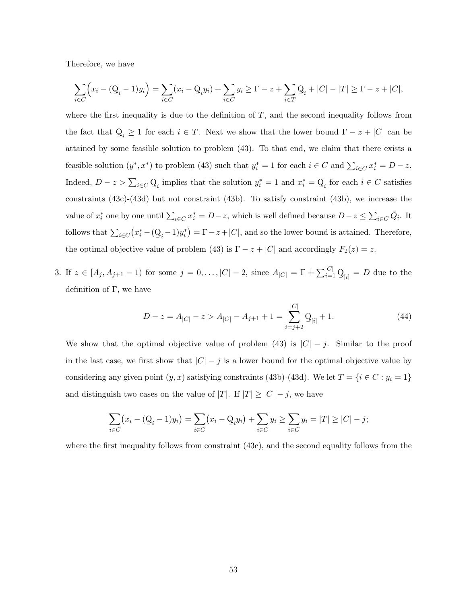Therefore, we have

$$
\sum_{i \in C} \Bigl( x_i - (\mathcal{Q}_i - 1)y_i \Bigr) = \sum_{i \in C} (x_i - \mathcal{Q}_i y_i) + \sum_{i \in C} y_i \ge \Gamma - z + \sum_{i \in T} \mathcal{Q}_i + |C| - |T| \ge \Gamma - z + |C|,
$$

where the first inequality is due to the definition of  $T$ , and the second inequality follows from the fact that Q  $\mathcal{Q}_i \geq 1$  for each  $i \in T$ . Next we show that the lower bound  $\Gamma - z + |C|$  can be attained by some feasible solution to problem (43). To that end, we claim that there exists a feasible solution  $(y^*, x^*)$  to problem (43) such that  $y_i^* = 1$  for each  $i \in C$  and  $\sum_{i \in C} x_i^* = D - z$ . Indeed,  $D - z > \sum_{i \in C} Q_i$  implies that the solution  $y_i^* = 1$  and  $x_i^* = Q_i$  for each  $i \in C$  satisfies constraints (43c)-(43d) but not constraint (43b). To satisfy constraint (43b), we increase the value of  $x_i^*$  one by one until  $\sum_{i \in C} x_i^* = D - z$ , which is well defined because  $D - z \le \sum_{i \in C} \overline{Q}_i$ . It follows that  $\sum_{i \in C} (x_i^* - (\underline{Q}_i - 1)y_i^*) = \Gamma - z + |C|$ , and so the lower bound is attained. Therefore, the optimal objective value of problem (43) is  $\Gamma - z + |C|$  and accordingly  $F_2(z) = z$ .

3. If  $z \in [A_j, A_{j+1} - 1)$  for some  $j = 0, ..., |C| - 2$ , since  $A_{|C|} = \Gamma + \sum_{i=1}^{|C|} Q_{[i]} = D$  due to the definition of  $\Gamma$ , we have

$$
D - z = A_{|C|} - z > A_{|C|} - A_{j+1} + 1 = \sum_{i=j+2}^{|C|} Q_{[i]} + 1.
$$
 (44)

We show that the optimal objective value of problem (43) is  $|C| - j$ . Similar to the proof in the last case, we first show that  $|C| - j$  is a lower bound for the optimal objective value by considering any given point  $(y, x)$  satisfying constraints (43b)-(43d). We let  $T = \{i \in C : y_i = 1\}$ and distinguish two cases on the value of  $|T|$ . If  $|T| \geq |C| - j$ , we have

$$
\sum_{i \in C} (x_i - (\mathbf{Q}_i - 1)y_i) = \sum_{i \in C} (x_i - \mathbf{Q}_i y_i) + \sum_{i \in C} y_i \ge \sum_{i \in C} y_i = |T| \ge |C| - j;
$$

where the first inequality follows from constraint (43c), and the second equality follows from the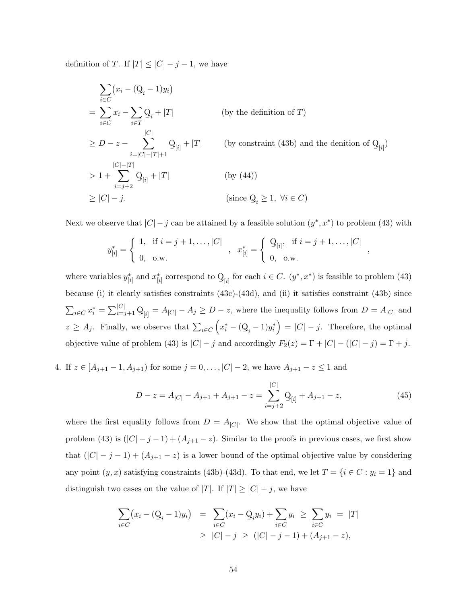definition of T. If  $|T| \leq |C| - j - 1$ , we have

$$
\sum_{i \in C} (x_i - (\mathbf{Q}_i - 1)y_i)
$$
\n
$$
= \sum_{i \in C} x_i - \sum_{i \in T} \mathbf{Q}_i + |T| \qquad \text{(by the definition of } T)
$$
\n
$$
\geq D - z - \sum_{i=|C|-|T|+1}^{|C|} \mathbf{Q}_{[i]} + |T| \qquad \text{(by constraint (43b) and the denition of } \mathbf{Q}_{[i]})
$$
\n
$$
> 1 + \sum_{i=j+2}^{|C|-|T|} \mathbf{Q}_{[i]} + |T| \qquad \text{(by (44))}
$$
\n
$$
\geq |C| - j. \qquad \text{(since } \mathbf{Q}_i \geq 1, \forall i \in C)
$$

Next we observe that  $|C|-j$  can be attained by a feasible solution  $(y^*, x^*)$  to problem (43) with

$$
y_{[i]}^{*} = \begin{cases} 1, & \text{if } i = j + 1, \dots, |C| \\ 0, & \text{o.w.} \end{cases}, x_{[i]}^{*} = \begin{cases} \mathcal{Q}_{[i]}, & \text{if } i = j + 1, \dots, |C| \\ 0, & \text{o.w.} \end{cases}
$$

where variables  $y_{[i]}^*$  and  $x_{[i]}^*$  correspond to Q  $Q_{[i]}$  for each  $i \in C$ .  $(y^*, x^*)$  is feasible to problem (43) because (i) it clearly satisfies constraints (43c)-(43d), and (ii) it satisfies constraint (43b) since  $\sum_{i \in C} x_i^* = \sum_{i=j+1}^{|C|} \mathcal{Q}_{[i]} = A_{|C|} - A_j \ge D - z$ , where the inequality follows from  $D = A_{|C|}$  and  $z \geq A_j$ . Finally, we observe that  $\sum_{i \in C} (x_i^* - (\mathcal{Q}_i - 1)y_i^*) = |C| - j$ . Therefore, the optimal objective value of problem (43) is  $|C| - j$  and accordingly  $F_2(z) = \Gamma + |C| - (|C| - j) = \Gamma + j$ .

4. If  $z \in [A_{j+1} - 1, A_{j+1})$  for some  $j = 0, ..., |C| - 2$ , we have  $A_{j+1} - z \le 1$  and

$$
D - z = A_{|C|} - A_{j+1} + A_{j+1} - z = \sum_{i=j+2}^{|C|} Q_{[i]} + A_{j+1} - z,
$$
\n(45)

,

where the first equality follows from  $D = A_{|C|}$ . We show that the optimal objective value of problem (43) is  $(|C|-j-1)+(A_{j+1}-z)$ . Similar to the proofs in previous cases, we first show that  $(|C| - j - 1) + (A_{j+1} - z)$  is a lower bound of the optimal objective value by considering any point  $(y, x)$  satisfying constraints (43b)-(43d). To that end, we let  $T = \{i \in C : y_i = 1\}$  and distinguish two cases on the value of |T|. If  $|T| \geq |C| - j$ , we have

$$
\sum_{i \in C} (x_i - (\mathbf{Q}_i - 1)y_i) = \sum_{i \in C} (x_i - \mathbf{Q}_i y_i) + \sum_{i \in C} y_i \ge \sum_{i \in C} y_i = |T|
$$
  
 
$$
\ge |C| - j \ge (|C| - j - 1) + (A_{j+1} - z),
$$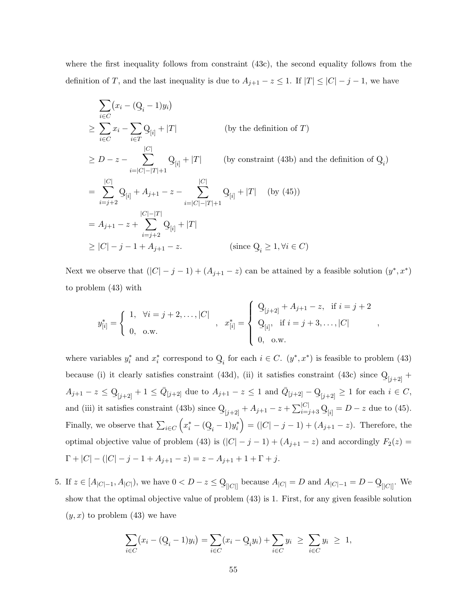where the first inequality follows from constraint (43c), the second equality follows from the definition of T, and the last inequality is due to  $A_{j+1} - z \leq 1$ . If  $|T| \leq |C| - j - 1$ , we have

$$
\sum_{i \in C} (x_i - (\mathbf{Q}_i - 1)y_i)
$$
\n
$$
\geq \sum_{i \in C} x_i - \sum_{i \in T} \mathbf{Q}_{[i]} + |T| \qquad \text{(by the definition of } T)
$$
\n
$$
\geq D - z - \sum_{i=|C|-|T|+1}^{|C|} \mathbf{Q}_{[i]} + |T| \qquad \text{(by constraint (43b) and the definition of } \mathbf{Q}_i)
$$
\n
$$
= \sum_{i=j+2}^{|C|} \mathbf{Q}_{[i]} + A_{j+1} - z - \sum_{i=|C|-|T|+1}^{|C|} \mathbf{Q}_{[i]} + |T| \qquad \text{(by (45))}
$$
\n
$$
= A_{j+1} - z + \sum_{i=j+2}^{|C|-|T|} \mathbf{Q}_{[i]} + |T|
$$
\n
$$
\geq |C| - j - 1 + A_{j+1} - z. \qquad \text{(since } \mathbf{Q}_i \geq 1, \forall i \in C)
$$

Next we observe that  $(|C|-j-1)+(A_{j+1}-z)$  can be attained by a feasible solution  $(y^*,x^*)$ to problem (43) with

$$
y_{[i]}^* = \begin{cases} 1, & \forall i = j+2, \dots, |C| \\ 0, & \text{o.w.} \end{cases}, x_{[i]}^* = \begin{cases} \frac{Q_{[j+2]} + A_{j+1} - z, & \text{if } i = j+2 \\ Q_{[i]}, & \text{if } i = j+3, \dots, |C| \\ 0, & \text{o.w.} \end{cases}
$$

,

where variables  $y_i^*$  and  $x_i^*$  correspond to Q  $Q_i$  for each  $i \in C$ .  $(y^*, x^*)$  is feasible to problem (43) because (i) it clearly satisfies constraint (43d), (ii) it satisfies constraint (43c) since Q  $Q_{[j+2]} +$  $A_{j+1} - z \leq Q$  $Q_{[j+2]}$  + 1  $\leq \bar{Q}_{[j+2]}$  due to  $A_{j+1} - z \leq 1$  and  $\bar{Q}_{[j+2]} - Q_{[j+2]} \geq 1$  for each  $i \in C$ , and (iii) it satisfies constraint (43b) since Q  $Q_{[j+2]} + A_{j+1} - z + \sum_{i=j+3}^{|C|} Q_{[i]} = D - z$  due to (45). Finally, we observe that  $\sum_{i \in C} (x_i^* - (\mathbf{Q}_i - 1)y_i^*) = (|C| - j - 1) + (A_{j+1} - z)$ . Therefore, the optimal objective value of problem (43) is  $(|C|-j-1)+(A_{j+1}-z)$  and accordingly  $F_2(z)$  $\Gamma + |C| - (|C| - j - 1 + A_{j+1} - z) = z - A_{j+1} + 1 + \Gamma + j.$ 

5. If  $z \in [A_{|C|-1}, A_{|C|})$ , we have  $0 < D - z \le Q$  $\mathcal{Q}_{\left[\left|C\right|\right]}$  because  $A_{\left|C\right|} = D$  and  $A_{\left|C\right|-1} = D - \mathcal{Q}_{\left[\left|C\right|\right]}$ . We show that the optimal objective value of problem (43) is 1. First, for any given feasible solution  $(y, x)$  to problem  $(43)$  we have

$$
\sum_{i \in C} (x_i - (\mathbf{Q}_i - 1)y_i) = \sum_{i \in C} (x_i - \mathbf{Q}_i y_i) + \sum_{i \in C} y_i \ge \sum_{i \in C} y_i \ge 1,
$$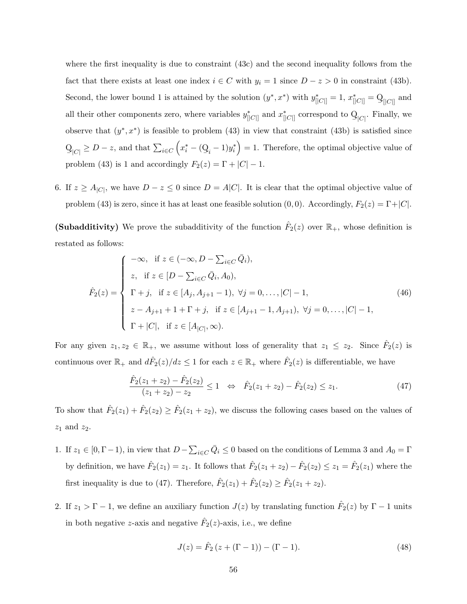where the first inequality is due to constraint (43c) and the second inequality follows from the fact that there exists at least one index  $i \in C$  with  $y_i = 1$  since  $D - z > 0$  in constraint (43b). Second, the lower bound 1 is attained by the solution  $(y^*, x^*)$  with  $y^*_{[|C|]} = 1$ ,  $x^*_{[|C|]} = Q_{[|C|]}$  and all their other components zero, where variables  $y_{\parallel C||}^*$  and  $x_{\parallel C||}^*$  correspond to Q  $Q_{|C|}$ . Finally, we observe that  $(y^*, x^*)$  is feasible to problem (43) in view that constraint (43b) is satisfied since  $\rm{Q}$  $Q_{|C|} \ge D - z$ , and that  $\sum_{i \in C} (x_i^* - (Q_i - 1)y_i^*) = 1$ . Therefore, the optimal objective value of problem (43) is 1 and accordingly  $F_2(z) = \Gamma + |C| - 1$ .

6. If  $z \geq A_{|C|}$ , we have  $D - z \leq 0$  since  $D = A|C|$ . It is clear that the optimal objective value of problem (43) is zero, since it has at least one feasible solution (0, 0). Accordingly,  $F_2(z) = \Gamma + |C|$ .

(Subadditivity) We prove the subadditivity of the function  $\hat{F}_2(z)$  over  $\mathbb{R}_+$ , whose definition is restated as follows:

$$
\hat{F}_2(z) = \begin{cases}\n-\infty, & \text{if } z \in (-\infty, D - \sum_{i \in C} \bar{Q}_i), \\
z, & \text{if } z \in [D - \sum_{i \in C} \bar{Q}_i, A_0), \\
\Gamma + j, & \text{if } z \in [A_j, A_{j+1} - 1), \ \forall j = 0, \dots, |C| - 1, \\
z - A_{j+1} + 1 + \Gamma + j, & \text{if } z \in [A_{j+1} - 1, A_{j+1}), \ \forall j = 0, \dots, |C| - 1, \\
\Gamma + |C|, & \text{if } z \in [A_{|C|}, \infty).\n\end{cases}
$$
\n(46)

For any given  $z_1, z_2 \in \mathbb{R}_+$ , we assume without loss of generality that  $z_1 \leq z_2$ . Since  $\hat{F}_2(z)$  is continuous over  $\mathbb{R}_+$  and  $d\hat{F}_2(z)/dz \leq 1$  for each  $z \in \mathbb{R}_+$  where  $\hat{F}_2(z)$  is differentiable, we have

$$
\frac{\hat{F}_2(z_1+z_2)-\hat{F}_2(z_2)}{(z_1+z_2)-z_2} \le 1 \quad \Leftrightarrow \quad \hat{F}_2(z_1+z_2)-\hat{F}_2(z_2) \le z_1. \tag{47}
$$

To show that  $\hat{F}_2(z_1) + \hat{F}_2(z_2) \ge \hat{F}_2(z_1 + z_2)$ , we discuss the following cases based on the values of  $z_1$  and  $z_2$ .

- 1. If  $z_1 \in [0, \Gamma 1)$ , in view that  $D \sum_{i \in C} \overline{Q}_i \le 0$  based on the conditions of Lemma 3 and  $A_0 = \Gamma$ by definition, we have  $\hat{F}_2(z_1) = z_1$ . It follows that  $\hat{F}_2(z_1 + z_2) - \hat{F}_2(z_2) \le z_1 = \hat{F}_2(z_1)$  where the first inequality is due to (47). Therefore,  $\hat{F}_2(z_1) + \hat{F}_2(z_2) \ge \hat{F}_2(z_1 + z_2)$ .
- 2. If  $z_1 > \Gamma 1$ , we define an auxiliary function  $J(z)$  by translating function  $\hat{F}_2(z)$  by  $\Gamma 1$  units in both negative z-axis and negative  $\hat{F}_2(z)$ -axis, i.e., we define

$$
J(z) = \hat{F}_2 (z + (\Gamma - 1)) - (\Gamma - 1).
$$
 (48)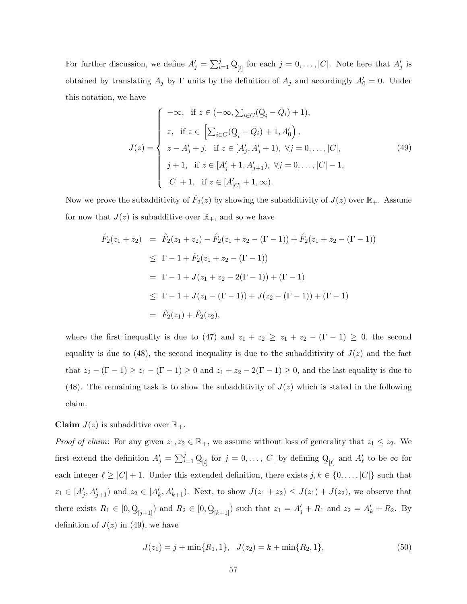For further discussion, we define  $A'_j = \sum_{i=1}^j \mathcal{Q}_{[i]}$  for each  $j = 0, \ldots, |C|$ . Note here that  $A'_j$  is obtained by translating  $A_j$  by  $\Gamma$  units by the definition of  $A_j$  and accordingly  $A'_0 = 0$ . Under this notation, we have

$$
J(z) = \begin{cases}\n-\infty, & \text{if } z \in (-\infty, \sum_{i \in C} (\mathbf{Q}_i - \bar{Q}_i) + 1), \\
z, & \text{if } z \in \left[ \sum_{i \in C} (\mathbf{Q}_i - \bar{Q}_i) + 1, A'_0 \right), \\
z - A'_j + j, & \text{if } z \in [A'_j, A'_j + 1), \ \forall j = 0, \dots, |C|, \\
j + 1, & \text{if } z \in [A'_j + 1, A'_{j+1}), \ \forall j = 0, \dots, |C| - 1, \\
|C| + 1, & \text{if } z \in [A'_{|C|} + 1, \infty).\n\end{cases}
$$
\n(49)

Now we prove the subadditivity of  $\hat{F}_2(z)$  by showing the subadditivity of  $J(z)$  over  $\mathbb{R}_+$ . Assume for now that  $J(z)$  is subadditive over  $\mathbb{R}_+$ , and so we have

$$
\hat{F}_2(z_1 + z_2) = \hat{F}_2(z_1 + z_2) - \hat{F}_2(z_1 + z_2 - (\Gamma - 1)) + \hat{F}_2(z_1 + z_2 - (\Gamma - 1))
$$
\n
$$
\leq \Gamma - 1 + \hat{F}_2(z_1 + z_2 - (\Gamma - 1))
$$
\n
$$
= \Gamma - 1 + J(z_1 + z_2 - 2(\Gamma - 1)) + (\Gamma - 1)
$$
\n
$$
\leq \Gamma - 1 + J(z_1 - (\Gamma - 1)) + J(z_2 - (\Gamma - 1)) + (\Gamma - 1)
$$
\n
$$
= \hat{F}_2(z_1) + \hat{F}_2(z_2),
$$

where the first inequality is due to (47) and  $z_1 + z_2 \ge z_1 + z_2 - (\Gamma - 1) \ge 0$ , the second equality is due to (48), the second inequality is due to the subadditivity of  $J(z)$  and the fact that  $z_2 - (\Gamma - 1) \ge z_1 - (\Gamma - 1) \ge 0$  and  $z_1 + z_2 - 2(\Gamma - 1) \ge 0$ , and the last equality is due to (48). The remaining task is to show the subadditivity of  $J(z)$  which is stated in the following claim.

#### **Claim**  $J(z)$  is subadditive over  $\mathbb{R}_+$ .

*Proof of claim:* For any given  $z_1, z_2 \in \mathbb{R}_+$ , we assume without loss of generality that  $z_1 \leq z_2$ . We first extend the definition  $A'_j = \sum_{i=1}^j \mathcal{Q}_{[i]}$  for  $j = 0, \ldots, |C|$  by defining Q  $\mathcal{Q}_{\lbrack \ell \rbrack}$  and  $A'_\ell$  to be  $\infty$  for each integer  $\ell \geq |C| + 1$ . Under this extended definition, there exists  $j, k \in \{0, \ldots, |C|\}$  such that  $z_1 \in [A'_j, A'_{j+1}]$  and  $z_2 \in [A'_k, A'_{k+1})$ . Next, to show  $J(z_1 + z_2) \leq J(z_1) + J(z_2)$ , we observe that there exists  $R_1 \in [0, Q]$  $Q_{[j+1]}$  and  $R_2 \in [0, Q_{[k+1]}]$  such that  $z_1 = A'_j + R_1$  and  $z_2 = A'_k + R_2$ . By definition of  $J(z)$  in (49), we have

$$
J(z_1) = j + \min\{R_1, 1\}, \quad J(z_2) = k + \min\{R_2, 1\},\tag{50}
$$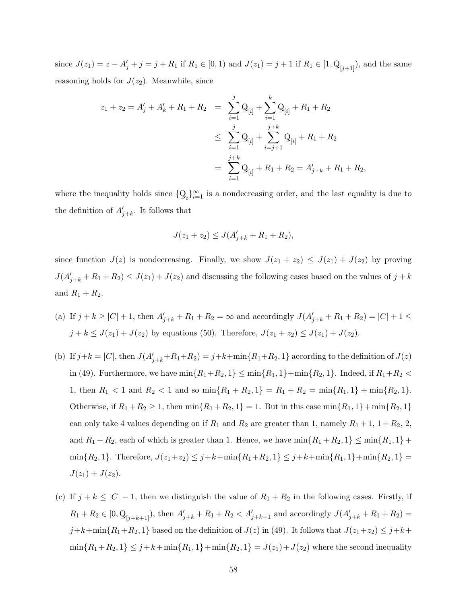since  $J(z_1) = z - A'_j + j = j + R_1$  if  $R_1 \in [0, 1)$  and  $J(z_1) = j + 1$  if  $R_1 \in [1, \mathcal{Q}_{[j+1]}),$  and the same reasoning holds for  $J(z_2)$ . Meanwhile, since

$$
z_1 + z_2 = A'_j + A'_k + R_1 + R_2 = \sum_{i=1}^j \mathcal{Q}_{[i]} + \sum_{i=1}^k \mathcal{Q}_{[i]} + R_1 + R_2
$$
  

$$
\leq \sum_{i=1}^j \mathcal{Q}_{[i]} + \sum_{i=j+1}^{j+k} \mathcal{Q}_{[i]} + R_1 + R_2
$$
  

$$
= \sum_{i=1}^{j+k} \mathcal{Q}_{[i]} + R_1 + R_2 = A'_{j+k} + R_1 + R_2,
$$

where the inequality holds since {Q  $Q_i$ <sub>i</sub> $\}_{i=1}^{\infty}$  is a nondecreasing order, and the last equality is due to the definition of  $A'_{j+k}$ . It follows that

$$
J(z_1 + z_2) \le J(A'_{j+k} + R_1 + R_2),
$$

since function  $J(z)$  is nondecreasing. Finally, we show  $J(z_1 + z_2) \leq J(z_1) + J(z_2)$  by proving  $J(A'_{j+k} + R_1 + R_2) \leq J(z_1) + J(z_2)$  and discussing the following cases based on the values of  $j + k$ and  $R_1 + R_2$ .

- (a) If  $j + k \geq |C| + 1$ , then  $A'_{j+k} + R_1 + R_2 = \infty$  and accordingly  $J(A'_{j+k} + R_1 + R_2) = |C| + 1 \leq$  $j + k \leq J(z_1) + J(z_2)$  by equations (50). Therefore,  $J(z_1 + z_2) \leq J(z_1) + J(z_2)$ .
- (b) If  $j+k = |C|$ , then  $J(A'_{j+k}+R_1+R_2) = j+k+\min\{R_1+R_2, 1\}$  according to the definition of  $J(z)$ in (49). Furthermore, we have  $\min\{R_1 + R_2, 1\} \le \min\{R_1, 1\} + \min\{R_2, 1\}$ . Indeed, if  $R_1 + R_2 <$ 1, then  $R_1 < 1$  and  $R_2 < 1$  and so  $\min\{R_1 + R_2, 1\} = R_1 + R_2 = \min\{R_1, 1\} + \min\{R_2, 1\}.$ Otherwise, if  $R_1 + R_2 \ge 1$ , then  $\min\{R_1 + R_2, 1\} = 1$ . But in this case  $\min\{R_1, 1\} + \min\{R_2, 1\}$ can only take 4 values depending on if  $R_1$  and  $R_2$  are greater than 1, namely  $R_1 + 1$ ,  $1 + R_2$ , 2, and  $R_1 + R_2$ , each of which is greater than 1. Hence, we have  $\min\{R_1 + R_2, 1\} \leq \min\{R_1, 1\}$  +  $\min\{R_2, 1\}.$  Therefore,  $J(z_1+z_2) \leq j+k+\min\{R_1+R_2, 1\} \leq j+k+\min\{R_1, 1\}+\min\{R_2, 1\} =$  $J(z_1) + J(z_2)$ .
- (c) If  $j + k \leq |C| 1$ , then we distinguish the value of  $R_1 + R_2$  in the following cases. Firstly, if  $R_1 + R_2 \in [0, Q]$  $Q_{[j+k+1]}$ ), then  $A'_{j+k} + R_1 + R_2 < A'_{j+k+1}$  and accordingly  $J(A'_{j+k} + R_1 + R_2) =$  $j+k+\min\{R_1+R_2, 1\}$  based on the definition of  $J(z)$  in (49). It follows that  $J(z_1+z_2) \leq j+k+1$  $\min\{R_1 + R_2, 1\} \leq j + k + \min\{R_1, 1\} + \min\{R_2, 1\} = J(z_1) + J(z_2)$  where the second inequality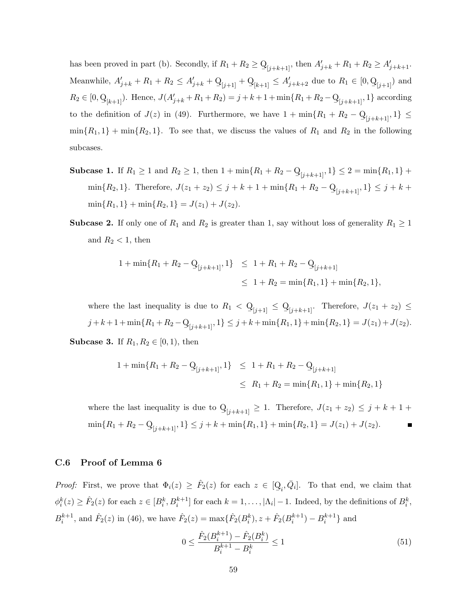has been proved in part (b). Secondly, if  $R_1 + R_2 \ge Q$  $Q_{[j+k+1]}$ , then  $A'_{j+k} + R_1 + R_2 \ge A'_{j+k+1}$ . Meanwhile,  $A'_{j+k} + R_1 + R_2 \le A'_{j+k} + Q_{[j+1]} + Q_{[k+1]} \le A'_{j+k+2}$  due to  $R_1 \in [0, Q_{[j+1]})$  and  $R_2 \in [0, Q]$  $Q_{[k+1]}$ ). Hence,  $J(A'_{j+k} + R_1 + R_2) = j + k + 1 + \min\{R_1 + R_2 - Q_{[j+k+1]}, 1\}$  according to the definition of  $J(z)$  in (49). Furthermore, we have  $1 + \min\{R_1 + R_2 - Q\}$  $Q_{[j+k+1]}, 1 \} \leq$  $min{R_1, 1} + min{R_2, 1}$ . To see that, we discuss the values of  $R_1$  and  $R_2$  in the following subcases.

- **Subcase 1.** If  $R_1 \geq 1$  and  $R_2 \geq 1$ , then  $1 + \min\{R_1 + R_2 Q\}$  $Q_{[j+k+1]}, 1$   $\leq 2 = \min\{R_1, 1\}$  +  $\min\{R_2, 1\}$ . Therefore,  $J(z_1 + z_2) \le j + k + 1 + \min\{R_1 + R_2 - Q\}$  $Q_{[j+k+1]}, 1 \} \leq j+k+1$  $\min\{R_1, 1\} + \min\{R_2, 1\} = J(z_1) + J(z_2).$
- **Subcase 2.** If only one of  $R_1$  and  $R_2$  is greater than 1, say without loss of generality  $R_1 \geq 1$ and  $R_2 < 1$ , then

$$
1 + \min\{R_1 + R_2 - Q_{[j+k+1]}, 1\} \le 1 + R_1 + R_2 - Q_{[j+k+1]}
$$
  

$$
\le 1 + R_2 = \min\{R_1, 1\} + \min\{R_2, 1\},
$$

where the last inequality is due to  $R_1 < Q$  $\mathbb{Q}_{[j+1]} \leq \mathbb{Q}_{[j+k+1]}$ . Therefore,  $J(z_1 + z_2) \leq$  $j + k + 1 + \min\{R_1 + R_2 - Q\}$  $Q_{[j+k+1]}, 1 \} \leq j+k+\min\{R_1, 1\}+\min\{R_2, 1\} = J(z_1)+J(z_2).$ **Subcase 3.** If  $R_1, R_2 \in [0, 1)$ , then

$$
1 + \min\{R_1 + R_2 - \mathcal{Q}_{[j+k+1]}, 1\} \le 1 + R_1 + R_2 - \mathcal{Q}_{[j+k+1]}
$$
  

$$
\le R_1 + R_2 = \min\{R_1, 1\} + \min\{R_2, 1\}
$$

where the last inequality is due to Q  $\mathbb{Q}_{[j+k+1]} \geq 1$ . Therefore,  $J(z_1 + z_2) \leq j + k + 1 + \cdots$  $\min\{R_1 + R_2 - Q\}$  $Q_{[j+k+1]}, 1 \} \leq j+k + \min\{R_1, 1\} + \min\{R_2, 1\} = J(z_1) + J(z_2).$ 

#### C.6 Proof of Lemma 6

*Proof:* First, we prove that  $\Phi_i(z) \geq \hat{F}_2(z)$  for each  $z \in [\mathbb{Q}]$  $Q_i, \overline{Q}_i$ . To that end, we claim that  $\phi_i^k(z) \geq \hat{F}_2(z)$  for each  $z \in [B_i^k, B_i^{k+1}]$  for each  $k = 1, \ldots, |\Lambda_i| - 1$ . Indeed, by the definitions of  $B_i^k$ ,  $B_i^{k+1}$ , and  $\hat{F}_2(z)$  in (46), we have  $\hat{F}_2(z) = \max{\{\hat{F}_2(B_i^k), z + \hat{F}_2(B_i^{k+1}) - B_i^{k+1}\}}$  and

$$
0 \le \frac{\hat{F}_2(B_i^{k+1}) - \hat{F}_2(B_i^k)}{B_i^{k+1} - B_i^k} \le 1
$$
\n(51)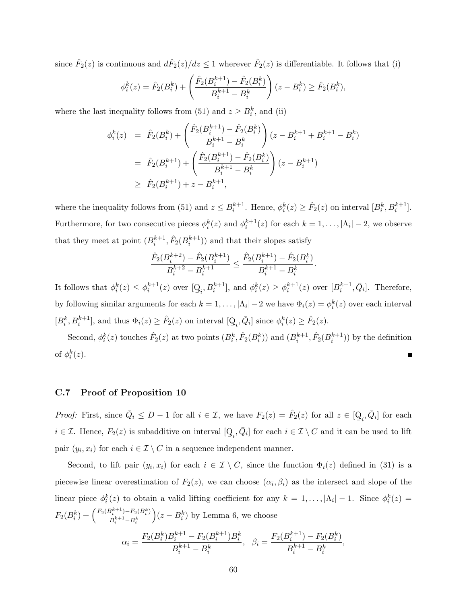since  $\hat{F}_2(z)$  is continuous and  $d\hat{F}_2(z)/dz \leq 1$  wherever  $\hat{F}_2(z)$  is differentiable. It follows that (i)

$$
\phi_i^k(z) = \hat{F}_2(B_i^k) + \left(\frac{\hat{F}_2(B_i^{k+1}) - \hat{F}_2(B_i^k)}{B_i^{k+1} - B_i^k}\right)(z - B_i^k) \ge \hat{F}_2(B_i^k),
$$

where the last inequality follows from (51) and  $z \geq B_i^k$ , and (ii)

$$
\begin{aligned}\n\phi_i^k(z) &= \hat{F}_2(B_i^k) + \left(\frac{\hat{F}_2(B_i^{k+1}) - \hat{F}_2(B_i^k)}{B_i^{k+1} - B_i^k}\right)(z - B_i^{k+1} + B_i^{k+1} - B_i^k) \\
&= \hat{F}_2(B_i^{k+1}) + \left(\frac{\hat{F}_2(B_i^{k+1}) - \hat{F}_2(B_i^k)}{B_i^{k+1} - B_i^k}\right)(z - B_i^{k+1}) \\
&\ge \hat{F}_2(B_i^{k+1}) + z - B_i^{k+1},\n\end{aligned}
$$

where the inequality follows from (51) and  $z \leq B_i^{k+1}$ . Hence,  $\phi_i^k(z) \geq \hat{F}_2(z)$  on interval  $[B_i^k, B_i^{k+1}]$ . Furthermore, for two consecutive pieces  $\phi_i^k(z)$  and  $\phi_i^{k+1}(z)$  for each  $k = 1, \ldots, |\Lambda_i| - 2$ , we observe that they meet at point  $(B_i^{k+1}, \hat{F}_2(B_i^{k+1}))$  and that their slopes satisfy

$$
\frac{\hat{F}_2(B_i^{k+2})-\hat{F}_2(B_i^{k+1})}{B_i^{k+2}-B_i^{k+1}}\leq \frac{\hat{F}_2(B_i^{k+1})-\hat{F}_2(B_i^{k})}{B_i^{k+1}-B_i^{k}}.
$$

It follows that  $\phi_i^k(z) \leq \phi_i^{k+1}(z)$  over [Q  $Q_i, B_i^{k+1}$ , and  $\phi_i^k(z) \geq \phi_i^{k+1}(z)$  over  $[B_i^{k+1}, \bar{Q}_i]$ . Therefore, by following similar arguments for each  $k = 1, ..., |\Lambda_i| - 2$  we have  $\Phi_i(z) = \phi_i^k(z)$  over each interval  $[B_i^k, B_i^{k+1}],$  and thus  $\Phi_i(z) \geq \hat{F}_2(z)$  on interval [Q  $Q_i, \bar{Q}_i$  since  $\phi_i^k(z) \geq \hat{F}_2(z)$ .

Second,  $\phi_i^k(z)$  touches  $\hat{F}_2(z)$  at two points  $(B_i^k, \hat{F}_2(B_i^k))$  and  $(B_i^{k+1}, \hat{F}_2(B_i^{k+1}))$  by the definition of  $\phi_i^k(z)$ .

### C.7 Proof of Proposition 10

*Proof:* First, since  $\overline{Q}_i \leq D-1$  for all  $i \in \mathcal{I}$ , we have  $F_2(z) = \hat{F}_2(z)$  for all  $z \in [Q]$  $Q_i, \bar{Q}_i$  for each  $i \in \mathcal{I}$ . Hence,  $F_2(z)$  is subadditive on interval [Q  $[Q_i, \bar{Q}_i]$  for each  $i \in \mathcal{I} \setminus C$  and it can be used to lift pair  $(y_i, x_i)$  for each  $i \in \mathcal{I} \setminus C$  in a sequence independent manner.

Second, to lift pair  $(y_i, x_i)$  for each  $i \in \mathcal{I} \setminus C$ , since the function  $\Phi_i(z)$  defined in (31) is a piecewise linear overestimation of  $F_2(z)$ , we can choose  $(\alpha_i, \beta_i)$  as the intersect and slope of the linear piece  $\phi_i^k(z)$  to obtain a valid lifting coefficient for any  $k = 1, ..., |\Lambda_i| - 1$ . Since  $\phi_i^k(z) =$  $F_2(B_i^k) + \left(\frac{F_2(B_i^{k+1}) - F_2(B_i^k)}{B_i^{k+1} - B_i^k}\right)$  $B_i^{k+1}$ – $B_i^k$  $(z - B_i^k)$  by Lemma 6, we choose

$$
\alpha_i = \frac{F_2(B_i^k)B_i^{k+1} - F_2(B_i^{k+1})B_i^k}{B_i^{k+1} - B_i^k}, \quad \beta_i = \frac{F_2(B_i^{k+1}) - F_2(B_i^k)}{B_i^{k+1} - B_i^k},
$$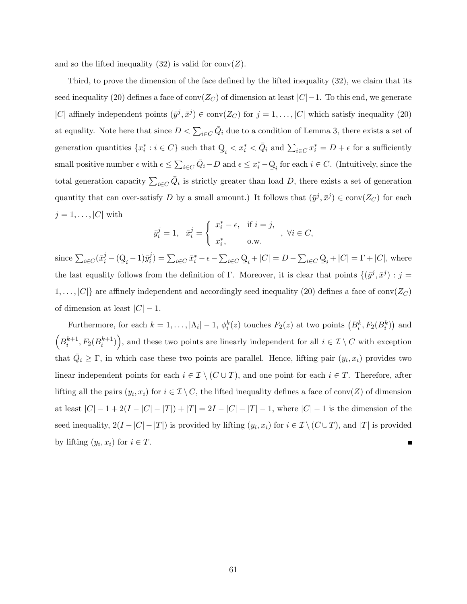and so the lifted inequality  $(32)$  is valid for conv $(Z)$ .

Third, to prove the dimension of the face defined by the lifted inequality (32), we claim that its seed inequality (20) defines a face of conv( $Z_C$ ) of dimension at least  $|C|-1$ . To this end, we generate |C| affinely independent points  $(\bar{y}^j, \bar{x}^j) \in \text{conv}(Z_C)$  for  $j = 1, ..., |C|$  which satisfy inequality (20) at equality. Note here that since  $D < \sum_{i \in C} \overline{Q}_i$  due to a condition of Lemma 3, there exists a set of generation quantities  $\{x_i^* : i \in C\}$  such that Q  $Q_i < x_i^* < \bar{Q}_i$  and  $\sum_{i \in C} x_i^* = D + \epsilon$  for a sufficiently small positive number  $\epsilon$  with  $\epsilon \leq \sum_{i \in C} \bar{Q}_i - D$  and  $\epsilon \leq x_i^* - Q_i$  for each  $i \in C$ . (Intuitively, since the total generation capacity  $\sum_{i\in C} \bar{Q}_i$  is strictly greater than load D, there exists a set of generation quantity that can over-satisfy D by a small amount.) It follows that  $(\bar{y}^j, \bar{x}^j) \in \text{conv}(Z_C)$  for each  $j = 1, \ldots, |C|$  with

$$
\bar{y}_i^j=1,\ \ \bar{x}_i^j=\left\{\begin{array}{ll} x_i^*-\epsilon, & \text{if } i=j,\\ x_i^*, & \text{o.w.} \end{array}\right.,\ \forall i\in C,
$$

since  $\sum_{i \in C} (\bar{x}_i^j - (\mathbf{Q}_i - 1)\bar{y}_i^j)$  $\sum_{i \in C} \bar{x}_i^* - \epsilon - \sum_{i \in C} Q_i + |C| = D - \sum_{i \in C} Q_i + |C| = \Gamma + |C|$ , where the last equality follows from the definition of Γ. Moreover, it is clear that points  $\{(\bar{y}^j, \bar{x}^j) : j =$  $1, \ldots, |C|$  are affinely independent and accordingly seed inequality (20) defines a face of conv( $Z_C$ ) of dimension at least  $|C| - 1$ .

Furthermore, for each  $k = 1, ..., |\Lambda_i| - 1$ ,  $\phi_i^k(z)$  touches  $F_2(z)$  at two points  $(B_i^k, F_2(B_i^k))$  and  $(B_i^{k+1}, F_2(B_i^{k+1})\big)$ , and these two points are linearly independent for all  $i \in \mathcal{I} \setminus C$  with exception that  $\overline{Q}_i \geq \Gamma$ , in which case these two points are parallel. Hence, lifting pair  $(y_i, x_i)$  provides two linear independent points for each  $i \in \mathcal{I} \setminus (C \cup T)$ , and one point for each  $i \in T$ . Therefore, after lifting all the pairs  $(y_i, x_i)$  for  $i \in \mathcal{I} \setminus C$ , the lifted inequality defines a face of conv $(Z)$  of dimension at least  $|C| - 1 + 2(I - |C| - |T|) + |T| = 2I - |C| - |T| - 1$ , where  $|C| - 1$  is the dimension of the seed inequality,  $2(I-|C|-|T|)$  is provided by lifting  $(y_i, x_i)$  for  $i \in \mathcal{I} \setminus (C \cup T)$ , and  $|T|$  is provided by lifting  $(y_i, x_i)$  for  $i \in T$ .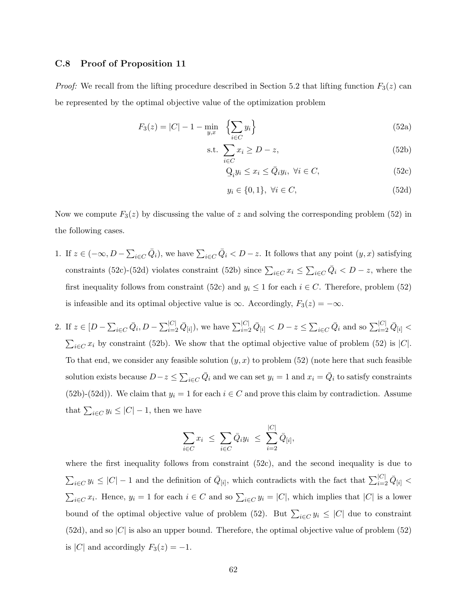#### C.8 Proof of Proposition 11

*Proof:* We recall from the lifting procedure described in Section 5.2 that lifting function  $F_3(z)$  can be represented by the optimal objective value of the optimization problem

$$
F_3(z) = |C| - 1 - \min_{y,x} \left\{ \sum_{i \in C} y_i \right\} \tag{52a}
$$

$$
\text{s.t. } \sum_{i \in C} x_i \ge D - z,\tag{52b}
$$

$$
Q_i y_i \le x_i \le \bar{Q}_i y_i, \ \forall i \in C,
$$
\n(52c)

$$
y_i \in \{0, 1\}, \ \forall i \in C,\tag{52d}
$$

Now we compute  $F_3(z)$  by discussing the value of z and solving the corresponding problem (52) in the following cases.

- 1. If  $z \in (-\infty, D \sum_{i \in C} \bar{Q}_i)$ , we have  $\sum_{i \in C} \bar{Q}_i < D z$ . It follows that any point  $(y, x)$  satisfying constraints (52c)-(52d) violates constraint (52b) since  $\sum_{i\in C} x_i \leq \sum_{i\in C} \overline{Q}_i < D-z$ , where the first inequality follows from constraint (52c) and  $y_i \leq 1$  for each  $i \in C$ . Therefore, problem (52) is infeasible and its optimal objective value is  $\infty$ . Accordingly,  $F_3(z) = -\infty$ .
- 2. If  $z \in [D \sum_{i \in C} \bar{Q}_i, D \sum_{i=2}^{|C|} \bar{Q}_{[i]}),$  we have  $\sum_{i=2}^{|C|} \bar{Q}_{[i]} < D z \leq \sum_{i \in C} \bar{Q}_i$  and so  $\sum_{i=2}^{|C|} \bar{Q}_{[i]} <$  $\sum_{i\in C} x_i$  by constraint (52b). We show that the optimal objective value of problem (52) is |C|. To that end, we consider any feasible solution  $(y, x)$  to problem (52) (note here that such feasible solution exists because  $D-z \le \sum_{i \in C} \bar{Q}_i$  and we can set  $y_i = 1$  and  $x_i = \bar{Q}_i$  to satisfy constraints (52b)-(52d)). We claim that  $y_i = 1$  for each  $i \in C$  and prove this claim by contradiction. Assume that  $\sum_{i \in C} y_i \leq |C| - 1$ , then we have

$$
\sum_{i \in C} x_i \leq \sum_{i \in C} \bar{Q}_i y_i \leq \sum_{i=2}^{|C|} \bar{Q}_{[i]},
$$

where the first inequality follows from constraint (52c), and the second inequality is due to  $\sum_{i\in C} y_i \leq |C|-1$  and the definition of  $\bar{Q}_{[i]}$ , which contradicts with the fact that  $\sum_{i=2}^{|C|} \bar{Q}_{[i]}$  $\sum_{i\in C} x_i$ . Hence,  $y_i = 1$  for each  $i \in C$  and so  $\sum_{i\in C} y_i = |C|$ , which implies that  $|C|$  is a lower bound of the optimal objective value of problem (52). But  $\sum_{i\in C} y_i \leq |C|$  due to constraint  $(52d)$ , and so  $|C|$  is also an upper bound. Therefore, the optimal objective value of problem  $(52)$ is |C| and accordingly  $F_3(z) = -1$ .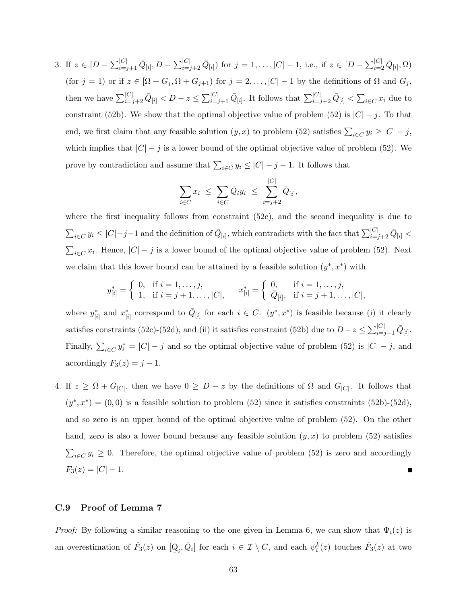3. If  $z \in [D - \sum_{i=j+1}^{|C|} \bar{Q}_{[i]}, D - \sum_{i=j+2}^{|C|} \bar{Q}_{[i]}$  for  $j = 1, \ldots, |C| - 1$ , i.e., if  $z \in [D - \sum_{i=2}^{|C|} \bar{Q}_{[i]}, \Omega)$ (for  $j = 1$ ) or if  $z \in [\Omega + G_j, \Omega + G_{j+1})$  for  $j = 2, ..., |C| - 1$  by the definitions of  $\Omega$  and  $G_j$ , then we have  $\sum_{i=j+2}^{|C|} \bar{Q}_{[i]} < D-z \leq \sum_{i=j+1}^{|C|} \bar{Q}_{[i]}$ . It follows that  $\sum_{i=j+2}^{|C|} \bar{Q}_{[i]} < \sum_{i \in C} x_i$  due to constraint (52b). We show that the optimal objective value of problem (52) is  $|C| - j$ . To that end, we first claim that any feasible solution  $(y, x)$  to problem (52) satisfies  $\sum_{i \in C} y_i \ge |C| - j$ , which implies that  $|C| - j$  is a lower bound of the optimal objective value of problem (52). We prove by contradiction and assume that  $\sum_{i \in C} y_i \leq |C| - j - 1$ . It follows that

$$
\sum_{i \in C} x_i \leq \sum_{i \in C} \bar{Q}_i y_i \leq \sum_{i=j+2}^{|C|} \bar{Q}_{[i]},
$$

where the first inequality follows from constraint (52c), and the second inequality is due to  $\sum_{i\in C} y_i \leq |C|-j-1$  and the definition of  $\bar{Q}_{[i]}$ , which contradicts with the fact that  $\sum_{i=j+2}^{|C|} \bar{Q}_{[i]}$  $\sum_{i\in C} x_i$ . Hence,  $|C|-j$  is a lower bound of the optimal objective value of problem (52). Next we claim that this lower bound can be attained by a feasible solution  $(y^*, x^*)$  with

$$
y_{[i]}^* = \begin{cases} 0, & \text{if } i = 1, \dots, j, \\ 1, & \text{if } i = j + 1, \dots, |C|, \end{cases} \qquad x_{[i]}^* = \begin{cases} 0, & \text{if } i = 1, \dots, j, \\ \bar{Q}_{[i]}, & \text{if } i = j + 1, \dots, |C|, \end{cases}
$$

where  $y_{[i]}^*$  and  $x_{[i]}^*$  correspond to  $\overline{Q}_{[i]}$  for each  $i \in C$ .  $(y^*, x^*)$  is feasible because (i) it clearly satisfies constraints (52c)-(52d), and (ii) it satisfies constraint (52b) due to  $D-z \leq \sum_{i=j+1}^{|C|} \bar{Q}_{[i]}$ . Finally,  $\sum_{i \in C} y_i^* = |C| - j$  and so the optimal objective value of problem (52) is  $|C| - j$ , and accordingly  $F_3(z) = j - 1$ .

4. If  $z \geq \Omega + G_{|C|}$ , then we have  $0 \geq D - z$  by the definitions of  $\Omega$  and  $G_{|C|}$ . It follows that  $(y^*, x^*) = (0,0)$  is a feasible solution to problem (52) since it satisfies constraints (52b)-(52d), and so zero is an upper bound of the optimal objective value of problem (52). On the other hand, zero is also a lower bound because any feasible solution  $(y, x)$  to problem (52) satisfies  $\sum_{i\in C} y_i \geq 0$ . Therefore, the optimal objective value of problem (52) is zero and accordingly  $F_3(z) = |C| - 1.$ 

### C.9 Proof of Lemma 7

*Proof:* By following a similar reasoning to the one given in Lemma 6, we can show that  $\Psi_i(z)$  is an overestimation of  $\hat{F}_3(z)$  on [Q  $Q_i, \bar{Q}_i$  for each  $i \in \mathcal{I} \setminus C$ , and each  $\psi_i^k(z)$  touches  $\hat{F}_3(z)$  at two